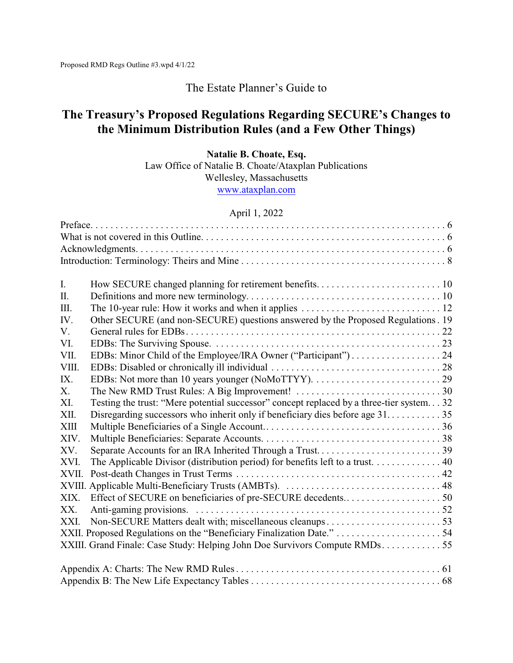# The Estate Planner's Guide to

# **The Treasury's Proposed Regulations Regarding SECURE's Changes to the Minimum Distribution Rules (and a Few Other Things)**

## **Natalie B. Choate, Esq.**

Law Office of Natalie B. Choate/Ataxplan Publications

Wellesley, Massachusetts

[www.ataxplan.com](http://www.ataxplan.com)

### April 1, 2022

| I.     |                                                                                          |  |
|--------|------------------------------------------------------------------------------------------|--|
| Π.     |                                                                                          |  |
| Ш.     |                                                                                          |  |
| IV.    | Other SECURE (and non-SECURE) questions answered by the Proposed Regulations. 19         |  |
| V.     |                                                                                          |  |
| VI.    |                                                                                          |  |
| VII.   | EDBs: Minor Child of the Employee/IRA Owner ("Participant") 24                           |  |
| VIII.  |                                                                                          |  |
| IX.    |                                                                                          |  |
| Х.     |                                                                                          |  |
| XI.    | Testing the trust: "Mere potential successor" concept replaced by a three-tier system 32 |  |
| XII.   | Disregarding successors who inherit only if beneficiary dies before age 3135             |  |
| XIII   |                                                                                          |  |
| XIV.   |                                                                                          |  |
| XV.    |                                                                                          |  |
| XVI.   | The Applicable Divisor (distribution period) for benefits left to a trust. 40            |  |
| XVII.  |                                                                                          |  |
| XVIII. |                                                                                          |  |
| XIX.   |                                                                                          |  |
| XX.    |                                                                                          |  |
| XXI.   |                                                                                          |  |
|        |                                                                                          |  |
|        | XXIII. Grand Finale: Case Study: Helping John Doe Survivors Compute RMDs55               |  |
|        |                                                                                          |  |
|        |                                                                                          |  |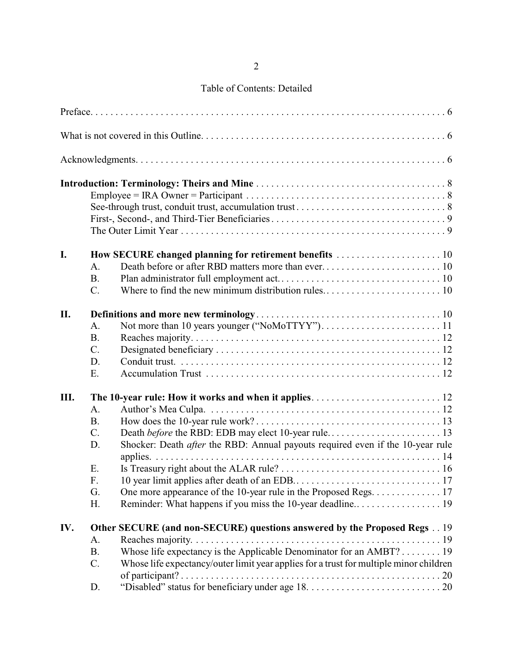# Table of Contents: Detailed

| I.   |                 | How SECURE changed planning for retirement benefits  10                                |
|------|-----------------|----------------------------------------------------------------------------------------|
|      | A.              |                                                                                        |
|      | <b>B.</b>       |                                                                                        |
|      | $C$ .           |                                                                                        |
| II.  |                 |                                                                                        |
|      | $A_{\cdot}$     |                                                                                        |
|      | <b>B.</b>       |                                                                                        |
|      | $C$ .           |                                                                                        |
|      | D.              |                                                                                        |
|      | E.              |                                                                                        |
| III. |                 |                                                                                        |
|      | $A_{\cdot}$     |                                                                                        |
|      | <b>B.</b>       |                                                                                        |
|      | $\mathcal{C}$ . |                                                                                        |
|      | D.              | Shocker: Death <i>after</i> the RBD: Annual payouts required even if the 10-year rule  |
|      |                 |                                                                                        |
|      | Ε.              |                                                                                        |
|      | F.              |                                                                                        |
|      | G.              | One more appearance of the 10-year rule in the Proposed Regs. 17                       |
|      | Η.              |                                                                                        |
| IV.  |                 | Other SECURE (and non-SECURE) questions answered by the Proposed Regs 19               |
|      | A.              |                                                                                        |
|      | <b>B.</b>       | Whose life expectancy is the Applicable Denominator for an AMBT? 19                    |
|      | C.              | Whose life expectancy/outer limit year applies for a trust for multiple minor children |
|      |                 |                                                                                        |
|      | D.              |                                                                                        |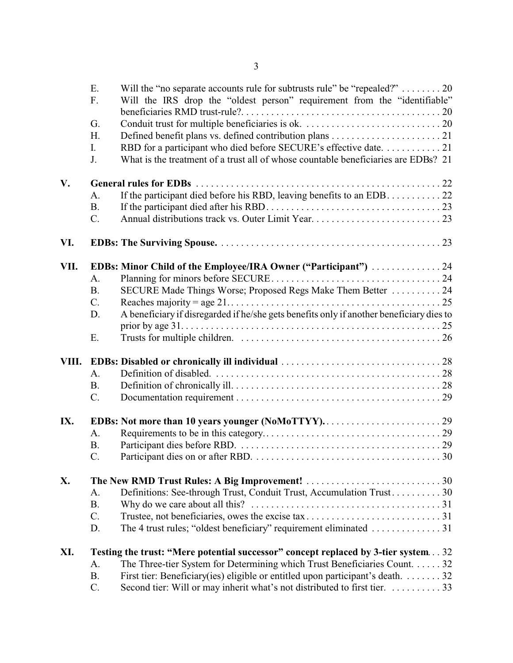|      | Ε.<br>F.  | Will the "no separate accounts rule for subtrusts rule" be "repealed?" 20<br>Will the IRS drop the "oldest person" requirement from the "identifiable" |
|------|-----------|--------------------------------------------------------------------------------------------------------------------------------------------------------|
|      |           |                                                                                                                                                        |
|      | G.        |                                                                                                                                                        |
|      | H.        |                                                                                                                                                        |
|      | I.        | RBD for a participant who died before SECURE's effective date. 21                                                                                      |
|      | J.        | What is the treatment of a trust all of whose countable beneficiaries are EDBs? 21                                                                     |
| V.   |           |                                                                                                                                                        |
|      | A.        |                                                                                                                                                        |
|      | <b>B.</b> |                                                                                                                                                        |
|      | $C$ .     |                                                                                                                                                        |
| VI.  |           |                                                                                                                                                        |
| VII. |           |                                                                                                                                                        |
|      | A.        | EDBs: Minor Child of the Employee/IRA Owner ("Participant")  24                                                                                        |
|      | <b>B.</b> | SECURE Made Things Worse; Proposed Regs Make Them Better  24                                                                                           |
|      | C.        |                                                                                                                                                        |
|      | D.        | A beneficiary if disregarded if he/she gets benefits only if another beneficiary dies to                                                               |
|      |           |                                                                                                                                                        |
|      | Ε.        |                                                                                                                                                        |
|      |           |                                                                                                                                                        |
|      | A.        |                                                                                                                                                        |
|      | <b>B.</b> |                                                                                                                                                        |
|      | C.        |                                                                                                                                                        |
| IX.  |           |                                                                                                                                                        |
|      | A.        |                                                                                                                                                        |
|      | <b>B.</b> |                                                                                                                                                        |
|      |           |                                                                                                                                                        |
|      |           |                                                                                                                                                        |
| X.   |           |                                                                                                                                                        |
|      | A.        | Definitions: See-through Trust, Conduit Trust, Accumulation Trust 30                                                                                   |
|      | <b>B.</b> |                                                                                                                                                        |
|      | C.        |                                                                                                                                                        |
|      | D.        |                                                                                                                                                        |
| XI.  |           | Testing the trust: "Mere potential successor" concept replaced by 3-tier system32                                                                      |
|      | A.        | The Three-tier System for Determining which Trust Beneficiaries Count. 32                                                                              |
|      | <b>B.</b> | First tier: Beneficiary(ies) eligible or entitled upon participant's death. 32                                                                         |

C. Second tier: Will or may inherit what's not distributed to first tier. . . . . . . . . . . 33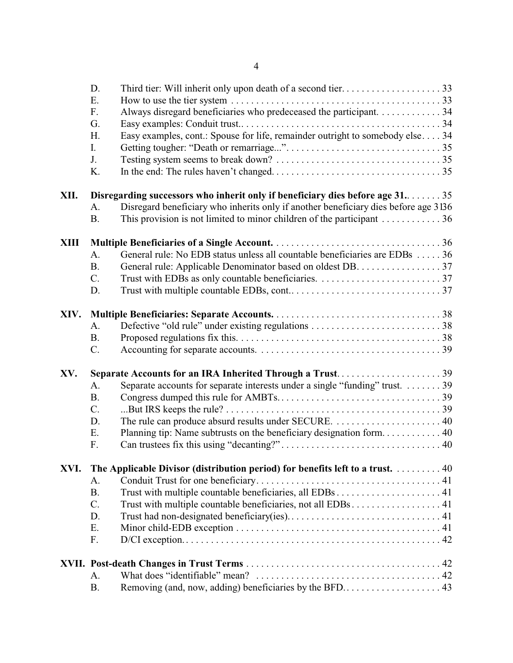|      | D.<br>Ε.        |                                                                                                 |
|------|-----------------|-------------------------------------------------------------------------------------------------|
|      | F.              | Always disregard beneficiaries who predeceased the participant. 34                              |
|      | G.              |                                                                                                 |
|      | H.              | Easy examples, cont.: Spouse for life, remainder outright to somebody else 34                   |
|      | I.              |                                                                                                 |
|      | J.              |                                                                                                 |
|      | K.              |                                                                                                 |
| XII. |                 | Disregarding successors who inherit only if beneficiary dies before age 31. 35                  |
|      | A.              | Disregard beneficiary who inherits only if another beneficiary dies before age 3136             |
|      | <b>B.</b>       | This provision is not limited to minor children of the participant $\dots \dots \dots \dots 36$ |
| XIII |                 |                                                                                                 |
|      | A.              | General rule: No EDB status unless all countable beneficiaries are EDBs  36                     |
|      | <b>B.</b>       | General rule: Applicable Denominator based on oldest DB. 37                                     |
|      | $C_{\cdot}$     |                                                                                                 |
|      | D.              |                                                                                                 |
| XIV. |                 |                                                                                                 |
|      | A <sub>1</sub>  |                                                                                                 |
|      | <b>B.</b>       |                                                                                                 |
|      | C.              |                                                                                                 |
|      |                 |                                                                                                 |
| XV.  |                 | Separate Accounts for an IRA Inherited Through a Trust39                                        |
|      | A.              | Separate accounts for separate interests under a single "funding" trust. 39                     |
|      | <b>B.</b>       |                                                                                                 |
|      | C.              |                                                                                                 |
|      | D.              |                                                                                                 |
|      | E.              |                                                                                                 |
|      | F.              |                                                                                                 |
| XVI. |                 | The Applicable Divisor (distribution period) for benefits left to a trust. 40                   |
|      | А.              |                                                                                                 |
|      | <b>B.</b>       |                                                                                                 |
|      | $C_{\cdot}$     | Trust with multiple countable beneficiaries, not all EDBs 41                                    |
|      | D.              |                                                                                                 |
|      | Ε.              |                                                                                                 |
|      | F.              |                                                                                                 |
|      |                 |                                                                                                 |
|      | A.<br><b>B.</b> |                                                                                                 |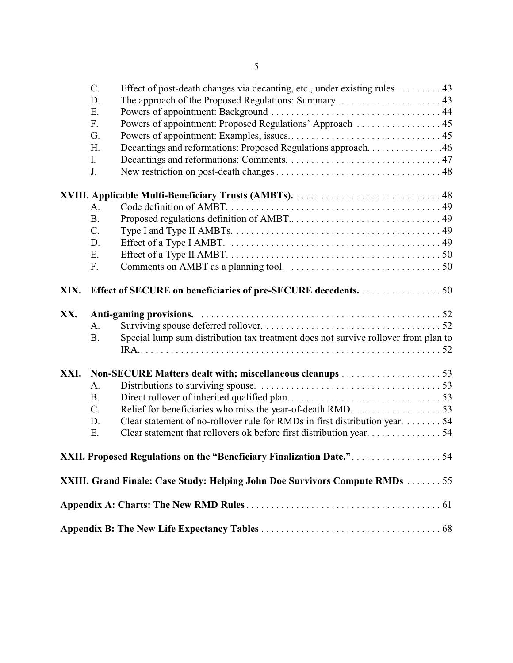|      | C.<br>D.<br>Ε.<br>F.<br>G.<br>H.<br>I.<br>J. | Effect of post-death changes via decanting, etc., under existing rules 43<br>Powers of appointment: Proposed Regulations' Approach  45<br>Decantings and reformations: Proposed Regulations approach46 |
|------|----------------------------------------------|--------------------------------------------------------------------------------------------------------------------------------------------------------------------------------------------------------|
|      |                                              |                                                                                                                                                                                                        |
|      | A.                                           |                                                                                                                                                                                                        |
|      | <b>B.</b>                                    |                                                                                                                                                                                                        |
|      | $C$ .                                        |                                                                                                                                                                                                        |
|      | D.                                           |                                                                                                                                                                                                        |
|      | E.                                           |                                                                                                                                                                                                        |
|      | F.                                           |                                                                                                                                                                                                        |
| XX.  | A.<br><b>B.</b>                              | XIX. Effect of SECURE on beneficiaries of pre-SECURE decedents. 50<br>Special lump sum distribution tax treatment does not survive rollover from plan to                                               |
| XXI. |                                              |                                                                                                                                                                                                        |
|      | A.                                           |                                                                                                                                                                                                        |
|      | <b>B.</b>                                    |                                                                                                                                                                                                        |
|      | $\mathcal{C}$ .                              |                                                                                                                                                                                                        |
|      | D.                                           | Clear statement of no-rollover rule for RMDs in first distribution year. 54                                                                                                                            |
|      | E.                                           | Clear statement that rollovers ok before first distribution year54                                                                                                                                     |
|      |                                              | XXII. Proposed Regulations on the "Beneficiary Finalization Date."54                                                                                                                                   |
|      |                                              | XXIII. Grand Finale: Case Study: Helping John Doe Survivors Compute RMDs  55                                                                                                                           |
|      |                                              |                                                                                                                                                                                                        |
|      |                                              |                                                                                                                                                                                                        |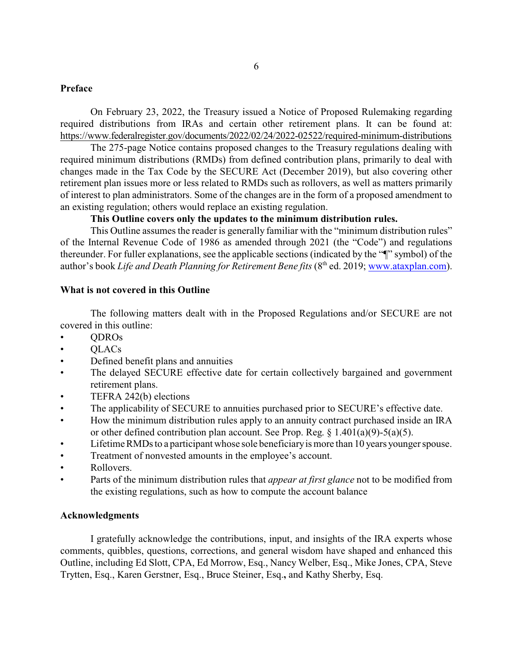#### **Preface**

On February 23, 2022, the Treasury issued a Notice of Proposed Rulemaking regarding required distributions from IRAs and certain other retirement plans. It can be found at: https://www.federalregister.gov/documents/2022/02/24/2022-02522/required-minimum-distributions

The 275-page Notice contains proposed changes to the Treasury regulations dealing with required minimum distributions (RMDs) from defined contribution plans, primarily to deal with changes made in the Tax Code by the SECURE Act (December 2019), but also covering other retirement plan issues more or less related to RMDs such as rollovers, as well as matters primarily of interest to plan administrators. Some of the changes are in the form of a proposed amendment to an existing regulation; others would replace an existing regulation.

## **This Outline covers only the updates to the minimum distribution rules.**

This Outline assumes the reader is generally familiar with the "minimum distribution rules" of the Internal Revenue Code of 1986 as amended through 2021 (the "Code") and regulations thereunder. For fuller explanations, see the applicable sections (indicated by the "¶" symbol) of the author's book *Life and Death Planning for Retirement Bene fits* (8<sup>th</sup> ed. 2019; [www.ataxplan.com](http://www.ataxplan.com)).

### **What is not covered in this Outline**

The following matters dealt with in the Proposed Regulations and/or SECURE are not covered in this outline:

- QDROs
- QLACs
- Defined benefit plans and annuities
- The delayed SECURE effective date for certain collectively bargained and government retirement plans.
- TEFRA 242(b) elections
- The applicability of SECURE to annuities purchased prior to SECURE's effective date.
- How the minimum distribution rules apply to an annuity contract purchased inside an IRA or other defined contribution plan account. See Prop. Reg. § 1.401(a)(9)-5(a)(5).
- Lifetime RMDs to a participant whose sole beneficiary is more than 10 years younger spouse.
- Treatment of nonvested amounts in the employee's account.
- Rollovers.
- Parts of the minimum distribution rules that *appear at first glance* not to be modified from the existing regulations, such as how to compute the account balance

#### **Acknowledgments**

I gratefully acknowledge the contributions, input, and insights of the IRA experts whose comments, quibbles, questions, corrections, and general wisdom have shaped and enhanced this Outline, including Ed Slott, CPA, Ed Morrow, Esq., Nancy Welber, Esq., Mike Jones, CPA, Steve Trytten, Esq., Karen Gerstner, Esq., Bruce Steiner, Esq.**,** and Kathy Sherby, Esq.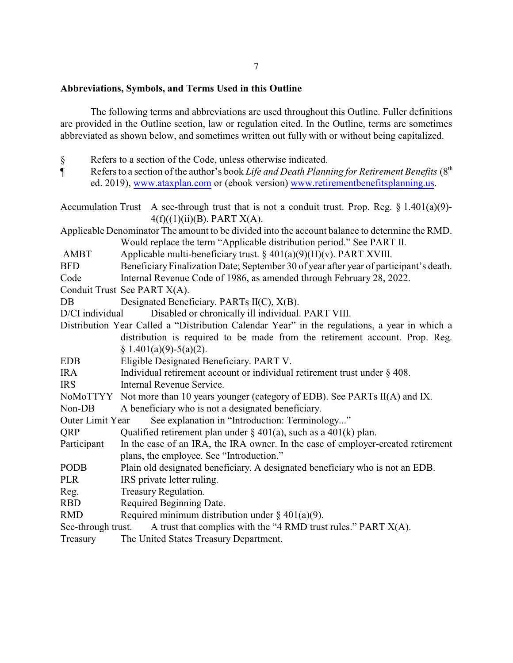## 7

#### **Abbreviations, Symbols, and Terms Used in this Outline**

The following terms and abbreviations are used throughout this Outline. Fuller definitions are provided in the Outline section, law or regulation cited. In the Outline, terms are sometimes abbreviated as shown below, and sometimes written out fully with or without being capitalized.

- § Refers to a section of the Code, unless otherwise indicated.
- ¶ Refers to a section of the author's book *Life and Death Planning for Retirement Benefits* (8th ed. 2019), [www.ataxplan.com](http://www.ataxplan.com) or (ebook version) [www.retirementbenefitsplanning.us](http://www.retirementbenefitsplanning.us).
- Accumulation Trust A see-through trust that is not a conduit trust. Prop. Reg.  $\S 1.401(a)(9)$ - $4(f)((1)(ii)(B)$ . PART  $X(A)$ .
- Applicable Denominator The amount to be divided into the account balance to determine the RMD. Would replace the term "Applicable distribution period." See PART II.

AMBT Applicable multi-beneficiary trust.  $\S 401(a)(9)(H)(v)$ . PART XVIII.

BFD Beneficiary Finalization Date; September 30 of year after year of participant's death.

Code Internal Revenue Code of 1986, as amended through February 28, 2022.

Conduit Trust See PART X(A).

DB Designated Beneficiary. PARTs II(C),  $X(B)$ .

D/CI individual Disabled or chronically ill individual. PART VIII.

- Distribution Year Called a "Distribution Calendar Year" in the regulations, a year in which a distribution is required to be made from the retirement account. Prop. Reg.  $§ 1.401(a)(9)-5(a)(2).$
- EDB Eligible Designated Beneficiary. PART V.
- IRA Individual retirement account or individual retirement trust under § 408.
- IRS Internal Revenue Service.
- NoMoTTYY Not more than 10 years younger (category of EDB). See PARTs II(A) and IX.
- Non-DB A beneficiary who is not a designated beneficiary.
- Outer Limit Year See explanation in "Introduction: Terminology..."
- QRP Qualified retirement plan under  $\S 401(a)$ , such as a 401(k) plan.
- Participant In the case of an IRA, the IRA owner. In the case of employer-created retirement plans, the employee. See "Introduction."
- PODB Plain old designated beneficiary. A designated beneficiary who is not an EDB.
- PLR IRS private letter ruling.
- Reg. Treasury Regulation.
- RBD Required Beginning Date.
- RMD Required minimum distribution under  $\S$  401(a)(9).

See-through trust. A trust that complies with the "4 RMD trust rules." PART X(A).

Treasury The United States Treasury Department.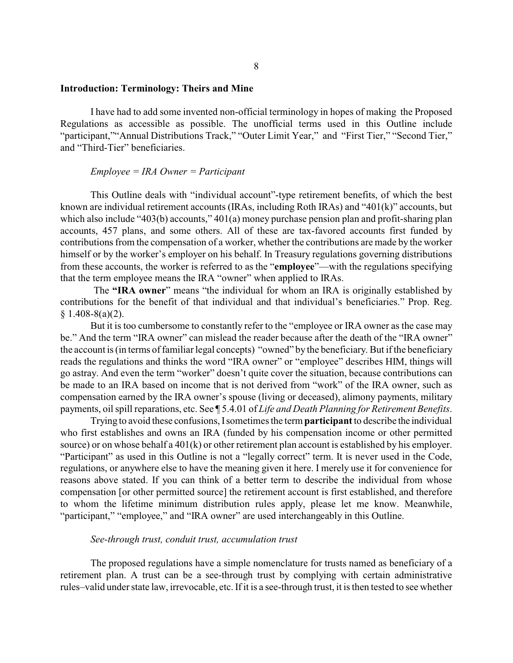#### **Introduction: Terminology: Theirs and Mine**

I have had to add some invented non-official terminology in hopes of making the Proposed Regulations as accessible as possible. The unofficial terms used in this Outline include "participant,""Annual Distributions Track," "Outer Limit Year," and "First Tier," "Second Tier," and "Third-Tier" beneficiaries.

#### *Employee = IRA Owner = Participant*

This Outline deals with "individual account"-type retirement benefits, of which the best known are individual retirement accounts (IRAs, including Roth IRAs) and "401(k)" accounts, but which also include "403(b) accounts," 401(a) money purchase pension plan and profit-sharing plan accounts, 457 plans, and some others. All of these are tax-favored accounts first funded by contributions from the compensation of a worker, whether the contributions are made by the worker himself or by the worker's employer on his behalf. In Treasury regulations governing distributions from these accounts, the worker is referred to as the "**employee**"—with the regulations specifying that the term employee means the IRA "owner" when applied to IRAs.

The **"IRA owner**" means "the individual for whom an IRA is originally established by contributions for the benefit of that individual and that individual's beneficiaries." Prop. Reg.  $$1.408-8(a)(2).$ 

But it is too cumbersome to constantly refer to the "employee or IRA owner as the case may be." And the term "IRA owner" can mislead the reader because after the death of the "IRA owner" the account is (in terms of familiar legal concepts) "owned" by the beneficiary. But if the beneficiary reads the regulations and thinks the word "IRA owner" or "employee" describes HIM, things will go astray. And even the term "worker" doesn't quite cover the situation, because contributions can be made to an IRA based on income that is not derived from "work" of the IRA owner, such as compensation earned by the IRA owner's spouse (living or deceased), alimony payments, military payments, oil spill reparations, etc. See ¶ 5.4.01 of *Life and Death Planning for Retirement Benefits*.

Trying to avoid these confusions, Isometimes the term **participant**to describe the individual who first establishes and owns an IRA (funded by his compensation income or other permitted source) or on whose behalf a 401(k) or other retirement plan account is established by his employer. "Participant" as used in this Outline is not a "legally correct" term. It is never used in the Code, regulations, or anywhere else to have the meaning given it here. I merely use it for convenience for reasons above stated. If you can think of a better term to describe the individual from whose compensation [or other permitted source] the retirement account is first established, and therefore to whom the lifetime minimum distribution rules apply, please let me know. Meanwhile, "participant," "employee," and "IRA owner" are used interchangeably in this Outline.

#### *See-through trust, conduit trust, accumulation trust*

The proposed regulations have a simple nomenclature for trusts named as beneficiary of a retirement plan. A trust can be a see-through trust by complying with certain administrative rules–valid under state law, irrevocable, etc. If it is a see-through trust, it is then tested to see whether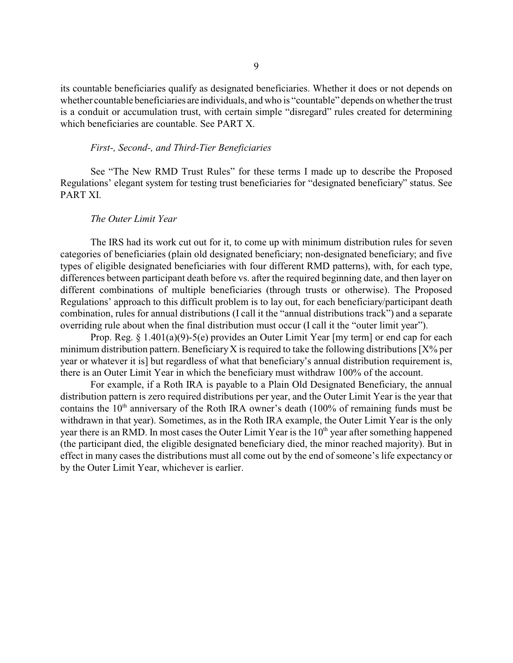its countable beneficiaries qualify as designated beneficiaries. Whether it does or not depends on whether countable beneficiaries are individuals, and who is "countable" depends on whether the trust is a conduit or accumulation trust, with certain simple "disregard" rules created for determining which beneficiaries are countable. See PART X.

#### *First-, Second-, and Third-Tier Beneficiaries*

See "The New RMD Trust Rules" for these terms I made up to describe the Proposed Regulations' elegant system for testing trust beneficiaries for "designated beneficiary" status. See PART XI.

#### *The Outer Limit Year*

The IRS had its work cut out for it, to come up with minimum distribution rules for seven categories of beneficiaries (plain old designated beneficiary; non-designated beneficiary; and five types of eligible designated beneficiaries with four different RMD patterns), with, for each type, differences between participant death before vs. after the required beginning date, and then layer on different combinations of multiple beneficiaries (through trusts or otherwise). The Proposed Regulations' approach to this difficult problem is to lay out, for each beneficiary/participant death combination, rules for annual distributions (I call it the "annual distributions track") and a separate overriding rule about when the final distribution must occur (I call it the "outer limit year").

Prop. Reg. § 1.401(a)(9)-5(e) provides an Outer Limit Year [my term] or end cap for each minimum distribution pattern. Beneficiary X is required to take the following distributions  $[X\%$  per year or whatever it is] but regardless of what that beneficiary's annual distribution requirement is, there is an Outer Limit Year in which the beneficiary must withdraw 100% of the account.

For example, if a Roth IRA is payable to a Plain Old Designated Beneficiary, the annual distribution pattern is zero required distributions per year, and the Outer Limit Year is the year that contains the  $10<sup>th</sup>$  anniversary of the Roth IRA owner's death (100% of remaining funds must be withdrawn in that year). Sometimes, as in the Roth IRA example, the Outer Limit Year is the only year there is an RMD. In most cases the Outer Limit Year is the 10<sup>th</sup> year after something happened (the participant died, the eligible designated beneficiary died, the minor reached majority). But in effect in many cases the distributions must all come out by the end of someone's life expectancy or by the Outer Limit Year, whichever is earlier.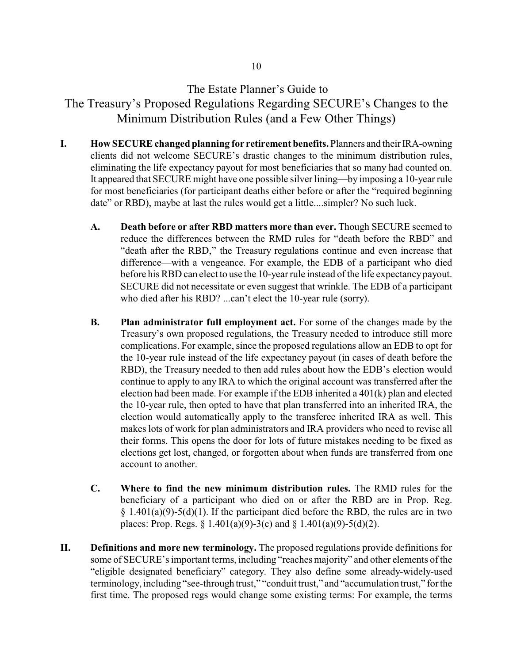# The Estate Planner's Guide to

The Treasury's Proposed Regulations Regarding SECURE's Changes to the Minimum Distribution Rules (and a Few Other Things)

- **I. How SECURE changed planning for retirement benefits.** Planners and their IRA-owning clients did not welcome SECURE's drastic changes to the minimum distribution rules, eliminating the life expectancy payout for most beneficiaries that so many had counted on. It appeared that SECURE might have one possible silver lining—by imposing a 10-year rule for most beneficiaries (for participant deaths either before or after the "required beginning date" or RBD), maybe at last the rules would get a little....simpler? No such luck.
	- **A. Death before or after RBD matters more than ever.** Though SECURE seemed to reduce the differences between the RMD rules for "death before the RBD" and "death after the RBD," the Treasury regulations continue and even increase that difference—with a vengeance. For example, the EDB of a participant who died before his RBD can elect to use the 10-year rule instead of the life expectancy payout. SECURE did not necessitate or even suggest that wrinkle. The EDB of a participant who died after his RBD? ...can't elect the 10-year rule (sorry).
	- **B. Plan administrator full employment act.** For some of the changes made by the Treasury's own proposed regulations, the Treasury needed to introduce still more complications. For example, since the proposed regulations allow an EDB to opt for the 10-year rule instead of the life expectancy payout (in cases of death before the RBD), the Treasury needed to then add rules about how the EDB's election would continue to apply to any IRA to which the original account was transferred after the election had been made. For example if the EDB inherited a  $401(k)$  plan and elected the 10-year rule, then opted to have that plan transferred into an inherited IRA, the election would automatically apply to the transferee inherited IRA as well. This makes lots of work for plan administrators and IRA providers who need to revise all their forms. This opens the door for lots of future mistakes needing to be fixed as elections get lost, changed, or forgotten about when funds are transferred from one account to another.
	- **C. Where to find the new minimum distribution rules.** The RMD rules for the beneficiary of a participant who died on or after the RBD are in Prop. Reg.  $§ 1.401(a)(9)-5(d)(1)$ . If the participant died before the RBD, the rules are in two places: Prop. Regs. § 1.401(a)(9)-3(c) and § 1.401(a)(9)-5(d)(2).
- **II. Definitions and more new terminology.** The proposed regulations provide definitions for some of SECURE's important terms, including "reaches majority" and other elements of the "eligible designated beneficiary" category. They also define some already-widely-used terminology, including "see-through trust," "conduit trust," and "accumulation trust," for the first time. The proposed regs would change some existing terms: For example, the terms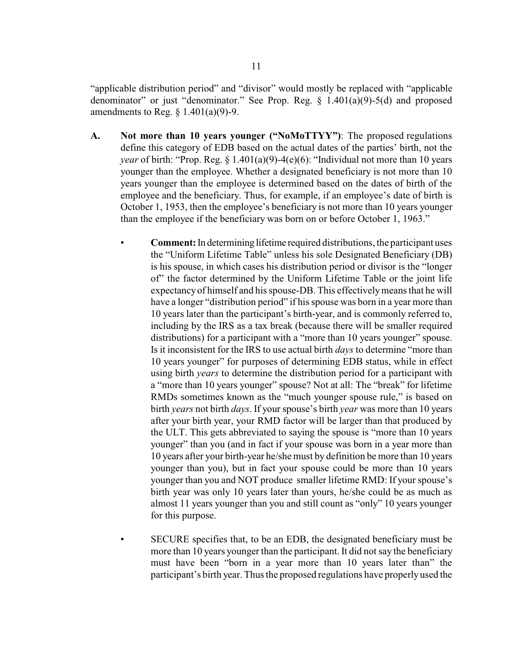"applicable distribution period" and "divisor" would mostly be replaced with "applicable denominator" or just "denominator." See Prop. Reg.  $\S$  1.401(a)(9)-5(d) and proposed amendments to Reg.  $\S$  1.401(a)(9)-9.

- **A. Not more than 10 years younger ("NoMoTTYY")**: The proposed regulations define this category of EDB based on the actual dates of the parties' birth, not the *year* of birth: "Prop. Reg. § 1.401(a)(9)-4(e)(6): "Individual not more than 10 years younger than the employee. Whether a designated beneficiary is not more than 10 years younger than the employee is determined based on the dates of birth of the employee and the beneficiary. Thus, for example, if an employee's date of birth is October 1, 1953, then the employee's beneficiary is not more than 10 years younger than the employee if the beneficiary was born on or before October 1, 1963."
	- **Comment:** In determining lifetime required distributions, the participant uses the "Uniform Lifetime Table" unless his sole Designated Beneficiary (DB) is his spouse, in which cases his distribution period or divisor is the "longer of" the factor determined by the Uniform Lifetime Table or the joint life expectancyof himself and his spouse-DB. This effectivelymeans that he will have a longer "distribution period" if his spouse was born in a year more than 10 years later than the participant's birth-year, and is commonly referred to, including by the IRS as a tax break (because there will be smaller required distributions) for a participant with a "more than 10 years younger" spouse. Is it inconsistent for the IRS to use actual birth *days* to determine "more than 10 years younger" for purposes of determining EDB status, while in effect using birth *years* to determine the distribution period for a participant with a "more than 10 years younger" spouse? Not at all: The "break" for lifetime RMDs sometimes known as the "much younger spouse rule," is based on birth *years* not birth *days*. If your spouse's birth *year* was more than 10 years after your birth year, your RMD factor will be larger than that produced by the ULT. This gets abbreviated to saying the spouse is "more than 10 years younger" than you (and in fact if your spouse was born in a year more than 10 years after your birth-year he/she must by definition be more than 10 years younger than you), but in fact your spouse could be more than 10 years younger than you and NOT produce smaller lifetime RMD: If your spouse's birth year was only 10 years later than yours, he/she could be as much as almost 11 years younger than you and still count as "only" 10 years younger for this purpose.
	- SECURE specifies that, to be an EDB, the designated beneficiary must be more than 10 years younger than the participant. It did not say the beneficiary must have been "born in a year more than 10 years later than" the participant's birth year. Thus the proposed regulations have properlyused the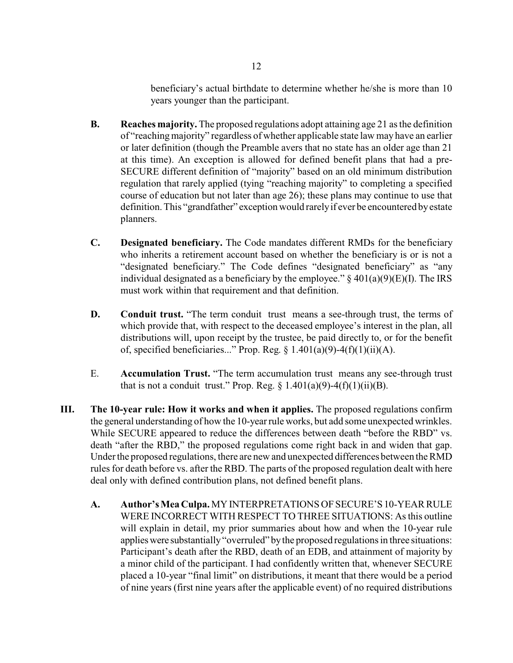beneficiary's actual birthdate to determine whether he/she is more than 10 years younger than the participant.

- **B. Reaches majority.** The proposed regulations adopt attaining age 21 as the definition of "reachingmajority" regardless of whether applicable state law may have an earlier or later definition (though the Preamble avers that no state has an older age than 21 at this time). An exception is allowed for defined benefit plans that had a pre-SECURE different definition of "majority" based on an old minimum distribution regulation that rarely applied (tying "reaching majority" to completing a specified course of education but not later than age 26); these plans may continue to use that definition. This "grandfather" exception would rarelyif ever be encountered byestate planners.
- **C. Designated beneficiary.** The Code mandates different RMDs for the beneficiary who inherits a retirement account based on whether the beneficiary is or is not a "designated beneficiary." The Code defines "designated beneficiary" as "any individual designated as a beneficiary by the employee."  $\S$  401(a)(9)(E)(I). The IRS must work within that requirement and that definition.
- **D. Conduit trust.** "The term conduit trust means a see-through trust, the terms of which provide that, with respect to the deceased employee's interest in the plan, all distributions will, upon receipt by the trustee, be paid directly to, or for the benefit of, specified beneficiaries..." Prop. Reg.  $\S$  1.401(a)(9)-4(f)(1)(ii)(A).
- E. **Accumulation Trust.** "The term accumulation trust means any see-through trust that is not a conduit trust." Prop. Reg.  $\S 1.401(a)(9)-4(f)(1)(ii)(B)$ .
- **III. The 10-year rule: How it works and when it applies.** The proposed regulations confirm the general understanding of how the 10-year rule works, but add some unexpected wrinkles. While SECURE appeared to reduce the differences between death "before the RBD" vs. death "after the RBD," the proposed regulations come right back in and widen that gap. Under the proposed regulations, there are new and unexpected differences between the RMD rules for death before vs. after the RBD. The parts of the proposed regulation dealt with here deal only with defined contribution plans, not defined benefit plans.
	- A. **Author's Mea Culpa.** MY INTERPRETATIONS OF SECURE'S 10-YEAR RULE WERE INCORRECT WITH RESPECT TO THREE SITUATIONS: As this outline will explain in detail, my prior summaries about how and when the 10-year rule applies were substantially "overruled" by the proposed regulations in three situations: Participant's death after the RBD, death of an EDB, and attainment of majority by a minor child of the participant. I had confidently written that, whenever SECURE placed a 10-year "final limit" on distributions, it meant that there would be a period of nine years (first nine years after the applicable event) of no required distributions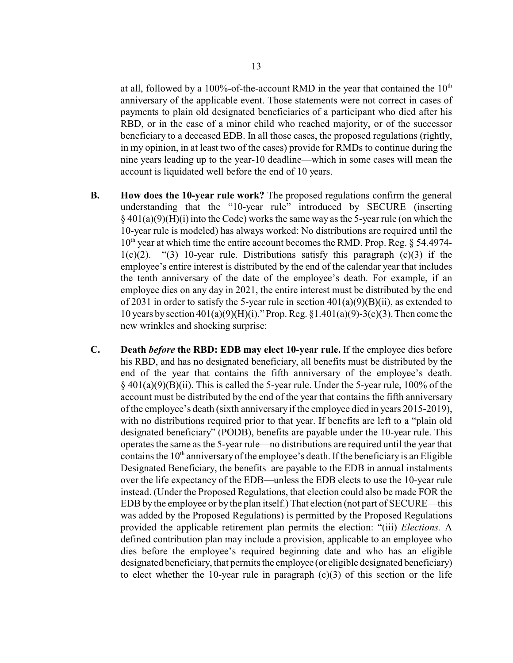at all, followed by a 100%-of-the-account RMD in the year that contained the  $10<sup>th</sup>$ anniversary of the applicable event. Those statements were not correct in cases of payments to plain old designated beneficiaries of a participant who died after his RBD, or in the case of a minor child who reached majority, or of the successor beneficiary to a deceased EDB. In all those cases, the proposed regulations (rightly, in my opinion, in at least two of the cases) provide for RMDs to continue during the nine years leading up to the year-10 deadline—which in some cases will mean the

- **B. How does the 10-year rule work?** The proposed regulations confirm the general understanding that the "10-year rule" introduced by SECURE (inserting  $\S$  401(a)(9)(H)(i) into the Code) works the same way as the 5-year rule (on which the 10-year rule is modeled) has always worked: No distributions are required until the 10<sup>th</sup> year at which time the entire account becomes the RMD. Prop. Reg. § 54.4974- $1(c)(2)$ . "(3) 10-year rule. Distributions satisfy this paragraph  $(c)(3)$  if the employee's entire interest is distributed by the end of the calendar year that includes the tenth anniversary of the date of the employee's death. For example, if an employee dies on any day in 2021, the entire interest must be distributed by the end of 2031 in order to satisfy the 5-year rule in section 401(a)(9)(B)(ii), as extended to 10 years by section 401(a)(9)(H)(i)." Prop. Reg. §1.401(a)(9)-3(c)(3). Then come the new wrinkles and shocking surprise:
- **C. Death** *before* **the RBD: EDB may elect 10-year rule.** If the employee dies before his RBD, and has no designated beneficiary, all benefits must be distributed by the end of the year that contains the fifth anniversary of the employee's death.  $\S$  401(a)(9)(B)(ii). This is called the 5-year rule. Under the 5-year rule, 100% of the account must be distributed by the end of the year that contains the fifth anniversary of the employee's death (sixth anniversary if the employee died in years 2015-2019), with no distributions required prior to that year. If benefits are left to a "plain old designated beneficiary" (PODB), benefits are payable under the 10-year rule. This operates the same as the 5-year rule—no distributions are required until the year that contains the  $10<sup>th</sup>$  anniversary of the employee's death. If the beneficiary is an Eligible Designated Beneficiary, the benefits are payable to the EDB in annual instalments over the life expectancy of the EDB—unless the EDB elects to use the 10-year rule instead. (Under the Proposed Regulations, that election could also be made FOR the EDBby the employee or by the plan itself.) That election (not part of SECURE—this was added by the Proposed Regulations) is permitted by the Proposed Regulations provided the applicable retirement plan permits the election: "(iii) *Elections.* A defined contribution plan may include a provision, applicable to an employee who dies before the employee's required beginning date and who has an eligible designated beneficiary, that permits the employee (or eligible designated beneficiary) to elect whether the 10-year rule in paragraph (c)(3) of this section or the life

account is liquidated well before the end of 10 years.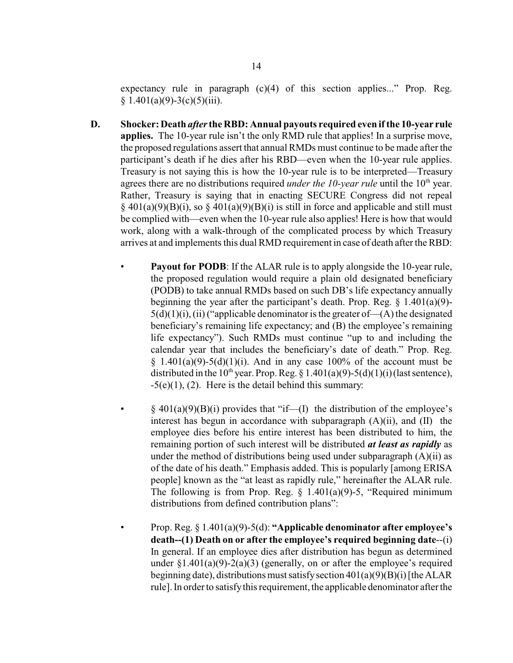expectancy rule in paragraph  $(c)(4)$  of this section applies..." Prop. Reg.  $§ 1.401(a)(9)-3(c)(5)(iii).$ 

- **D. Shocker: Death** *after***the RBD: Annual payouts required even ifthe 10-year rule applies.** The 10-year rule isn't the only RMD rule that applies! In a surprise move, the proposed regulations assert that annual RMDs must continue to be made after the participant's death if he dies after his RBD—even when the 10-year rule applies. Treasury is not saying this is how the 10-year rule is to be interpreted—Treasury agrees there are no distributions required *under the 10-year rule* until the 10<sup>th</sup> year. Rather, Treasury is saying that in enacting SECURE Congress did not repeal  $\S$  401(a)(9)(B)(i), so  $\S$  401(a)(9)(B)(i) is still in force and applicable and still must be complied with—even when the 10-year rule also applies! Here is how that would work, along with a walk-through of the complicated process by which Treasury arrives at and implements this dual RMD requirement in case of death after the RBD:
	- **Payout for PODB**: If the ALAR rule is to apply alongside the 10-year rule, the proposed regulation would require a plain old designated beneficiary (PODB) to take annual RMDs based on such DB's life expectancy annually beginning the year after the participant's death. Prop. Reg.  $\S$  1.401(a)(9)- $5(d)(1)(i)$ , (ii) ("applicable denominator is the greater of  $-(A)$  the designated beneficiary's remaining life expectancy; and (B) the employee's remaining life expectancy"). Such RMDs must continue "up to and including the calendar year that includes the beneficiary's date of death." Prop. Reg.  $§$  1.401(a)(9)-5(d)(1)(i). And in any case 100% of the account must be distributed in the 10<sup>th</sup> year. Prop. Reg. § 1.401(a)(9)-5(d)(1)(i)(last sentence),  $-5(e)(1)$ , (2). Here is the detail behind this summary:
		- $\S$  401(a)(9)(B)(i) provides that "if—(I) the distribution of the employee's interest has begun in accordance with subparagraph (A)(ii), and (II) the employee dies before his entire interest has been distributed to him, the remaining portion of such interest will be distributed *at least as rapidly* as under the method of distributions being used under subparagraph  $(A)(ii)$  as of the date of his death." Emphasis added. This is popularly [among ERISA people] known as the "at least as rapidly rule," hereinafter the ALAR rule. The following is from Prop. Reg.  $\S$  1.401(a)(9)-5, "Required minimum distributions from defined contribution plans":
		- Prop. Reg. § 1.401(a)(9)-5(d): **"Applicable denominator after employee's death--(1) Death on or after the employee's required beginning date**--(i) In general. If an employee dies after distribution has begun as determined under  $\S1.401(a)(9)-2(a)(3)$  (generally, on or after the employee's required beginning date), distributions must satisfy section  $401(a)(9)(B)(i)$  [the ALAR rule]. In order to satisfythis requirement, the applicable denominator after the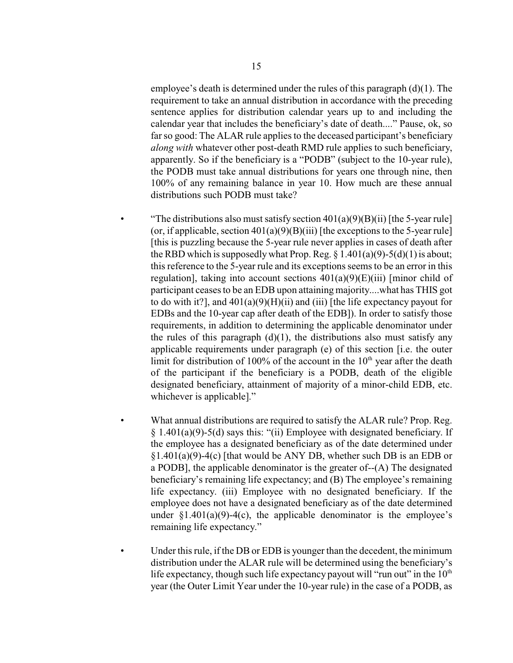employee's death is determined under the rules of this paragraph  $(d)(1)$ . The requirement to take an annual distribution in accordance with the preceding sentence applies for distribution calendar years up to and including the calendar year that includes the beneficiary's date of death...." Pause, ok, so far so good: The ALAR rule applies to the deceased participant's beneficiary *along with* whatever other post-death RMD rule applies to such beneficiary, apparently. So if the beneficiary is a "PODB" (subject to the 10-year rule), the PODB must take annual distributions for years one through nine, then 100% of any remaining balance in year 10. How much are these annual distributions such PODB must take?

- "The distributions also must satisfy section  $401(a)(9)(B)(ii)$  [the 5-year rule] (or, if applicable, section  $401(a)(9)(B)(iii)$  [the exceptions to the 5-year rule] [this is puzzling because the 5-year rule never applies in cases of death after the RBD which is supposedly what Prop. Reg.  $\S 1.401(a)(9) - 5(d)(1)$  is about; this reference to the 5-year rule and its exceptions seems to be an error in this regulation], taking into account sections  $401(a)(9)(E)(iii)$  [minor child of participant ceases to be an EDB upon attaining majority....what has THIS got to do with it?], and  $401(a)(9)(H)(ii)$  and (iii) [the life expectancy payout for EDBs and the 10-year cap after death of the EDB]). In order to satisfy those requirements, in addition to determining the applicable denominator under the rules of this paragraph  $(d)(1)$ , the distributions also must satisfy any applicable requirements under paragraph (e) of this section [i.e. the outer limit for distribution of 100% of the account in the  $10<sup>th</sup>$  year after the death of the participant if the beneficiary is a PODB, death of the eligible designated beneficiary, attainment of majority of a minor-child EDB, etc. whichever is applicable]."
- What annual distributions are required to satisfy the ALAR rule? Prop. Reg. § 1.401(a)(9)-5(d) says this: "(ii) Employee with designated beneficiary. If the employee has a designated beneficiary as of the date determined under  $§1.401(a)(9)-4(c)$  [that would be ANY DB, whether such DB is an EDB or a PODB], the applicable denominator is the greater of--(A) The designated beneficiary's remaining life expectancy; and (B) The employee's remaining life expectancy. (iii) Employee with no designated beneficiary. If the employee does not have a designated beneficiary as of the date determined under  $$1.401(a)(9)-4(c)$ , the applicable denominator is the employee's remaining life expectancy."
- Under this rule, if the DB or EDB is younger than the decedent, the minimum distribution under the ALAR rule will be determined using the beneficiary's life expectancy, though such life expectancy payout will "run out" in the  $10<sup>th</sup>$ year (the Outer Limit Year under the 10-year rule) in the case of a PODB, as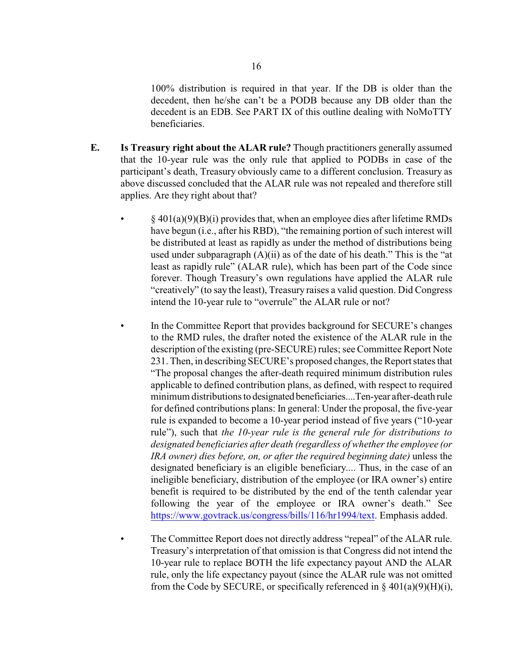100% distribution is required in that year. If the DB is older than the decedent, then he/she can't be a PODB because any DB older than the decedent is an EDB. See PART IX of this outline dealing with NoMoTTY beneficiaries.

- **E. Is Treasury right about the ALAR rule?** Though practitioners generally assumed that the 10-year rule was the only rule that applied to PODBs in case of the participant's death, Treasury obviously came to a different conclusion. Treasury as above discussed concluded that the ALAR rule was not repealed and therefore still applies. Are they right about that?
	- $\S$  401(a)(9)(B)(i) provides that, when an employee dies after lifetime RMDs have begun (i.e., after his RBD), "the remaining portion of such interest will be distributed at least as rapidly as under the method of distributions being used under subparagraph (A)(ii) as of the date of his death." This is the "at least as rapidly rule" (ALAR rule), which has been part of the Code since forever. Though Treasury's own regulations have applied the ALAR rule "creatively" (to say the least), Treasury raises a valid question. Did Congress intend the 10-year rule to "overrule" the ALAR rule or not?
		- In the Committee Report that provides background for SECURE's changes to the RMD rules, the drafter noted the existence of the ALAR rule in the description of the existing (pre-SECURE) rules; see Committee Report Note 231. Then, in describing SECURE's proposed changes, the Report states that "The proposal changes the after-death required minimum distribution rules applicable to defined contribution plans, as defined, with respect to required minimum distributions to designated beneficiaries....Ten-year after-death rule for defined contributions plans: In general: Under the proposal, the five-year rule is expanded to become a 10-year period instead of five years ("10-year rule"), such that *the 10-year rule is the general rule for distributions to designated beneficiaries after death (regardless of whether the employee (or IRA owner) dies before, on, or after the required beginning date)* unless the designated beneficiary is an eligible beneficiary.... Thus, in the case of an ineligible beneficiary, distribution of the employee (or IRA owner's) entire benefit is required to be distributed by the end of the tenth calendar year following the year of the employee or IRA owner's death." See <https://www.govtrack.us/congress/bills/116/hr1994/text>. Emphasis added.
		- The Committee Report does not directly address "repeal" of the ALAR rule. Treasury's interpretation of that omission is that Congress did not intend the 10-year rule to replace BOTH the life expectancy payout AND the ALAR rule, only the life expectancy payout (since the ALAR rule was not omitted from the Code by SECURE, or specifically referenced in  $\S$  401(a)(9)(H)(i),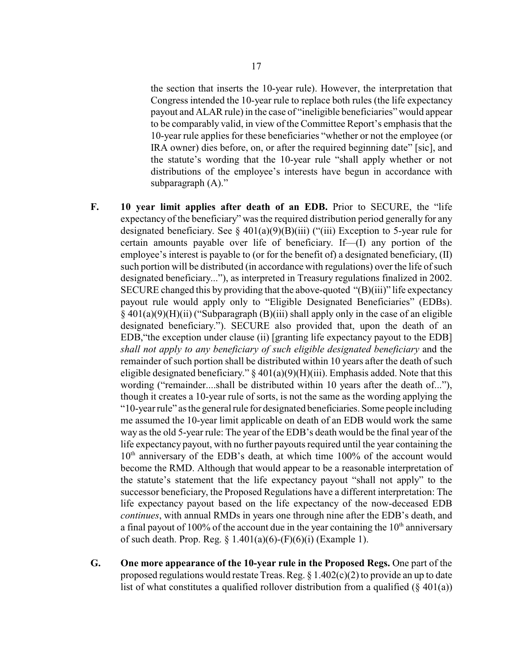the section that inserts the 10-year rule). However, the interpretation that Congress intended the 10-year rule to replace both rules (the life expectancy payout and ALAR rule) in the case of "ineligible beneficiaries" would appear to be comparably valid, in view of the Committee Report's emphasis that the 10-year rule applies for these beneficiaries "whether or not the employee (or IRA owner) dies before, on, or after the required beginning date" [sic], and the statute's wording that the 10-year rule "shall apply whether or not distributions of the employee's interests have begun in accordance with subparagraph (A)."

- **F. 10 year limit applies after death of an EDB.** Prior to SECURE, the "life expectancy of the beneficiary" was the required distribution period generally for any designated beneficiary. See  $\S$  401(a)(9)(B)(iii) ("(iii) Exception to 5-year rule for certain amounts payable over life of beneficiary. If—(I) any portion of the employee's interest is payable to (or for the benefit of) a designated beneficiary, (II) such portion will be distributed (in accordance with regulations) over the life of such designated beneficiary..."), as interpreted in Treasury regulations finalized in 2002. SECURE changed this by providing that the above-quoted "(B)(iii)" life expectancy payout rule would apply only to "Eligible Designated Beneficiaries" (EDBs).  $§$  401(a)(9)(H)(ii) ("Subparagraph (B)(iii) shall apply only in the case of an eligible designated beneficiary."). SECURE also provided that, upon the death of an EDB,"the exception under clause (ii) [granting life expectancy payout to the EDB] *shall not apply to any beneficiary of such eligible designated beneficiary* and the remainder of such portion shall be distributed within 10 years after the death of such eligible designated beneficiary."  $\S 401(a)(9)(H)(iii)$ . Emphasis added. Note that this wording ("remainder....shall be distributed within 10 years after the death of..."), though it creates a 10-year rule of sorts, is not the same as the wording applying the "10-year rule" as the general rule for designated beneficiaries. Some people including me assumed the 10-year limit applicable on death of an EDB would work the same way as the old 5-year rule: The year of the EDB's death would be the final year of the life expectancy payout, with no further payouts required until the year containing the 10<sup>th</sup> anniversary of the EDB's death, at which time 100% of the account would become the RMD. Although that would appear to be a reasonable interpretation of the statute's statement that the life expectancy payout "shall not apply" to the successor beneficiary, the Proposed Regulations have a different interpretation: The life expectancy payout based on the life expectancy of the now-deceased EDB *continues*, with annual RMDs in years one through nine after the EDB's death, and a final payout of 100% of the account due in the year containing the  $10<sup>th</sup>$  anniversary of such death. Prop. Reg. § 1.401(a)(6)-(F)(6)(i) (Example 1).
- **G. One more appearance of the 10-year rule in the Proposed Regs.** One part of the proposed regulations would restate Treas. Reg. § 1.402(c)(2) to provide an up to date list of what constitutes a qualified rollover distribution from a qualified  $(\S 401(a))$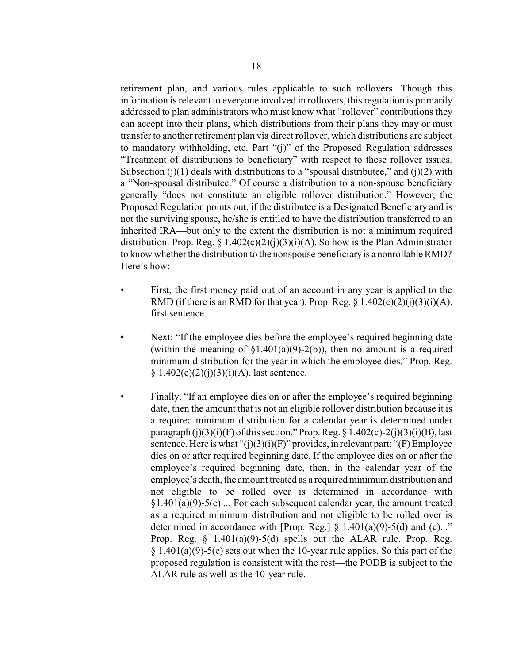retirement plan, and various rules applicable to such rollovers. Though this information is relevant to everyone involved in rollovers, this regulation is primarily addressed to plan administrators who must know what "rollover" contributions they can accept into their plans, which distributions from their plans they may or must transfer to another retirement plan via direct rollover, which distributions are subject to mandatory withholding, etc. Part "(j)" of the Proposed Regulation addresses "Treatment of distributions to beneficiary" with respect to these rollover issues. Subsection (j)(1) deals with distributions to a "spousal distributee," and (j)(2) with a "Non-spousal distributee." Of course a distribution to a non-spouse beneficiary generally "does not constitute an eligible rollover distribution." However, the Proposed Regulation points out, if the distributee is a Designated Beneficiary and is not the surviving spouse, he/she is entitled to have the distribution transferred to an inherited IRA—but only to the extent the distribution is not a minimum required distribution. Prop. Reg. § 1.402(c)(2)(j)(3)(i)(A). So how is the Plan Administrator to know whether the distribution to the nonspouse beneficiaryis a nonrollable RMD? Here's how:

- First, the first money paid out of an account in any year is applied to the RMD (if there is an RMD for that year). Prop. Reg.  $\S 1.402(c)(2)(i)(3)(i)(A)$ , first sentence.
- Next: "If the employee dies before the employee's required beginning date (within the meaning of  $\S1.401(a)(9)-2(b)$ ), then no amount is a required minimum distribution for the year in which the employee dies." Prop. Reg.  $§ 1.402(c)(2)(i)(3)(i)(A)$ , last sentence.
- Finally, "If an employee dies on or after the employee's required beginning date, then the amount that is not an eligible rollover distribution because it is a required minimum distribution for a calendar year is determined under paragraph  $(j)(3)(i)(F)$  of this section." Prop. Reg. § 1.402(c)-2(j)(3)(i)(B), last sentence. Here is what " $(i)(3)(i)(F)$ " provides, in relevant part: " $(F)$  Employee dies on or after required beginning date. If the employee dies on or after the employee's required beginning date, then, in the calendar year of the employee's death, the amount treated as a required minimum distribution and not eligible to be rolled over is determined in accordance with  $§1.401(a)(9)-5(c)$ .... For each subsequent calendar year, the amount treated as a required minimum distribution and not eligible to be rolled over is determined in accordance with [Prop. Reg.]  $\S$  1.401(a)(9)-5(d) and (e)..." Prop. Reg.  $\S$  1.401(a)(9)-5(d) spells out the ALAR rule. Prop. Reg.  $§ 1.401(a)(9)-5(e)$  sets out when the 10-year rule applies. So this part of the proposed regulation is consistent with the rest—the PODB is subject to the ALAR rule as well as the 10-year rule.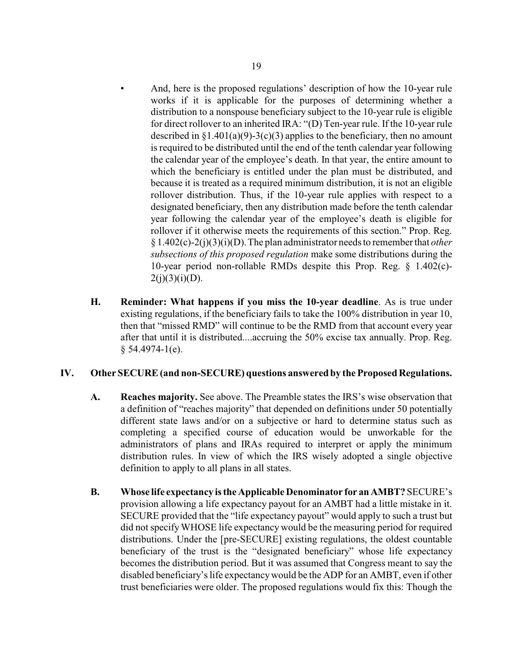- And, here is the proposed regulations' description of how the 10-year rule works if it is applicable for the purposes of determining whether a distribution to a nonspouse beneficiary subject to the 10-year rule is eligible for direct rollover to an inherited IRA: "(D) Ten-year rule. If the 10-year rule described in  $\S1.401(a)(9)-3(c)(3)$  applies to the beneficiary, then no amount is required to be distributed until the end of the tenth calendar year following the calendar year of the employee's death. In that year, the entire amount to which the beneficiary is entitled under the plan must be distributed, and because it is treated as a required minimum distribution, it is not an eligible rollover distribution. Thus, if the 10-year rule applies with respect to a designated beneficiary, then any distribution made before the tenth calendar year following the calendar year of the employee's death is eligible for rollover if it otherwise meets the requirements of this section." Prop. Reg. § 1.402(c)-2(j)(3)(i)(D). The plan administrator needs to remember that *other subsections of this proposed regulation* make some distributions during the 10-year period non-rollable RMDs despite this Prop. Reg. § 1.402(c)-  $2(i)(3)(i)(D)$ .
- **H. Reminder: What happens if you miss the 10-year deadline**. As is true under existing regulations, if the beneficiary fails to take the 100% distribution in year 10, then that "missed RMD" will continue to be the RMD from that account every year after that until it is distributed....accruing the 50% excise tax annually. Prop. Reg.  $§ 54.4974-1(e).$

## **IV. Other SECURE (and non-SECURE) questions answered by the Proposed Regulations.**

- **A. Reaches majority.** See above. The Preamble states the IRS's wise observation that a definition of "reaches majority" that depended on definitions under 50 potentially different state laws and/or on a subjective or hard to determine status such as completing a specified course of education would be unworkable for the administrators of plans and IRAs required to interpret or apply the minimum distribution rules. In view of which the IRS wisely adopted a single objective definition to apply to all plans in all states.
- **B. Whose life expectancy is the Applicable Denominator for anAMBT?** SECURE's provision allowing a life expectancy payout for an AMBT had a little mistake in it. SECURE provided that the "life expectancy payout" would apply to such a trust but did not specifyWHOSE life expectancy would be the measuring period for required distributions. Under the [pre-SECURE] existing regulations, the oldest countable beneficiary of the trust is the "designated beneficiary" whose life expectancy becomes the distribution period. But it was assumed that Congress meant to say the disabled beneficiary's life expectancywould be the ADP for an AMBT, even if other trust beneficiaries were older. The proposed regulations would fix this: Though the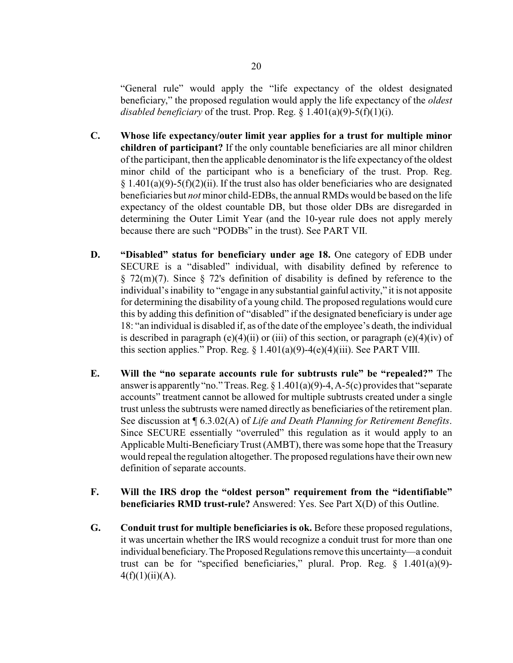"General rule" would apply the "life expectancy of the oldest designated beneficiary," the proposed regulation would apply the life expectancy of the *oldest disabled beneficiary* of the trust. Prop. Reg.  $\S$  1.401(a)(9)-5(f)(1)(i).

- **C. Whose life expectancy/outer limit year applies for a trust for multiple minor children of participant?** If the only countable beneficiaries are all minor children of the participant, then the applicable denominator is the life expectancyof the oldest minor child of the participant who is a beneficiary of the trust. Prop. Reg.  $§$  1.401(a)(9)-5(f)(2)(ii). If the trust also has older beneficiaries who are designated beneficiaries but *not* minor child-EDBs, the annual RMDs would be based on the life expectancy of the oldest countable DB, but those older DBs are disregarded in determining the Outer Limit Year (and the 10-year rule does not apply merely because there are such "PODBs" in the trust). See PART VII.
- **D. "Disabled" status for beneficiary under age 18.** One category of EDB under SECURE is a "disabled" individual, with disability defined by reference to  $\S$  72(m)(7). Since  $\S$  72's definition of disability is defined by reference to the individual's inability to "engage in any substantial gainful activity," it is not apposite for determining the disability of a young child. The proposed regulations would cure this by adding this definition of "disabled" if the designated beneficiary is under age 18: "an individual is disabled if, as of the date of the employee's death, the individual is described in paragraph (e)(4)(ii) or (iii) of this section, or paragraph (e)(4)(iv) of this section applies." Prop. Reg.  $\S$  1.401(a)(9)-4(e)(4)(iii). See PART VIII.
- **E. Will the "no separate accounts rule for subtrusts rule" be "repealed?"** The answer is apparently "no." Treas. Reg.  $\S 1.401(a)(9)$ -4, A-5(c) provides that "separate accounts" treatment cannot be allowed for multiple subtrusts created under a single trust unless the subtrusts were named directly as beneficiaries of the retirement plan. See discussion at ¶ 6.3.02(A) of *Life and Death Planning for Retirement Benefits*. Since SECURE essentially "overruled" this regulation as it would apply to an Applicable Multi-BeneficiaryTrust (AMBT), there was some hope that the Treasury would repeal the regulation altogether. The proposed regulations have their own new definition of separate accounts.
- **F. Will the IRS drop the "oldest person" requirement from the "identifiable" beneficiaries RMD trust-rule?** Answered: Yes. See Part X(D) of this Outline.
- **G. Conduit trust for multiple beneficiaries is ok.** Before these proposed regulations, it was uncertain whether the IRS would recognize a conduit trust for more than one individual beneficiary. The Proposed Regulations remove this uncertainty—a conduit trust can be for "specified beneficiaries," plural. Prop. Reg.  $\S$  1.401(a)(9)- $4(f)(1)(ii)(A).$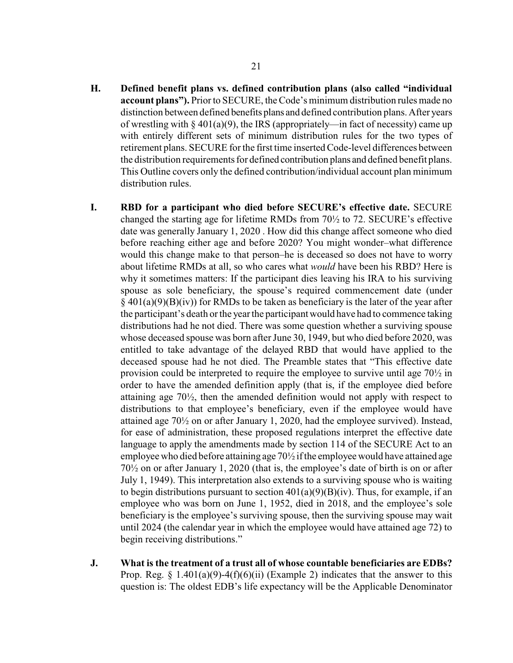- **H. Defined benefit plans vs. defined contribution plans (also called "individual account plans").** Prior to SECURE, the Code's minimum distribution rules made no distinction between defined benefits plans and defined contribution plans. After years of wrestling with  $\S 401(a)(9)$ , the IRS (appropriately—in fact of necessity) came up with entirely different sets of minimum distribution rules for the two types of retirement plans. SECURE for the first time inserted Code-level differences between the distribution requirements for defined contribution plans and defined benefit plans. This Outline covers only the defined contribution/individual account plan minimum distribution rules.
- **I. RBD for a participant who died before SECURE's effective date.** SECURE changed the starting age for lifetime RMDs from  $70\frac{1}{2}$  to 72. SECURE's effective date was generally January 1, 2020 . How did this change affect someone who died before reaching either age and before 2020? You might wonder–what difference would this change make to that person–he is deceased so does not have to worry about lifetime RMDs at all, so who cares what *would* have been his RBD? Here is why it sometimes matters: If the participant dies leaving his IRA to his surviving spouse as sole beneficiary, the spouse's required commencement date (under  $\S$  401(a)(9)(B)(iv)) for RMDs to be taken as beneficiary is the later of the year after the participant's death or the year the participant would have had to commence taking distributions had he not died. There was some question whether a surviving spouse whose deceased spouse was born after June 30, 1949, but who died before 2020, was entitled to take advantage of the delayed RBD that would have applied to the deceased spouse had he not died. The Preamble states that "This effective date provision could be interpreted to require the employee to survive until age 70½ in order to have the amended definition apply (that is, if the employee died before attaining age 70½, then the amended definition would not apply with respect to distributions to that employee's beneficiary, even if the employee would have attained age 70½ on or after January 1, 2020, had the employee survived). Instead, for ease of administration, these proposed regulations interpret the effective date language to apply the amendments made by section 114 of the SECURE Act to an employee who died before attaining age 70½ if the employee would have attained age 70½ on or after January 1, 2020 (that is, the employee's date of birth is on or after July 1, 1949). This interpretation also extends to a surviving spouse who is waiting to begin distributions pursuant to section  $401(a)(9)(B)(iv)$ . Thus, for example, if an employee who was born on June 1, 1952, died in 2018, and the employee's sole beneficiary is the employee's surviving spouse, then the surviving spouse may wait until 2024 (the calendar year in which the employee would have attained age 72) to begin receiving distributions."
- **J. What is the treatment of a trust all of whose countable beneficiaries are EDBs?** Prop. Reg.  $\S 1.401(a)(9)-4(f)(6)(ii)$  (Example 2) indicates that the answer to this question is: The oldest EDB's life expectancy will be the Applicable Denominator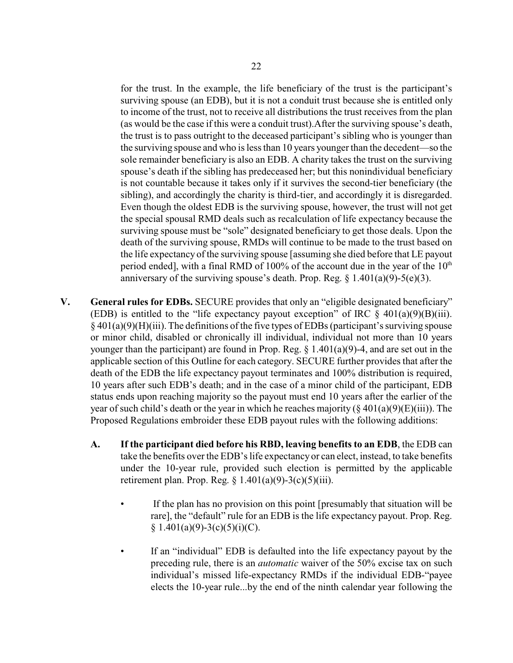for the trust. In the example, the life beneficiary of the trust is the participant's surviving spouse (an EDB), but it is not a conduit trust because she is entitled only to income of the trust, not to receive all distributions the trust receives from the plan (as would be the case if this were a conduit trust).After the surviving spouse's death, the trust is to pass outright to the deceased participant's sibling who is younger than the surviving spouse and who is less than 10 years younger than the decedent—so the sole remainder beneficiary is also an EDB. A charity takes the trust on the surviving spouse's death if the sibling has predeceased her; but this nonindividual beneficiary is not countable because it takes only if it survives the second-tier beneficiary (the sibling), and accordingly the charity is third-tier, and accordingly it is disregarded. Even though the oldest EDB is the surviving spouse, however, the trust will not get the special spousal RMD deals such as recalculation of life expectancy because the surviving spouse must be "sole" designated beneficiary to get those deals. Upon the death of the surviving spouse, RMDs will continue to be made to the trust based on the life expectancy of the surviving spouse [assuming she died before that LE payout period ended], with a final RMD of 100% of the account due in the year of the  $10<sup>th</sup>$ anniversary of the surviving spouse's death. Prop. Reg.  $\S$  1.401(a)(9)-5(e)(3).

- **V. General rules for EDBs.** SECURE provides that only an "eligible designated beneficiary" (EDB) is entitled to the "life expectancy payout exception" of IRC  $\S$  401(a)(9)(B)(iii).  $§$  401(a)(9)(H)(iii). The definitions of the five types of EDBs (participant's surviving spouse or minor child, disabled or chronically ill individual, individual not more than 10 years younger than the participant) are found in Prop. Reg. § 1.401(a)(9)-4, and are set out in the applicable section of this Outline for each category. SECURE further provides that after the death of the EDB the life expectancy payout terminates and 100% distribution is required, 10 years after such EDB's death; and in the case of a minor child of the participant, EDB status ends upon reaching majority so the payout must end 10 years after the earlier of the year of such child's death or the year in which he reaches majority ( $\S 401(a)(9)(E)(iii)$ ). The Proposed Regulations embroider these EDB payout rules with the following additions:
	- **A. If the participant died before his RBD, leaving benefits to an EDB**, the EDB can take the benefits over the EDB's life expectancy or can elect, instead, to take benefits under the 10-year rule, provided such election is permitted by the applicable retirement plan. Prop. Reg.  $\S 1.401(a)(9)-3(c)(5)(iii)$ .
		- If the plan has no provision on this point [presumably that situation will be rare], the "default" rule for an EDB is the life expectancy payout. Prop. Reg.  $§ 1.401(a)(9)-3(c)(5)(i)(C).$
		- If an "individual" EDB is defaulted into the life expectancy payout by the preceding rule, there is an *automatic* waiver of the 50% excise tax on such individual's missed life-expectancy RMDs if the individual EDB-"payee elects the 10-year rule...by the end of the ninth calendar year following the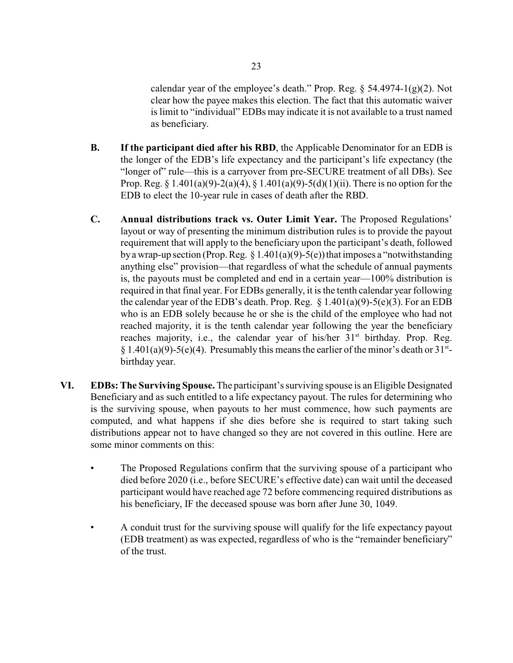calendar year of the employee's death." Prop. Reg.  $\S$  54.4974-1(g)(2). Not clear how the payee makes this election. The fact that this automatic waiver is limit to "individual" EDBs may indicate it is not available to a trust named as beneficiary.

- **B. If the participant died after his RBD**, the Applicable Denominator for an EDB is the longer of the EDB's life expectancy and the participant's life expectancy (the "longer of" rule—this is a carryover from pre-SECURE treatment of all DBs). See Prop. Reg. § 1.401(a)(9)-2(a)(4), § 1.401(a)(9)-5(d)(1)(ii). There is no option for the EDB to elect the 10-year rule in cases of death after the RBD.
- **C. Annual distributions track vs. Outer Limit Year.** The Proposed Regulations' layout or way of presenting the minimum distribution rules is to provide the payout requirement that will apply to the beneficiary upon the participant's death, followed by a wrap-up section (Prop. Reg.  $\S 1.401(a)(9) - 5(e)$ ) that imposes a "notwithstanding anything else" provision—that regardless of what the schedule of annual payments is, the payouts must be completed and end in a certain year—100% distribution is required in that final year. For EDBs generally, it is the tenth calendar year following the calendar year of the EDB's death. Prop. Reg.  $\S 1.401(a)(9) - 5(e)(3)$ . For an EDB who is an EDB solely because he or she is the child of the employee who had not reached majority, it is the tenth calendar year following the year the beneficiary reaches majority, i.e., the calendar year of his/her 31<sup>st</sup> birthday. Prop. Reg. § 1.401(a)(9)-5(e)(4). Presumably this means the earlier of the minor's death or  $31^{st}$ birthday year.
- **VI. EDBs: The Surviving Spouse.** The participant's surviving spouse is an Eligible Designated Beneficiary and as such entitled to a life expectancy payout. The rules for determining who is the surviving spouse, when payouts to her must commence, how such payments are computed, and what happens if she dies before she is required to start taking such distributions appear not to have changed so they are not covered in this outline. Here are some minor comments on this:
	- The Proposed Regulations confirm that the surviving spouse of a participant who died before 2020 (i.e., before SECURE's effective date) can wait until the deceased participant would have reached age 72 before commencing required distributions as his beneficiary, IF the deceased spouse was born after June 30, 1049.
	- A conduit trust for the surviving spouse will qualify for the life expectancy payout (EDB treatment) as was expected, regardless of who is the "remainder beneficiary" of the trust.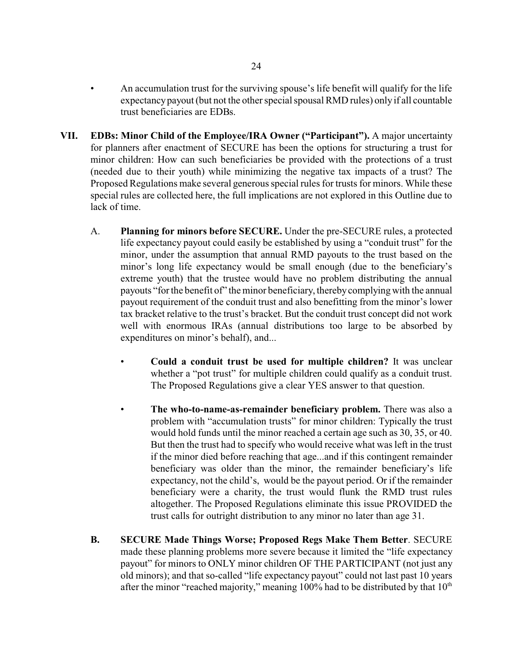- An accumulation trust for the surviving spouse's life benefit will qualify for the life expectancypayout (but not the other special spousal RMD rules) only if all countable trust beneficiaries are EDBs.
- **VII. EDBs: Minor Child of the Employee/IRA Owner ("Participant").** A major uncertainty for planners after enactment of SECURE has been the options for structuring a trust for minor children: How can such beneficiaries be provided with the protections of a trust (needed due to their youth) while minimizing the negative tax impacts of a trust? The Proposed Regulations make several generous special rules for trusts for minors. While these special rules are collected here, the full implications are not explored in this Outline due to lack of time.
	- A. **Planning for minors before SECURE.** Under the pre-SECURE rules, a protected life expectancy payout could easily be established by using a "conduit trust" for the minor, under the assumption that annual RMD payouts to the trust based on the minor's long life expectancy would be small enough (due to the beneficiary's extreme youth) that the trustee would have no problem distributing the annual payouts "for the benefit of" the minor beneficiary, therebycomplying with the annual payout requirement of the conduit trust and also benefitting from the minor's lower tax bracket relative to the trust's bracket. But the conduit trust concept did not work well with enormous IRAs (annual distributions too large to be absorbed by expenditures on minor's behalf), and...
		- **Could a conduit trust be used for multiple children?** It was unclear whether a "pot trust" for multiple children could qualify as a conduit trust. The Proposed Regulations give a clear YES answer to that question.
		- **The who-to-name-as-remainder beneficiary problem.** There was also a problem with "accumulation trusts" for minor children: Typically the trust would hold funds until the minor reached a certain age such as 30, 35, or 40. But then the trust had to specify who would receive what was left in the trust if the minor died before reaching that age...and if this contingent remainder beneficiary was older than the minor, the remainder beneficiary's life expectancy, not the child's, would be the payout period. Or if the remainder beneficiary were a charity, the trust would flunk the RMD trust rules altogether. The Proposed Regulations eliminate this issue PROVIDED the trust calls for outright distribution to any minor no later than age 31.
	- **B. SECURE Made Things Worse; Proposed Regs Make Them Better**. SECURE made these planning problems more severe because it limited the "life expectancy payout" for minors to ONLY minor children OF THE PARTICIPANT (not just any old minors); and that so-called "life expectancy payout" could not last past 10 years after the minor "reached majority," meaning  $100\%$  had to be distributed by that  $10<sup>th</sup>$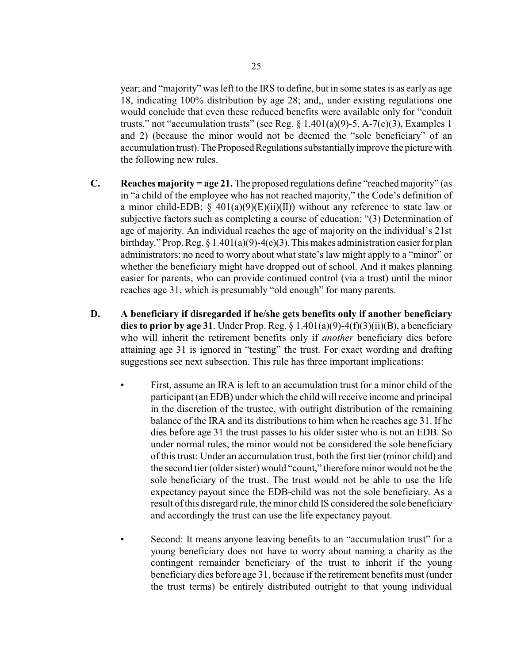year; and "majority" was left to the IRS to define, but in some states is as early as age 18, indicating 100% distribution by age 28; and,, under existing regulations one would conclude that even these reduced benefits were available only for "conduit trusts," not "accumulation trusts" (see Reg. § 1.401(a)(9)-5, A-7(c)(3), Examples 1 and 2) (because the minor would not be deemed the "sole beneficiary" of an accumulation trust). The Proposed Regulations substantially improve the picture with the following new rules.

- **C. Reaches majority = age 21.** The proposed regulations define "reached majority" (as in "a child of the employee who has not reached majority," the Code's definition of a minor child-EDB;  $\S$  401(a)(9)(E)(ii)(II)) without any reference to state law or subjective factors such as completing a course of education: "(3) Determination of age of majority. An individual reaches the age of majority on the individual's 21st birthday." Prop. Reg.  $\S 1.401(a)(9) - 4(e)(3)$ . This makes administration easier for plan administrators: no need to worry about what state's law might apply to a "minor" or whether the beneficiary might have dropped out of school. And it makes planning easier for parents, who can provide continued control (via a trust) until the minor reaches age 31, which is presumably "old enough" for many parents.
- **D. A beneficiary if disregarded if he/she gets benefits only if another beneficiary dies to prior by age 31**. Under Prop. Reg.  $\S 1.401(a)(9) - 4(f)(3)(ii)(B)$ , a beneficiary who will inherit the retirement benefits only if *another* beneficiary dies before attaining age 31 is ignored in "testing" the trust. For exact wording and drafting suggestions see next subsection. This rule has three important implications:
	- First, assume an IRA is left to an accumulation trust for a minor child of the participant (an EDB) under which the child will receive income and principal in the discretion of the trustee, with outright distribution of the remaining balance of the IRA and its distributions to him when he reaches age 31. If he dies before age 31 the trust passes to his older sister who is not an EDB. So under normal rules, the minor would not be considered the sole beneficiary of this trust: Under an accumulation trust, both the first tier (minor child) and the second tier (older sister) would "count," therefore minor would not be the sole beneficiary of the trust. The trust would not be able to use the life expectancy payout since the EDB-child was not the sole beneficiary. As a result of this disregard rule, the minor child IS considered the sole beneficiary and accordingly the trust can use the life expectancy payout.
	- Second: It means anyone leaving benefits to an "accumulation trust" for a young beneficiary does not have to worry about naming a charity as the contingent remainder beneficiary of the trust to inherit if the young beneficiary dies before age 31, because if the retirement benefits must (under the trust terms) be entirely distributed outright to that young individual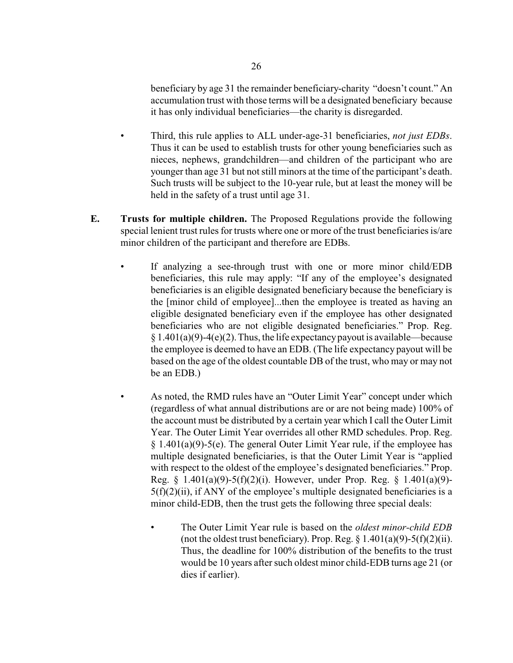beneficiary by age 31 the remainder beneficiary-charity "doesn't count." An accumulation trust with those terms will be a designated beneficiary because it has only individual beneficiaries—the charity is disregarded.

- Third, this rule applies to ALL under-age-31 beneficiaries, *not just EDBs*. Thus it can be used to establish trusts for other young beneficiaries such as nieces, nephews, grandchildren—and children of the participant who are younger than age 31 but not still minors at the time of the participant's death. Such trusts will be subject to the 10-year rule, but at least the money will be held in the safety of a trust until age 31.
- **E. Trusts for multiple children.** The Proposed Regulations provide the following special lenient trust rules for trusts where one or more of the trust beneficiaries is/are minor children of the participant and therefore are EDBs.
	- If analyzing a see-through trust with one or more minor child/EDB beneficiaries, this rule may apply: "If any of the employee's designated beneficiaries is an eligible designated beneficiary because the beneficiary is the [minor child of employee]...then the employee is treated as having an eligible designated beneficiary even if the employee has other designated beneficiaries who are not eligible designated beneficiaries." Prop. Reg.  $§ 1.401(a)(9)-4(e)(2)$ . Thus, the life expectancy payout is available—because the employee is deemed to have an EDB. (The life expectancy payout will be based on the age of the oldest countable DB of the trust, who may or may not be an EDB.)
		- As noted, the RMD rules have an "Outer Limit Year" concept under which (regardless of what annual distributions are or are not being made) 100% of the account must be distributed by a certain year which I call the Outer Limit Year. The Outer Limit Year overrides all other RMD schedules. Prop. Reg.  $§ 1.401(a)(9)-5(e)$ . The general Outer Limit Year rule, if the employee has multiple designated beneficiaries, is that the Outer Limit Year is "applied with respect to the oldest of the employee's designated beneficiaries." Prop. Reg.  $\{ 1.401(a)(9) - 5(f)(2)(i) \}$ . However, under Prop. Reg.  $\{ 1.401(a)(9) - 5(f)(2)(i) \}$ .  $5(f)(2)(ii)$ , if ANY of the employee's multiple designated beneficiaries is a minor child-EDB, then the trust gets the following three special deals:
			- The Outer Limit Year rule is based on the *oldest minor-child EDB* (not the oldest trust beneficiary). Prop. Reg.  $\S 1.401(a)(9) - 5(f)(2)(ii)$ . Thus, the deadline for 100% distribution of the benefits to the trust would be 10 years after such oldest minor child-EDB turns age 21 (or dies if earlier).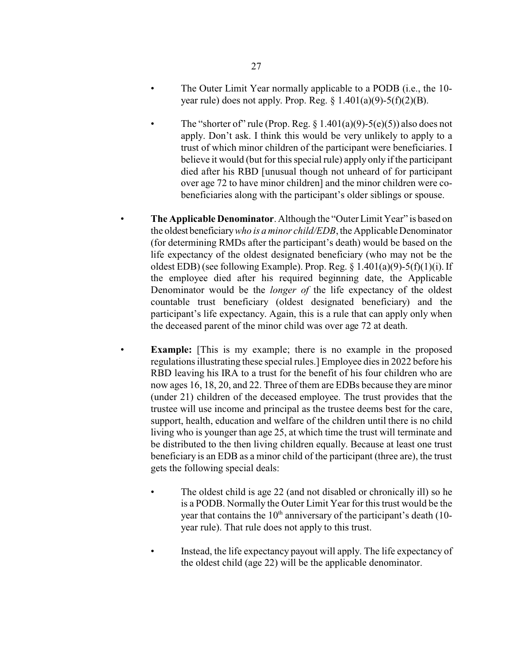- The Outer Limit Year normally applicable to a PODB (i.e., the 10 year rule) does not apply. Prop. Reg.  $\S$  1.401(a)(9)-5(f)(2)(B).
- The "shorter of" rule (Prop. Reg.  $\S 1.401(a)(9) 5(e)(5)$ ) also does not apply. Don't ask. I think this would be very unlikely to apply to a trust of which minor children of the participant were beneficiaries. I believe it would (but for this special rule) apply only if the participant died after his RBD [unusual though not unheard of for participant over age 72 to have minor children] and the minor children were cobeneficiaries along with the participant's older siblings or spouse.
- **The Applicable Denominator**. Although the "Outer Limit Year" is based on the oldest beneficiary*who is a minor child/EDB*, the Applicable Denominator (for determining RMDs after the participant's death) would be based on the life expectancy of the oldest designated beneficiary (who may not be the oldest EDB) (see following Example). Prop. Reg.  $\S$  1.401(a)(9)-5(f)(1)(i). If the employee died after his required beginning date, the Applicable Denominator would be the *longer of* the life expectancy of the oldest countable trust beneficiary (oldest designated beneficiary) and the participant's life expectancy. Again, this is a rule that can apply only when the deceased parent of the minor child was over age 72 at death.
- **Example:** [This is my example; there is no example in the proposed regulations illustrating these special rules.] Employee dies in 2022 before his RBD leaving his IRA to a trust for the benefit of his four children who are now ages 16, 18, 20, and 22. Three of them are EDBs because they are minor (under 21) children of the deceased employee. The trust provides that the trustee will use income and principal as the trustee deems best for the care, support, health, education and welfare of the children until there is no child living who is younger than age 25, at which time the trust will terminate and be distributed to the then living children equally. Because at least one trust beneficiary is an EDB as a minor child of the participant (three are), the trust gets the following special deals:
	- The oldest child is age 22 (and not disabled or chronically ill) so he is a PODB. Normally the Outer Limit Year for this trust would be the year that contains the  $10<sup>th</sup>$  anniversary of the participant's death (10year rule). That rule does not apply to this trust.
	- Instead, the life expectancy payout will apply. The life expectancy of the oldest child (age 22) will be the applicable denominator.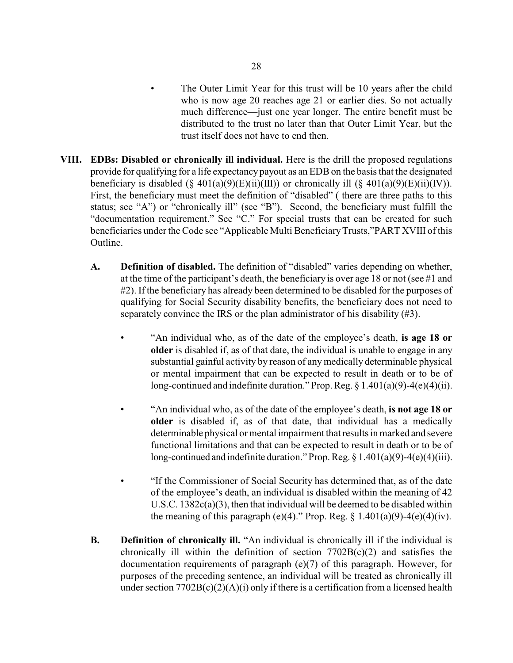- The Outer Limit Year for this trust will be 10 years after the child who is now age 20 reaches age 21 or earlier dies. So not actually much difference—just one year longer. The entire benefit must be distributed to the trust no later than that Outer Limit Year, but the trust itself does not have to end then.
- **VIII. EDBs: Disabled or chronically ill individual.** Here is the drill the proposed regulations provide for qualifying for a life expectancy payout as an EDBon the basis that the designated beneficiary is disabled  $(\S 401(a)(9)(E)(ii)(III))$  or chronically ill  $(\S 401(a)(9)(E)(ii)(IV))$ . First, the beneficiary must meet the definition of "disabled" ( there are three paths to this status; see "A") or "chronically ill" (see "B"). Second, the beneficiary must fulfill the "documentation requirement." See "C." For special trusts that can be created for such beneficiaries under the Code see "Applicable Multi Beneficiary Trusts,"PART XVIII of this Outline.
	- **A. Definition of disabled.** The definition of "disabled" varies depending on whether, at the time of the participant's death, the beneficiary is over age 18 or not (see #1 and #2). If the beneficiary has already been determined to be disabled for the purposes of qualifying for Social Security disability benefits, the beneficiary does not need to separately convince the IRS or the plan administrator of his disability (#3).
		- "An individual who, as of the date of the employee's death, **is age 18 or older** is disabled if, as of that date, the individual is unable to engage in any substantial gainful activity by reason of any medically determinable physical or mental impairment that can be expected to result in death or to be of long-continued and indefinite duration." Prop. Reg.  $\S 1.401(a)(9) - 4(e)(4)(ii)$ .
		- "An individual who, as of the date of the employee's death, **is not age 18 or older** is disabled if, as of that date, that individual has a medically determinable physical or mental impairment that results in marked and severe functional limitations and that can be expected to result in death or to be of long-continued and indefinite duration." Prop. Reg.  $\S 1.401(a)(9) - 4(e)(4)(iii)$ .
		- "If the Commissioner of Social Security has determined that, as of the date of the employee's death, an individual is disabled within the meaning of 42 U.S.C. 1382c(a)(3), then that individual will be deemed to be disabled within the meaning of this paragraph (e)(4)." Prop. Reg.  $\S 1.401(a)(9)-4(e)(4)(iv)$ .
	- **B. Definition of chronically ill.** "An individual is chronically ill if the individual is chronically ill within the definition of section  $7702B(c)(2)$  and satisfies the documentation requirements of paragraph (e)(7) of this paragraph. However, for purposes of the preceding sentence, an individual will be treated as chronically ill under section  $7702B(c)(2)(A)(i)$  only if there is a certification from a licensed health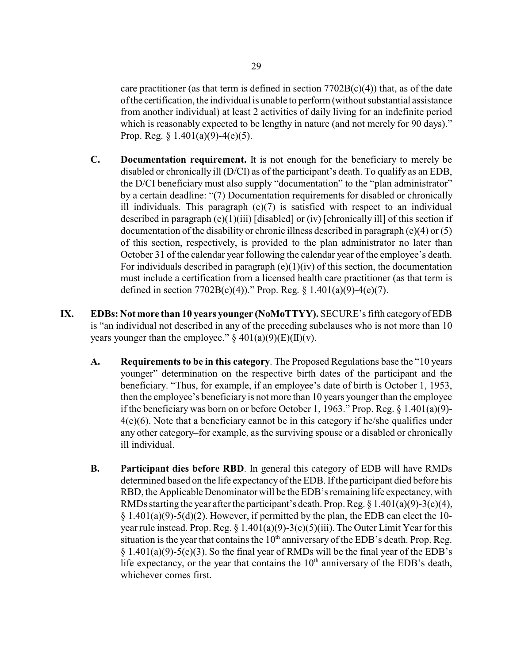care practitioner (as that term is defined in section  $7702B(c)(4)$ ) that, as of the date of the certification, the individual is unable to perform (without substantial assistance from another individual) at least 2 activities of daily living for an indefinite period which is reasonably expected to be lengthy in nature (and not merely for 90 days)." Prop. Reg.  $\S 1.401(a)(9) - 4(e)(5)$ .

- **C. Documentation requirement.** It is not enough for the beneficiary to merely be disabled or chronically ill (D/CI) as of the participant's death. To qualify as an EDB, the D/CI beneficiary must also supply "documentation" to the "plan administrator" by a certain deadline: "(7) Documentation requirements for disabled or chronically ill individuals. This paragraph  $(e)(7)$  is satisfied with respect to an individual described in paragraph  $(e)(1)(iii)$  [disabled] or (iv) [chronically ill] of this section if documentation of the disability or chronic illness described in paragraph (e)(4) or (5) of this section, respectively, is provided to the plan administrator no later than October 31 of the calendar year following the calendar year of the employee's death. For individuals described in paragraph  $(e)(1)(iv)$  of this section, the documentation must include a certification from a licensed health care practitioner (as that term is defined in section  $7702B(c)(4)$ ." Prop. Reg. § 1.401(a)(9)-4(e)(7).
- **IX. EDBs: Not more than 10 years younger (NoMoTTYY).** SECURE's fifth category of EDB is "an individual not described in any of the preceding subclauses who is not more than 10 years younger than the employee."  $\S 401(a)(9)(E)(II)(v)$ .
	- **A. Requirements to be in this category**. The Proposed Regulations base the "10 years younger" determination on the respective birth dates of the participant and the beneficiary. "Thus, for example, if an employee's date of birth is October 1, 1953, then the employee's beneficiaryis not more than 10 years younger than the employee if the beneficiary was born on or before October 1, 1963." Prop. Reg. § 1.401(a)(9)- 4(e)(6). Note that a beneficiary cannot be in this category if he/she qualifies under any other category–for example, as the surviving spouse or a disabled or chronically ill individual.
	- **B. Participant dies before RBD**. In general this category of EDB will have RMDs determined based on the life expectancy of the EDB.If the participant died before his RBD, the Applicable Denominator will be the EDB's remaining life expectancy, with RMDs starting the year after the participant's death. Prop. Reg.  $\S 1.401(a)(9)-3(c)(4)$ ,  $§ 1.401(a)(9)-5(d)(2)$ . However, if permitted by the plan, the EDB can elect the 10year rule instead. Prop. Reg.  $\S 1.401(a)(9) - 3(c)(5)(iii)$ . The Outer Limit Year for this situation is the year that contains the  $10<sup>th</sup>$  anniversary of the EDB's death. Prop. Reg.  $\S$  1.401(a)(9)-5(e)(3). So the final year of RMDs will be the final year of the EDB's life expectancy, or the year that contains the  $10<sup>th</sup>$  anniversary of the EDB's death, whichever comes first.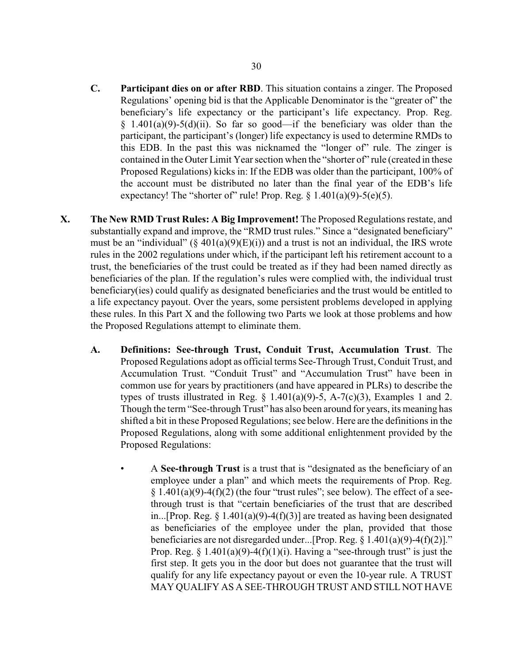- **C. Participant dies on or after RBD**. This situation contains a zinger. The Proposed Regulations' opening bid is that the Applicable Denominator is the "greater of" the beneficiary's life expectancy or the participant's life expectancy. Prop. Reg. § 1.401(a)(9)-5(d)(ii). So far so good—if the beneficiary was older than the participant, the participant's (longer) life expectancy is used to determine RMDs to this EDB. In the past this was nicknamed the "longer of" rule. The zinger is contained in the Outer Limit Year section when the "shorter of" rule (created in these Proposed Regulations) kicks in: If the EDB was older than the participant, 100% of the account must be distributed no later than the final year of the EDB's life expectancy! The "shorter of" rule! Prop. Reg.  $\S 1.401(a)(9) - 5(e)(5)$ .
- **X. The New RMD Trust Rules: A Big Improvement!** The Proposed Regulations restate, and substantially expand and improve, the "RMD trust rules." Since a "designated beneficiary" must be an "individual" ( $\S$  401(a)(9)(E)(i)) and a trust is not an individual, the IRS wrote rules in the 2002 regulations under which, if the participant left his retirement account to a trust, the beneficiaries of the trust could be treated as if they had been named directly as beneficiaries of the plan. If the regulation's rules were complied with, the individual trust beneficiary(ies) could qualify as designated beneficiaries and the trust would be entitled to a life expectancy payout. Over the years, some persistent problems developed in applying these rules. In this Part X and the following two Parts we look at those problems and how the Proposed Regulations attempt to eliminate them.
	- **A. Definitions: See-through Trust, Conduit Trust, Accumulation Trust**. The Proposed Regulations adopt as official terms See-Through Trust, Conduit Trust, and Accumulation Trust. "Conduit Trust" and "Accumulation Trust" have been in common use for years by practitioners (and have appeared in PLRs) to describe the types of trusts illustrated in Reg.  $\S$  1.401(a)(9)-5, A-7(c)(3), Examples 1 and 2. Though the term "See-through Trust" has also been around for years, its meaning has shifted a bit in these Proposed Regulations; see below. Here are the definitions in the Proposed Regulations, along with some additional enlightenment provided by the Proposed Regulations:
		- A **See-through Trust** is a trust that is "designated as the beneficiary of an employee under a plan" and which meets the requirements of Prop. Reg.  $§ 1.401(a)(9)-4(f)(2)$  (the four "trust rules"; see below). The effect of a seethrough trust is that "certain beneficiaries of the trust that are described in...[Prop. Reg.  $\S$  1.401(a)(9)-4(f)(3)] are treated as having been designated as beneficiaries of the employee under the plan, provided that those beneficiaries are not disregarded under...[Prop. Reg. § 1.401(a)(9)-4(f)(2)]." Prop. Reg.  $\S$  1.401(a)(9)-4(f)(1)(i). Having a "see-through trust" is just the first step. It gets you in the door but does not guarantee that the trust will qualify for any life expectancy payout or even the 10-year rule. A TRUST MAY QUALIFY AS A SEE-THROUGH TRUST AND STILL NOT HAVE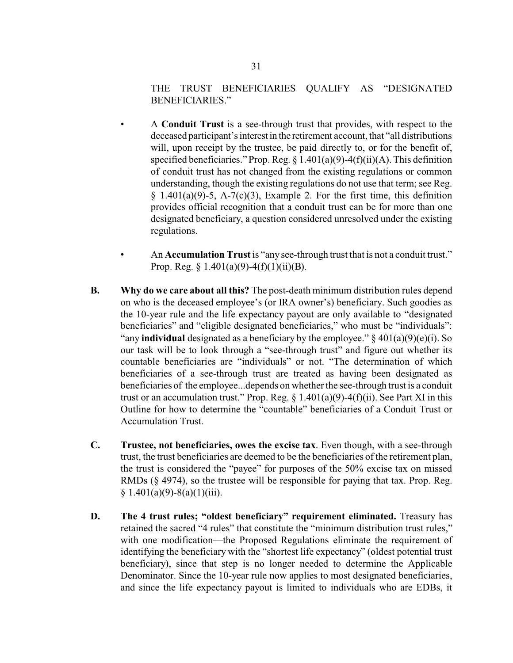## THE TRUST BENEFICIARIES QUALIFY AS "DESIGNATED BENEFICIARIES."

- A **Conduit Trust** is a see-through trust that provides, with respect to the deceased participant's interest in the retirement account, that "all distributions" will, upon receipt by the trustee, be paid directly to, or for the benefit of, specified beneficiaries." Prop. Reg.  $\S 1.401(a)(9) - 4(f)(ii)(A)$ . This definition of conduit trust has not changed from the existing regulations or common understanding, though the existing regulations do not use that term; see Reg.  $§$  1.401(a)(9)-5, A-7(c)(3), Example 2. For the first time, this definition provides official recognition that a conduit trust can be for more than one designated beneficiary, a question considered unresolved under the existing regulations.
- An **Accumulation Trust** is "any see-through trust that is not a conduit trust." Prop. Reg.  $\S 1.401(a)(9) - 4(f)(1)(ii)(B)$ .
- **B. Why do we care about all this?** The post-death minimum distribution rules depend on who is the deceased employee's (or IRA owner's) beneficiary. Such goodies as the 10-year rule and the life expectancy payout are only available to "designated beneficiaries" and "eligible designated beneficiaries," who must be "individuals": "any **individual** designated as a beneficiary by the employee."  $\S 401(a)(9)(e)(i)$ . So our task will be to look through a "see-through trust" and figure out whether its countable beneficiaries are "individuals" or not. "The determination of which beneficiaries of a see-through trust are treated as having been designated as beneficiaries of the employee...depends on whether the see-through trust is a conduit trust or an accumulation trust." Prop. Reg.  $\S$  1.401(a)(9)-4(f)(ii). See Part XI in this Outline for how to determine the "countable" beneficiaries of a Conduit Trust or Accumulation Trust.
- **C. Trustee, not beneficiaries, owes the excise tax**. Even though, with a see-through trust, the trust beneficiaries are deemed to be the beneficiaries of the retirement plan, the trust is considered the "payee" for purposes of the 50% excise tax on missed RMDs (§ 4974), so the trustee will be responsible for paying that tax. Prop. Reg.  $§ 1.401(a)(9)-8(a)(1)(iii).$
- **D. The 4 trust rules; "oldest beneficiary" requirement eliminated.** Treasury has retained the sacred "4 rules" that constitute the "minimum distribution trust rules," with one modification—the Proposed Regulations eliminate the requirement of identifying the beneficiary with the "shortest life expectancy" (oldest potential trust beneficiary), since that step is no longer needed to determine the Applicable Denominator. Since the 10-year rule now applies to most designated beneficiaries, and since the life expectancy payout is limited to individuals who are EDBs, it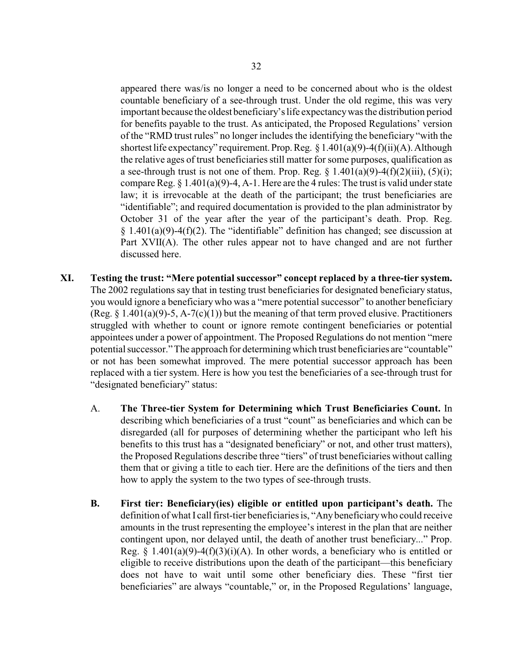appeared there was/is no longer a need to be concerned about who is the oldest countable beneficiary of a see-through trust. Under the old regime, this was very important because the oldest beneficiary's life expectancywas the distribution period for benefits payable to the trust. As anticipated, the Proposed Regulations' version of the "RMD trust rules" no longer includes the identifying the beneficiary "with the shortest life expectancy" requirement. Prop. Reg.  $\S 1.401(a)(9) - 4(f)(ii)(A)$ . Although the relative ages of trust beneficiaries still matter for some purposes, qualification as a see-through trust is not one of them. Prop. Reg.  $\S$  1.401(a)(9)-4(f)(2)(iii), (5)(i); compare Reg.  $\S 1.401(a)(9)-4$ , A-1. Here are the 4 rules: The trust is valid under state law; it is irrevocable at the death of the participant; the trust beneficiaries are "identifiable"; and required documentation is provided to the plan administrator by October 31 of the year after the year of the participant's death. Prop. Reg.  $§ 1.401(a)(9)-4(f)(2)$ . The "identifiable" definition has changed; see discussion at Part XVII(A). The other rules appear not to have changed and are not further discussed here.

- **XI. Testing the trust: "Mere potential successor" concept replaced by a three-tier system.** The 2002 regulations say that in testing trust beneficiaries for designated beneficiary status, you would ignore a beneficiarywho was a "mere potential successor" to another beneficiary (Reg.  $\S$  1.401(a)(9)-5, A-7(c)(1)) but the meaning of that term proved elusive. Practitioners struggled with whether to count or ignore remote contingent beneficiaries or potential appointees under a power of appointment. The Proposed Regulations do not mention "mere potential successor." The approach for determining which trust beneficiaries are "countable" or not has been somewhat improved. The mere potential successor approach has been replaced with a tier system. Here is how you test the beneficiaries of a see-through trust for "designated beneficiary" status:
	- A. **The Three-tier System for Determining which Trust Beneficiaries Count.** In describing which beneficiaries of a trust "count" as beneficiaries and which can be disregarded (all for purposes of determining whether the participant who left his benefits to this trust has a "designated beneficiary" or not, and other trust matters), the Proposed Regulations describe three "tiers" of trust beneficiaries without calling them that or giving a title to each tier. Here are the definitions of the tiers and then how to apply the system to the two types of see-through trusts.
	- **B. First tier: Beneficiary(ies) eligible or entitled upon participant's death.** The definition of what I call first-tier beneficiaries is, "Anybeneficiarywho could receive amounts in the trust representing the employee's interest in the plan that are neither contingent upon, nor delayed until, the death of another trust beneficiary..." Prop. Reg. § 1.401(a)(9)-4(f)(3)(i)(A). In other words, a beneficiary who is entitled or eligible to receive distributions upon the death of the participant—this beneficiary does not have to wait until some other beneficiary dies. These "first tier beneficiaries" are always "countable," or, in the Proposed Regulations' language,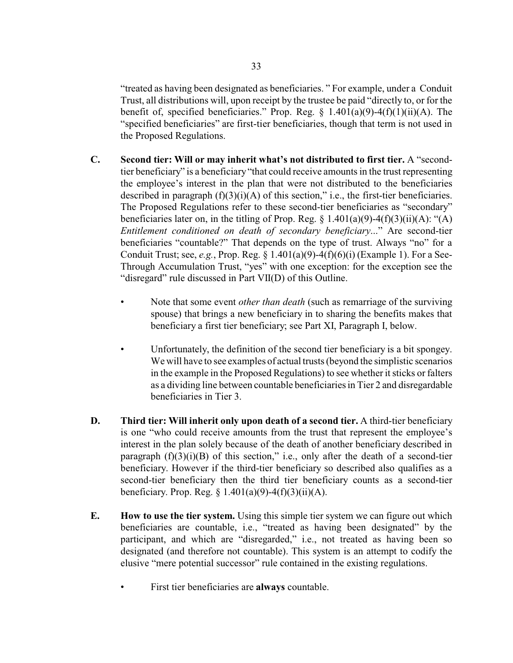"treated as having been designated as beneficiaries. " For example, under a Conduit Trust, all distributions will, upon receipt by the trustee be paid "directly to, or for the benefit of, specified beneficiaries." Prop. Reg.  $\S$  1.401(a)(9)-4(f)(1)(ii)(A). The "specified beneficiaries" are first-tier beneficiaries, though that term is not used in the Proposed Regulations.

- **C. Second tier: Will or may inherit what's not distributed to first tier.** A "secondtier beneficiary" is a beneficiary"that could receive amounts in the trust representing the employee's interest in the plan that were not distributed to the beneficiaries described in paragraph  $(f)(3)(i)(A)$  of this section," i.e., the first-tier beneficiaries. The Proposed Regulations refer to these second-tier beneficiaries as "secondary" beneficiaries later on, in the titling of Prop. Reg.  $\S$  1.401(a)(9)-4(f)(3)(ii)(A): "(A) *Entitlement conditioned on death of secondary beneficiary*..." Are second-tier beneficiaries "countable?" That depends on the type of trust. Always "no" for a Conduit Trust; see, *e.g.*, Prop. Reg. § 1.401(a)(9)-4(f)(6)(i) (Example 1). For a See-Through Accumulation Trust, "yes" with one exception: for the exception see the "disregard" rule discussed in Part VII(D) of this Outline.
	- Note that some event *other than death* (such as remarriage of the surviving spouse) that brings a new beneficiary in to sharing the benefits makes that beneficiary a first tier beneficiary; see Part XI, Paragraph I, below.
	- Unfortunately, the definition of the second tier beneficiary is a bit spongey. We will have to see examples of actual trusts (beyond the simplistic scenarios in the example in the Proposed Regulations) to see whether it sticks or falters as a dividing line between countable beneficiaries in Tier 2 and disregardable beneficiaries in Tier 3.
- **D. Third tier: Will inherit only upon death of a second tier.** A third-tier beneficiary is one "who could receive amounts from the trust that represent the employee's interest in the plan solely because of the death of another beneficiary described in paragraph  $(f)(3)(i)(B)$  of this section," i.e., only after the death of a second-tier beneficiary. However if the third-tier beneficiary so described also qualifies as a second-tier beneficiary then the third tier beneficiary counts as a second-tier beneficiary. Prop. Reg.  $\S 1.401(a)(9) - 4(f)(3)(ii)(A)$ .
- **E. How to use the tier system.** Using this simple tier system we can figure out which beneficiaries are countable, i.e., "treated as having been designated" by the participant, and which are "disregarded," i.e., not treated as having been so designated (and therefore not countable). This system is an attempt to codify the elusive "mere potential successor" rule contained in the existing regulations.
	- First tier beneficiaries are **always** countable.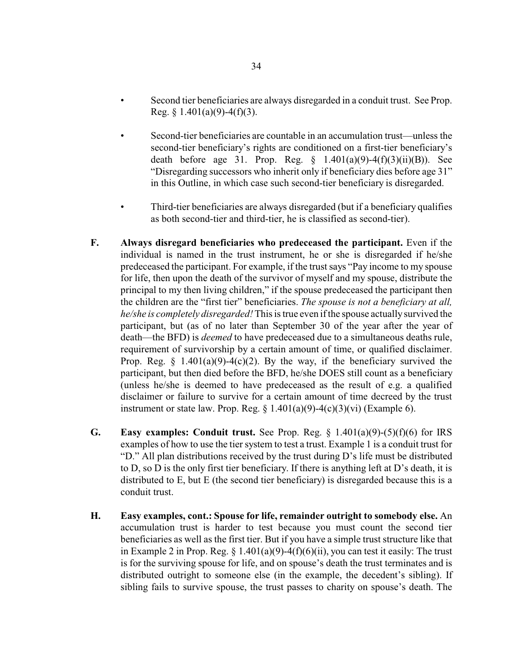- Second tier beneficiaries are always disregarded in a conduit trust. See Prop. Reg. §  $1.401(a)(9) - 4(f)(3)$ .
- Second-tier beneficiaries are countable in an accumulation trust—unless the second-tier beneficiary's rights are conditioned on a first-tier beneficiary's death before age 31. Prop. Reg. § 1.401(a)(9)-4(f)(3)(ii)(B)). See "Disregarding successors who inherit only if beneficiary dies before age 31" in this Outline, in which case such second-tier beneficiary is disregarded.
- Third-tier beneficiaries are always disregarded (but if a beneficiary qualifies as both second-tier and third-tier, he is classified as second-tier).
- **F. Always disregard beneficiaries who predeceased the participant.** Even if the individual is named in the trust instrument, he or she is disregarded if he/she predeceased the participant. For example, if the trust says "Pay income to my spouse for life, then upon the death of the survivor of myself and my spouse, distribute the principal to my then living children," if the spouse predeceased the participant then the children are the "first tier" beneficiaries. *The spouse is not a beneficiary at all, he/she is completely disregarded!* This is true even if the spouse actually survived the participant, but (as of no later than September 30 of the year after the year of death—the BFD) is *deemed* to have predeceased due to a simultaneous deaths rule, requirement of survivorship by a certain amount of time, or qualified disclaimer. Prop. Reg.  $\S$  1.401(a)(9)-4(c)(2). By the way, if the beneficiary survived the participant, but then died before the BFD, he/she DOES still count as a beneficiary (unless he/she is deemed to have predeceased as the result of e.g. a qualified disclaimer or failure to survive for a certain amount of time decreed by the trust instrument or state law. Prop. Reg.  $\S 1.401(a)(9)-4(c)(3)(vi)$  (Example 6).
- **G. Easy examples: Conduit trust.** See Prop. Reg. § 1.401(a)(9)-(5)(f)(6) for IRS examples of how to use the tier system to test a trust. Example 1 is a conduit trust for "D." All plan distributions received by the trust during D's life must be distributed to D, so D is the only first tier beneficiary. If there is anything left at D's death, it is distributed to E, but E (the second tier beneficiary) is disregarded because this is a conduit trust.
- **H. Easy examples, cont.: Spouse for life, remainder outright to somebody else.** An accumulation trust is harder to test because you must count the second tier beneficiaries as well as the first tier. But if you have a simple trust structure like that in Example 2 in Prop. Reg.  $\S 1.401(a)(9) - 4(f)(6)(ii)$ , you can test it easily: The trust is for the surviving spouse for life, and on spouse's death the trust terminates and is distributed outright to someone else (in the example, the decedent's sibling). If sibling fails to survive spouse, the trust passes to charity on spouse's death. The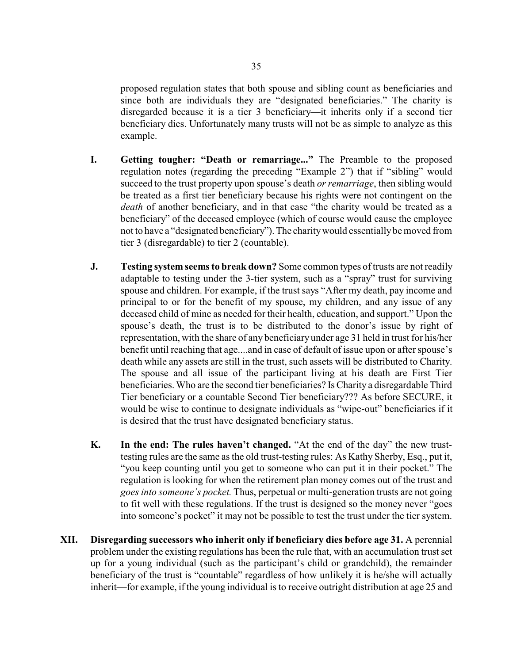proposed regulation states that both spouse and sibling count as beneficiaries and since both are individuals they are "designated beneficiaries." The charity is disregarded because it is a tier 3 beneficiary—it inherits only if a second tier beneficiary dies. Unfortunately many trusts will not be as simple to analyze as this example.

- **I. Getting tougher: "Death or remarriage..."** The Preamble to the proposed regulation notes (regarding the preceding "Example 2") that if "sibling" would succeed to the trust property upon spouse's death *or remarriage*, then sibling would be treated as a first tier beneficiary because his rights were not contingent on the *death* of another beneficiary, and in that case "the charity would be treated as a beneficiary" of the deceased employee (which of course would cause the employee not to have a "designated beneficiary"). The charitywould essentiallybe moved from tier 3 (disregardable) to tier 2 (countable).
- **J. Testing system seems to break down?** Some common types of trusts are not readily adaptable to testing under the 3-tier system, such as a "spray" trust for surviving spouse and children. For example, if the trust says "After my death, pay income and principal to or for the benefit of my spouse, my children, and any issue of any deceased child of mine as needed for their health, education, and support." Upon the spouse's death, the trust is to be distributed to the donor's issue by right of representation, with the share of any beneficiary under age 31 held in trust for his/her benefit until reaching that age....and in case of default of issue upon or after spouse's death while any assets are still in the trust, such assets will be distributed to Charity. The spouse and all issue of the participant living at his death are First Tier beneficiaries. Who are the second tier beneficiaries? Is Charity a disregardable Third Tier beneficiary or a countable Second Tier beneficiary??? As before SECURE, it would be wise to continue to designate individuals as "wipe-out" beneficiaries if it is desired that the trust have designated beneficiary status.
- **K. In the end: The rules haven't changed.** "At the end of the day" the new trusttesting rules are the same as the old trust-testing rules: As Kathy Sherby, Esq., put it, "you keep counting until you get to someone who can put it in their pocket." The regulation is looking for when the retirement plan money comes out of the trust and *goes into someone's pocket.* Thus, perpetual or multi-generation trusts are not going to fit well with these regulations. If the trust is designed so the money never "goes into someone's pocket" it may not be possible to test the trust under the tier system.
- **XII. Disregarding successors who inherit only if beneficiary dies before age 31.** A perennial problem under the existing regulations has been the rule that, with an accumulation trust set up for a young individual (such as the participant's child or grandchild), the remainder beneficiary of the trust is "countable" regardless of how unlikely it is he/she will actually inherit—for example, if the young individual is to receive outright distribution at age 25 and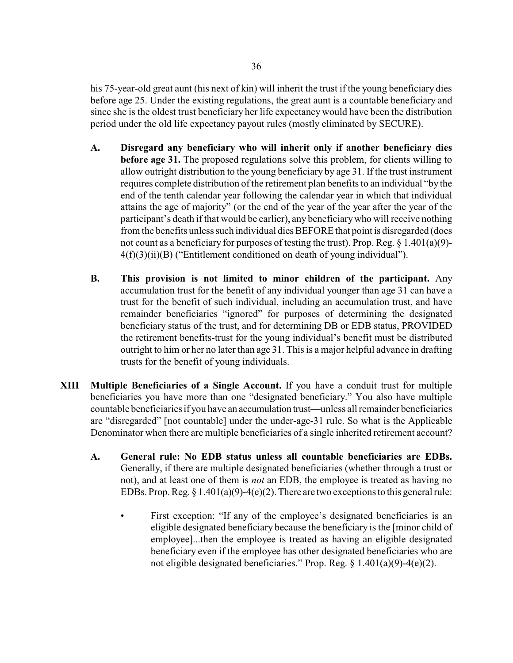his 75-year-old great aunt (his next of kin) will inherit the trust if the young beneficiary dies before age 25. Under the existing regulations, the great aunt is a countable beneficiary and since she is the oldest trust beneficiary her life expectancy would have been the distribution period under the old life expectancy payout rules (mostly eliminated by SECURE).

- **A. Disregard any beneficiary who will inherit only if another beneficiary dies before age 31.** The proposed regulations solve this problem, for clients willing to allow outright distribution to the young beneficiary by age 31. If the trust instrument requires complete distribution of the retirement plan benefits to an individual "by the end of the tenth calendar year following the calendar year in which that individual attains the age of majority" (or the end of the year of the year after the year of the participant's death if that would be earlier), any beneficiarywho will receive nothing from the benefits unless such individual dies BEFORE that point is disregarded (does not count as a beneficiary for purposes of testing the trust). Prop. Reg.  $\S 1.401(a)(9)$ -4(f)(3)(ii)(B) ("Entitlement conditioned on death of young individual").
- **B. This provision is not limited to minor children of the participant.** Any accumulation trust for the benefit of any individual younger than age 31 can have a trust for the benefit of such individual, including an accumulation trust, and have remainder beneficiaries "ignored" for purposes of determining the designated beneficiary status of the trust, and for determining DB or EDB status, PROVIDED the retirement benefits-trust for the young individual's benefit must be distributed outright to him or her no later than age 31. This is a major helpful advance in drafting trusts for the benefit of young individuals.
- **XIII Multiple Beneficiaries of a Single Account.** If you have a conduit trust for multiple beneficiaries you have more than one "designated beneficiary." You also have multiple countable beneficiaries if you have an accumulation trust—unless all remainder beneficiaries are "disregarded" [not countable] under the under-age-31 rule. So what is the Applicable Denominator when there are multiple beneficiaries of a single inherited retirement account?
	- **A. General rule: No EDB status unless all countable beneficiaries are EDBs.** Generally, if there are multiple designated beneficiaries (whether through a trust or not), and at least one of them is *not* an EDB, the employee is treated as having no EDBs. Prop. Reg.  $\S 1.401(a)(9)-4(e)(2)$ . There are two exceptions to this general rule:
		- First exception: "If any of the employee's designated beneficiaries is an eligible designated beneficiary because the beneficiary is the [minor child of employee]...then the employee is treated as having an eligible designated beneficiary even if the employee has other designated beneficiaries who are not eligible designated beneficiaries." Prop. Reg. § 1.401(a)(9)-4(e)(2).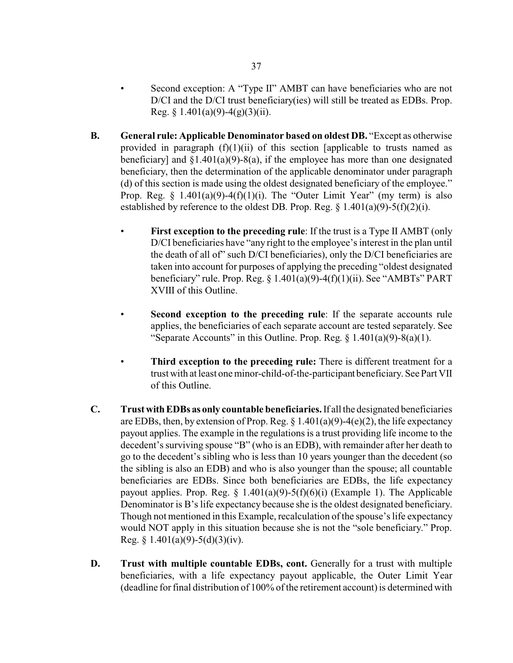- Second exception: A "Type II" AMBT can have beneficiaries who are not D/CI and the D/CI trust beneficiary(ies) will still be treated as EDBs. Prop. Reg. § 1.401(a)(9)-4(g)(3)(ii).
- **B. General rule: Applicable Denominator based on oldest DB.** "Except as otherwise provided in paragraph  $(f)(1)(ii)$  of this section [applicable to trusts named as beneficiary] and  $\S1.401(a)(9) - 8(a)$ , if the employee has more than one designated beneficiary, then the determination of the applicable denominator under paragraph (d) of this section is made using the oldest designated beneficiary of the employee." Prop. Reg.  $\S$  1.401(a)(9)-4(f)(1)(i). The "Outer Limit Year" (my term) is also established by reference to the oldest DB. Prop. Reg.  $\S$  1.401(a)(9)-5(f)(2)(i).
	- **First exception to the preceding rule**: If the trust is a Type II AMBT (only D/CI beneficiaries have "any right to the employee's interest in the plan until the death of all of" such D/CI beneficiaries), only the D/CI beneficiaries are taken into account for purposes of applying the preceding "oldest designated beneficiary" rule. Prop. Reg.  $\S$  1.401(a)(9)-4(f)(1)(ii). See "AMBTs" PART XVIII of this Outline.
	- **Second exception to the preceding rule**: If the separate accounts rule applies, the beneficiaries of each separate account are tested separately. See "Separate Accounts" in this Outline. Prop. Reg.  $\S$  1.401(a)(9)-8(a)(1).
	- **Third exception to the preceding rule:** There is different treatment for a trust with at least one minor-child-of-the-participant beneficiary. See Part VII of this Outline.
- **C. TrustwithEDBs as only countable beneficiaries.**If all the designated beneficiaries are EDBs, then, by extension of Prop. Reg.  $\S$  1.401(a)(9)-4(e)(2), the life expectancy payout applies. The example in the regulations is a trust providing life income to the decedent's surviving spouse "B" (who is an EDB), with remainder after her death to go to the decedent's sibling who is less than 10 years younger than the decedent (so the sibling is also an EDB) and who is also younger than the spouse; all countable beneficiaries are EDBs. Since both beneficiaries are EDBs, the life expectancy payout applies. Prop. Reg.  $\S$  1.401(a)(9)-5(f)(6)(i) (Example 1). The Applicable Denominator is B's life expectancy because she is the oldest designated beneficiary. Though not mentioned in this Example, recalculation of the spouse's life expectancy would NOT apply in this situation because she is not the "sole beneficiary." Prop. Reg.  $§$  1.401(a)(9)-5(d)(3)(iv).
- **D. Trust with multiple countable EDBs, cont.** Generally for a trust with multiple beneficiaries, with a life expectancy payout applicable, the Outer Limit Year (deadline for final distribution of 100% of the retirement account) is determined with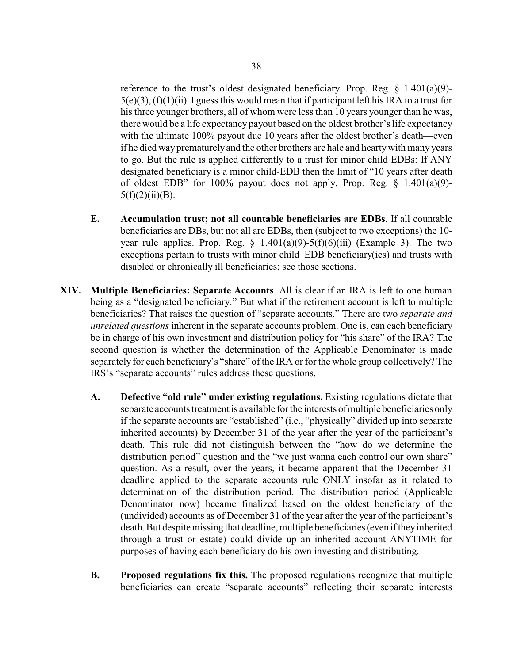reference to the trust's oldest designated beneficiary. Prop. Reg.  $\S$  1.401(a)(9)- $5(e)(3)$ ,  $(f)(1)(ii)$ . I guess this would mean that if participant left his IRA to a trust for his three younger brothers, all of whom were less than 10 years younger than he was, there would be a life expectancy payout based on the oldest brother's life expectancy with the ultimate 100% payout due 10 years after the oldest brother's death—even if he died wayprematurelyand the other brothers are hale and heartywith many years to go. But the rule is applied differently to a trust for minor child EDBs: If ANY designated beneficiary is a minor child-EDB then the limit of "10 years after death of oldest EDB" for 100% payout does not apply. Prop. Reg.  $\S$  1.401(a)(9)- $5(f)(2)(ii)(B)$ .

- **E. Accumulation trust; not all countable beneficiaries are EDBs**. If all countable beneficiaries are DBs, but not all are EDBs, then (subject to two exceptions) the 10 year rule applies. Prop. Reg.  $\S$  1.401(a)(9)-5(f)(6)(iii) (Example 3). The two exceptions pertain to trusts with minor child–EDB beneficiary(ies) and trusts with disabled or chronically ill beneficiaries; see those sections.
- **XIV. Multiple Beneficiaries: Separate Accounts**. All is clear if an IRA is left to one human being as a "designated beneficiary." But what if the retirement account is left to multiple beneficiaries? That raises the question of "separate accounts." There are two *separate and unrelated questions* inherent in the separate accounts problem. One is, can each beneficiary be in charge of his own investment and distribution policy for "his share" of the IRA? The second question is whether the determination of the Applicable Denominator is made separately for each beneficiary's "share" of the IRA or for the whole group collectively? The IRS's "separate accounts" rules address these questions.
	- **A. Defective "old rule" under existing regulations.** Existing regulations dictate that separate accounts treatment is available for the interests ofmultiple beneficiaries only if the separate accounts are "established" (i.e., "physically" divided up into separate inherited accounts) by December 31 of the year after the year of the participant's death. This rule did not distinguish between the "how do we determine the distribution period" question and the "we just wanna each control our own share" question. As a result, over the years, it became apparent that the December 31 deadline applied to the separate accounts rule ONLY insofar as it related to determination of the distribution period. The distribution period (Applicable Denominator now) became finalized based on the oldest beneficiary of the (undivided) accounts as of December 31 of the year after the year of the participant's death. But despite missing that deadline, multiple beneficiaries (even if they inherited through a trust or estate) could divide up an inherited account ANYTIME for purposes of having each beneficiary do his own investing and distributing.
	- **B. Proposed regulations fix this.** The proposed regulations recognize that multiple beneficiaries can create "separate accounts" reflecting their separate interests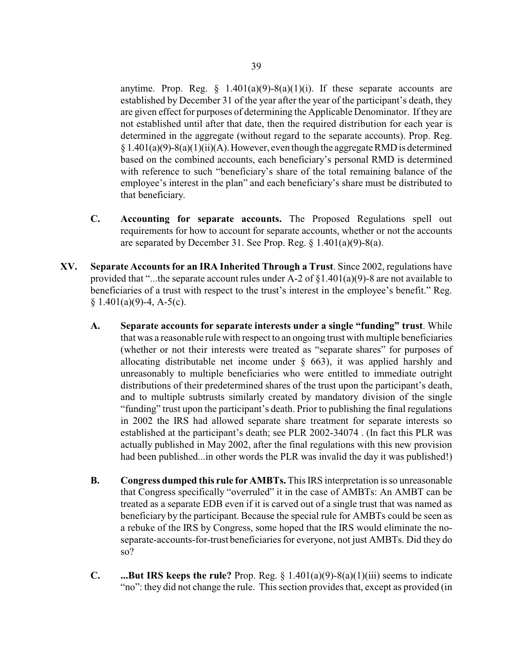anytime. Prop. Reg.  $\S$  1.401(a)(9)-8(a)(1)(i). If these separate accounts are established by December 31 of the year after the year of the participant's death, they are given effect for purposes of determining the Applicable Denominator. If they are not established until after that date, then the required distribution for each year is determined in the aggregate (without regard to the separate accounts). Prop. Reg.  $\S 1.401(a)(9)-8(a)(1)(ii)(A)$ . However, even though the aggregate RMD is determined based on the combined accounts, each beneficiary's personal RMD is determined with reference to such "beneficiary's share of the total remaining balance of the employee's interest in the plan" and each beneficiary's share must be distributed to that beneficiary.

- **C. Accounting for separate accounts.** The Proposed Regulations spell out requirements for how to account for separate accounts, whether or not the accounts are separated by December 31. See Prop. Reg.  $\S$  1.401(a)(9)-8(a).
- **XV. Separate Accounts for an IRA Inherited Through a Trust**. Since 2002, regulations have provided that "...the separate account rules under A-2 of  $\S1.401(a)(9)$ -8 are not available to beneficiaries of a trust with respect to the trust's interest in the employee's benefit." Reg.  $§ 1.401(a)(9)-4, A-5(c).$ 
	- **A. Separate accounts for separate interests under a single "funding" trust**. While that was a reasonable rule with respect to an ongoing trust with multiple beneficiaries (whether or not their interests were treated as "separate shares" for purposes of allocating distributable net income under § 663), it was applied harshly and unreasonably to multiple beneficiaries who were entitled to immediate outright distributions of their predetermined shares of the trust upon the participant's death, and to multiple subtrusts similarly created by mandatory division of the single "funding" trust upon the participant's death. Prior to publishing the final regulations in 2002 the IRS had allowed separate share treatment for separate interests so established at the participant's death; see PLR 2002-34074 . (In fact this PLR was actually published in May 2002, after the final regulations with this new provision had been published...in other words the PLR was invalid the day it was published!)
	- **B. Congress dumped this rule for AMBTs.** This IRS interpretation is so unreasonable that Congress specifically "overruled" it in the case of AMBTs: An AMBT can be treated as a separate EDB even if it is carved out of a single trust that was named as beneficiary by the participant. Because the special rule for AMBTs could be seen as a rebuke of the IRS by Congress, some hoped that the IRS would eliminate the noseparate-accounts-for-trust beneficiaries for everyone, not just AMBTs. Did they do so?
	- **C. ...But IRS keeps the rule?** Prop. Reg. § 1.401(a)(9)-8(a)(1)(iii) seems to indicate "no": they did not change the rule. This section provides that, except as provided (in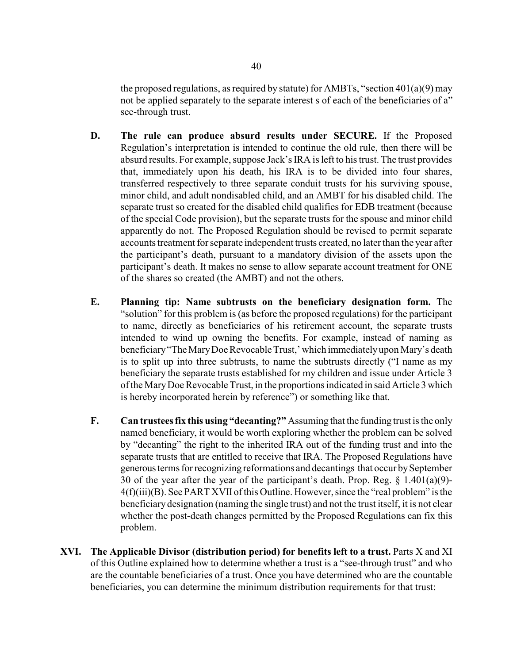the proposed regulations, as required by statute) for AMBTs, "section  $401(a)(9)$  may not be applied separately to the separate interest s of each of the beneficiaries of a" see-through trust.

- **D. The rule can produce absurd results under SECURE.** If the Proposed Regulation's interpretation is intended to continue the old rule, then there will be absurd results. For example, suppose Jack's IRA is left to his trust. The trust provides that, immediately upon his death, his IRA is to be divided into four shares, transferred respectively to three separate conduit trusts for his surviving spouse, minor child, and adult nondisabled child, and an AMBT for his disabled child. The separate trust so created for the disabled child qualifies for EDB treatment (because of the special Code provision), but the separate trusts for the spouse and minor child apparently do not. The Proposed Regulation should be revised to permit separate accounts treatment for separate independent trusts created, no later than the year after the participant's death, pursuant to a mandatory division of the assets upon the participant's death. It makes no sense to allow separate account treatment for ONE of the shares so created (the AMBT) and not the others.
- **E. Planning tip: Name subtrusts on the beneficiary designation form.** The "solution" for this problem is (as before the proposed regulations) for the participant to name, directly as beneficiaries of his retirement account, the separate trusts intended to wind up owning the benefits. For example, instead of naming as beneficiary"The MaryDoe Revocable Trust,' which immediatelyupon Mary's death is to split up into three subtrusts, to name the subtrusts directly ("I name as my beneficiary the separate trusts established for my children and issue under Article 3 of the MaryDoe Revocable Trust, in the proportions indicated in said Article 3 which is hereby incorporated herein by reference") or something like that.
- **F. Can trustees fix this using "decanting?"** Assuming that the funding trust is the only named beneficiary, it would be worth exploring whether the problem can be solved by "decanting" the right to the inherited IRA out of the funding trust and into the separate trusts that are entitled to receive that IRA. The Proposed Regulations have generous terms for recognizing reformations and decantings that occur by September 30 of the year after the year of the participant's death. Prop. Reg.  $\S$  1.401(a)(9)-4(f)(iii)(B). See PART XVII of this Outline. However, since the "real problem" is the beneficiary designation (naming the single trust) and not the trust itself, it is not clear whether the post-death changes permitted by the Proposed Regulations can fix this problem.
- **XVI. The Applicable Divisor (distribution period) for benefits left to a trust.** Parts X and XI of this Outline explained how to determine whether a trust is a "see-through trust" and who are the countable beneficiaries of a trust. Once you have determined who are the countable beneficiaries, you can determine the minimum distribution requirements for that trust: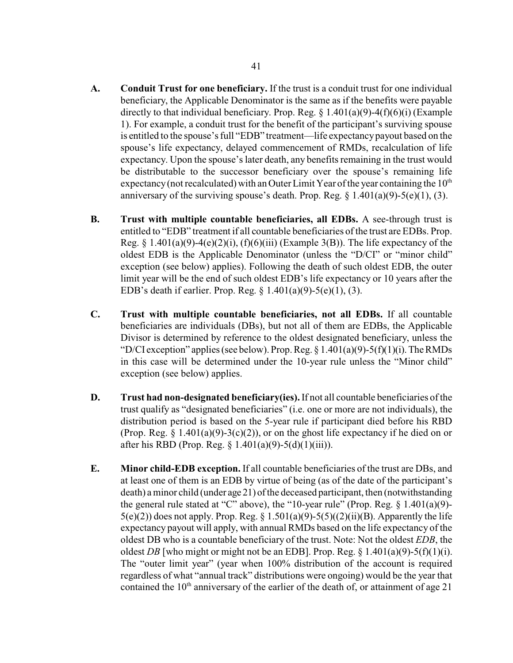- **A. Conduit Trust for one beneficiary.** If the trust is a conduit trust for one individual beneficiary, the Applicable Denominator is the same as if the benefits were payable directly to that individual beneficiary. Prop. Reg.  $\S$  1.401(a)(9)-4(f)(6)(i) (Example 1). For example, a conduit trust for the benefit of the participant's surviving spouse is entitled to the spouse's full "EDB" treatment—life expectancypayout based on the spouse's life expectancy, delayed commencement of RMDs, recalculation of life expectancy. Upon the spouse's later death, any benefits remaining in the trust would be distributable to the successor beneficiary over the spouse's remaining life expectancy (not recalculated) with an Outer Limit Year of the year containing the  $10<sup>th</sup>$ anniversary of the surviving spouse's death. Prop. Reg.  $\S$  1.401(a)(9)-5(e)(1), (3).
- **B. Trust with multiple countable beneficiaries, all EDBs.** A see-through trust is entitled to "EDB" treatment if all countable beneficiaries of the trust are EDBs. Prop. Reg.  $\S$  1.401(a)(9)-4(e)(2)(i), (f)(6)(iii) (Example 3(B)). The life expectancy of the oldest EDB is the Applicable Denominator (unless the "D/CI" or "minor child" exception (see below) applies). Following the death of such oldest EDB, the outer limit year will be the end of such oldest EDB's life expectancy or 10 years after the EDB's death if earlier. Prop. Reg. § 1.401(a)(9)-5(e)(1), (3).
- **C. Trust with multiple countable beneficiaries, not all EDBs.** If all countable beneficiaries are individuals (DBs), but not all of them are EDBs, the Applicable Divisor is determined by reference to the oldest designated beneficiary, unless the "D/CI exception" applies (see below). Prop. Reg.  $\S 1.401(a)(9) - 5(f)(1)(i)$ . The RMDs in this case will be determined under the 10-year rule unless the "Minor child" exception (see below) applies.
- **D. Trust had non-designated beneficiary(ies).**If not all countable beneficiaries of the trust qualify as "designated beneficiaries" (i.e. one or more are not individuals), the distribution period is based on the 5-year rule if participant died before his RBD (Prop. Reg.  $\S$  1.401(a)(9)-3(c)(2)), or on the ghost life expectancy if he died on or after his RBD (Prop. Reg. § 1.401(a)(9)-5(d)(1)(iii)).
- **E. Minor child-EDB exception.** If all countable beneficiaries of the trust are DBs, and at least one of them is an EDB by virtue of being (as of the date of the participant's death) a minor child (under age 21) of the deceased participant, then (notwithstanding the general rule stated at "C" above), the "10-year rule" (Prop. Reg.  $\S$  1.401(a)(9)- $5(e)(2)$ ) does not apply. Prop. Reg. § 1.501(a)(9)-5(5)((2)(ii)(B). Apparently the life expectancy payout will apply, with annual RMDs based on the life expectancy of the oldest DB who is a countable beneficiary of the trust. Note: Not the oldest *EDB*, the oldest *DB* [who might or might not be an EDB]. Prop. Reg.  $\S$  1.401(a)(9)-5(f)(1)(i). The "outer limit year" (year when 100% distribution of the account is required regardless of what "annual track" distributions were ongoing) would be the year that contained the  $10<sup>th</sup>$  anniversary of the earlier of the death of, or attainment of age 21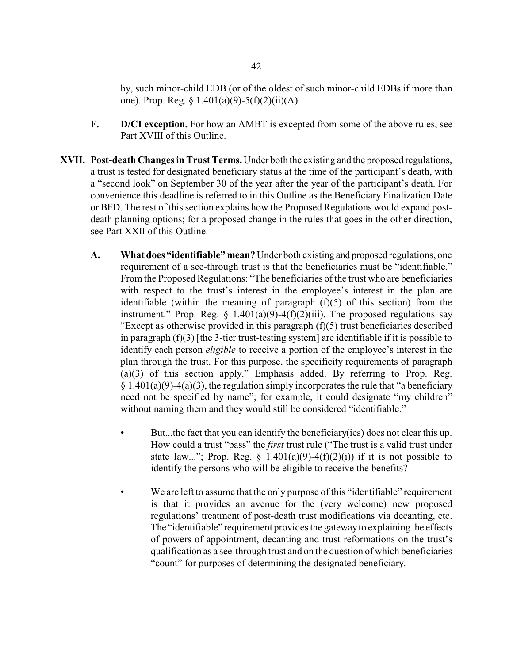by, such minor-child EDB (or of the oldest of such minor-child EDBs if more than one). Prop. Reg. § 1.401(a)(9)-5(f)(2)(ii)(A).

- **F. D/CI exception.** For how an AMBT is excepted from some of the above rules, see Part XVIII of this Outline.
- **XVII. Post-death Changes in Trust Terms.** Under both the existing and the proposed regulations, a trust is tested for designated beneficiary status at the time of the participant's death, with a "second look" on September 30 of the year after the year of the participant's death. For convenience this deadline is referred to in this Outline as the Beneficiary Finalization Date or BFD. The rest of this section explains how the Proposed Regulations would expand postdeath planning options; for a proposed change in the rules that goes in the other direction, see Part XXII of this Outline.
	- **A. What does "identifiable" mean?** Under both existing and proposed regulations, one requirement of a see-through trust is that the beneficiaries must be "identifiable." From the Proposed Regulations: "The beneficiaries of the trust who are beneficiaries with respect to the trust's interest in the employee's interest in the plan are identifiable (within the meaning of paragraph  $(f)(5)$  of this section) from the instrument." Prop. Reg.  $\S$  1.401(a)(9)-4(f)(2)(iii). The proposed regulations say "Except as otherwise provided in this paragraph  $(f)(5)$  trust beneficiaries described in paragraph  $(f)(3)$  [the 3-tier trust-testing system] are identifiable if it is possible to identify each person *eligible* to receive a portion of the employee's interest in the plan through the trust. For this purpose, the specificity requirements of paragraph (a)(3) of this section apply." Emphasis added. By referring to Prop. Reg.  $§ 1.401(a)(9)-4(a)(3)$ , the regulation simply incorporates the rule that "a beneficiary need not be specified by name"; for example, it could designate "my children" without naming them and they would still be considered "identifiable."
		- But...the fact that you can identify the beneficiary (ies) does not clear this up. How could a trust "pass" the *first* trust rule ("The trust is a valid trust under state law..."; Prop. Reg.  $\S$  1.401(a)(9)-4(f)(2)(i)) if it is not possible to identify the persons who will be eligible to receive the benefits?
		- We are left to assume that the only purpose of this "identifiable" requirement is that it provides an avenue for the (very welcome) new proposed regulations' treatment of post-death trust modifications via decanting, etc. The "identifiable" requirement provides the gatewayto explaining the effects of powers of appointment, decanting and trust reformations on the trust's qualification as a see-through trust and on the question of which beneficiaries "count" for purposes of determining the designated beneficiary.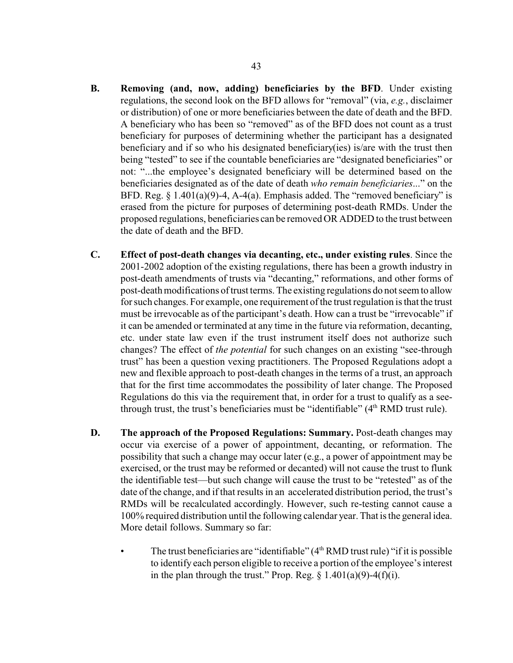- **B. Removing (and, now, adding) beneficiaries by the BFD**. Under existing regulations, the second look on the BFD allows for "removal" (via, *e.g.*, disclaimer or distribution) of one or more beneficiaries between the date of death and the BFD. A beneficiary who has been so "removed" as of the BFD does not count as a trust beneficiary for purposes of determining whether the participant has a designated beneficiary and if so who his designated beneficiary(ies) is/are with the trust then being "tested" to see if the countable beneficiaries are "designated beneficiaries" or not: "...the employee's designated beneficiary will be determined based on the beneficiaries designated as of the date of death *who remain beneficiaries*..." on the BFD. Reg.  $\S$  1.401(a)(9)-4, A-4(a). Emphasis added. The "removed beneficiary" is erased from the picture for purposes of determining post-death RMDs. Under the proposed regulations, beneficiaries can be removed OR ADDED to the trust between the date of death and the BFD.
- **C. Effect of post-death changes via decanting, etc., under existing rules**. Since the 2001-2002 adoption of the existing regulations, there has been a growth industry in post-death amendments of trusts via "decanting," reformations, and other forms of post-death modifications of trust terms. The existing regulations do not seem to allow for such changes. For example, one requirement of the trust regulation is that the trust must be irrevocable as of the participant's death. How can a trust be "irrevocable" if it can be amended or terminated at any time in the future via reformation, decanting, etc. under state law even if the trust instrument itself does not authorize such changes? The effect of *the potential* for such changes on an existing "see-through trust" has been a question vexing practitioners. The Proposed Regulations adopt a new and flexible approach to post-death changes in the terms of a trust, an approach that for the first time accommodates the possibility of later change. The Proposed Regulations do this via the requirement that, in order for a trust to qualify as a seethrough trust, the trust's beneficiaries must be "identifiable"  $(4<sup>th</sup> RMD)$  trust rule).
- **D. The approach of the Proposed Regulations: Summary.** Post-death changes may occur via exercise of a power of appointment, decanting, or reformation. The possibility that such a change may occur later (e.g., a power of appointment may be exercised, or the trust may be reformed or decanted) will not cause the trust to flunk the identifiable test—but such change will cause the trust to be "retested" as of the date of the change, and if that results in an accelerated distribution period, the trust's RMDs will be recalculated accordingly. However, such re-testing cannot cause a 100% required distribution until the following calendar year. That is the general idea. More detail follows. Summary so far:
	- The trust beneficiaries are "identifiable" (4<sup>th</sup> RMD trust rule) "if it is possible to identify each person eligible to receive a portion of the employee's interest in the plan through the trust." Prop. Reg.  $\S$  1.401(a)(9)-4(f)(i).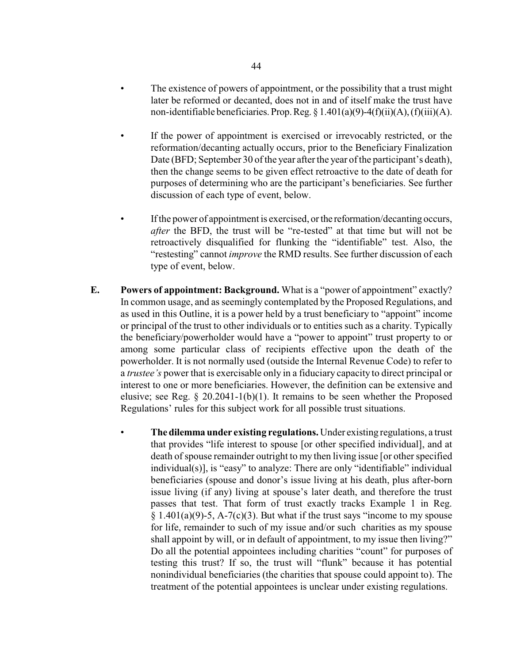- The existence of powers of appointment, or the possibility that a trust might later be reformed or decanted, does not in and of itself make the trust have non-identifiable beneficiaries. Prop. Reg.  $\S 1.401(a)(9) - 4(f)(ii)(A)$ , (f)(iii)(A).
- If the power of appointment is exercised or irrevocably restricted, or the reformation/decanting actually occurs, prior to the Beneficiary Finalization Date (BFD; September 30 of the year after the year of the participant's death), then the change seems to be given effect retroactive to the date of death for purposes of determining who are the participant's beneficiaries. See further discussion of each type of event, below.
- If the power of appointment is exercised, or the reformation/decanting occurs, *after* the BFD, the trust will be "re-tested" at that time but will not be retroactively disqualified for flunking the "identifiable" test. Also, the "restesting" cannot *improve* the RMD results. See further discussion of each type of event, below.
- **E. Powers of appointment: Background.** What is a "power of appointment" exactly? In common usage, and as seemingly contemplated by the Proposed Regulations, and as used in this Outline, it is a power held by a trust beneficiary to "appoint" income or principal of the trust to other individuals or to entities such as a charity. Typically the beneficiary/powerholder would have a "power to appoint" trust property to or among some particular class of recipients effective upon the death of the powerholder. It is not normally used (outside the Internal Revenue Code) to refer to a *trustee's* power that is exercisable only in a fiduciary capacity to direct principal or interest to one or more beneficiaries. However, the definition can be extensive and elusive; see Reg.  $\S 20.2041-1(b)(1)$ . It remains to be seen whether the Proposed Regulations' rules for this subject work for all possible trust situations.
	- The dilemma under existing regulations. Under existing regulations, a trust that provides "life interest to spouse [or other specified individual], and at death of spouse remainder outright to my then living issue [or other specified individual(s)], is "easy" to analyze: There are only "identifiable" individual beneficiaries (spouse and donor's issue living at his death, plus after-born issue living (if any) living at spouse's later death, and therefore the trust passes that test. That form of trust exactly tracks Example 1 in Reg.  $§ 1.401(a)(9)-5$ , A-7(c)(3). But what if the trust says "income to my spouse for life, remainder to such of my issue and/or such charities as my spouse shall appoint by will, or in default of appointment, to my issue then living?" Do all the potential appointees including charities "count" for purposes of testing this trust? If so, the trust will "flunk" because it has potential nonindividual beneficiaries (the charities that spouse could appoint to). The treatment of the potential appointees is unclear under existing regulations.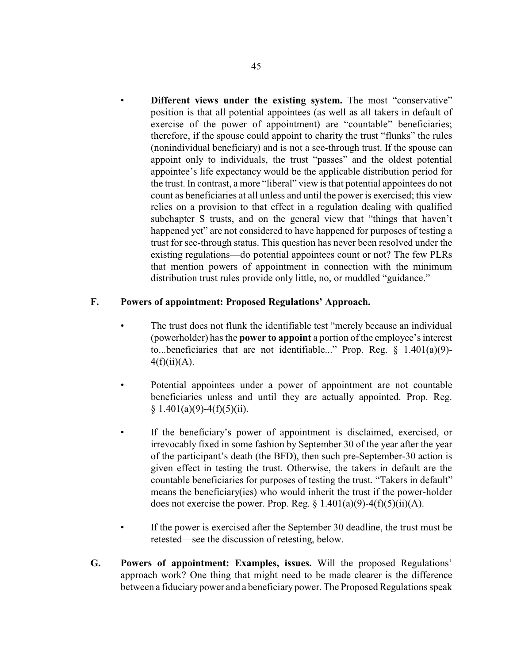• **Different views under the existing system.** The most "conservative" position is that all potential appointees (as well as all takers in default of exercise of the power of appointment) are "countable" beneficiaries; therefore, if the spouse could appoint to charity the trust "flunks" the rules (nonindividual beneficiary) and is not a see-through trust. If the spouse can appoint only to individuals, the trust "passes" and the oldest potential appointee's life expectancy would be the applicable distribution period for the trust. In contrast, a more "liberal" view is that potential appointees do not count as beneficiaries at all unless and until the power is exercised; this view relies on a provision to that effect in a regulation dealing with qualified subchapter S trusts, and on the general view that "things that haven't happened yet" are not considered to have happened for purposes of testing a trust for see-through status. This question has never been resolved under the existing regulations—do potential appointees count or not? The few PLRs that mention powers of appointment in connection with the minimum distribution trust rules provide only little, no, or muddled "guidance."

### **F. Powers of appointment: Proposed Regulations' Approach.**

- The trust does not flunk the identifiable test "merely because an individual (powerholder) has the **power to appoint** a portion of the employee's interest to...beneficiaries that are not identifiable..." Prop. Reg.  $\S$  1.401(a)(9)- $4(f)(ii)(A)$ .
- Potential appointees under a power of appointment are not countable beneficiaries unless and until they are actually appointed. Prop. Reg.  $§ 1.401(a)(9)-4(f)(5)(ii).$
- If the beneficiary's power of appointment is disclaimed, exercised, or irrevocably fixed in some fashion by September 30 of the year after the year of the participant's death (the BFD), then such pre-September-30 action is given effect in testing the trust. Otherwise, the takers in default are the countable beneficiaries for purposes of testing the trust. "Takers in default" means the beneficiary(ies) who would inherit the trust if the power-holder does not exercise the power. Prop. Reg.  $\S$  1.401(a)(9)-4(f)(5)(ii)(A).
- If the power is exercised after the September 30 deadline, the trust must be retested—see the discussion of retesting, below.
- **G. Powers of appointment: Examples, issues.** Will the proposed Regulations' approach work? One thing that might need to be made clearer is the difference between a fiduciarypower and a beneficiarypower. The Proposed Regulations speak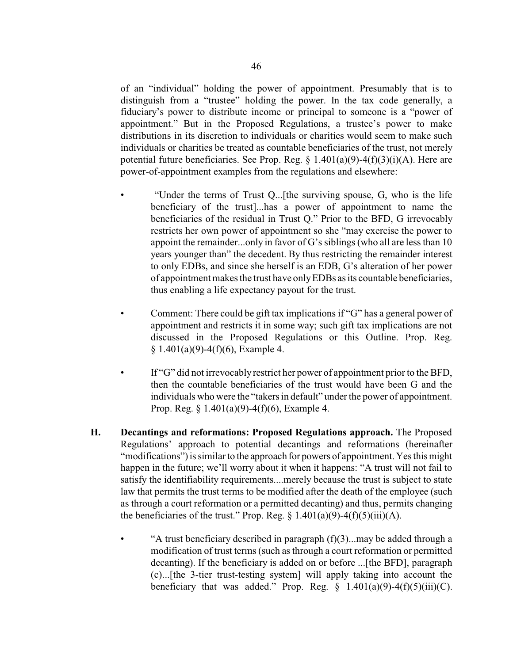of an "individual" holding the power of appointment. Presumably that is to distinguish from a "trustee" holding the power. In the tax code generally, a fiduciary's power to distribute income or principal to someone is a "power of appointment." But in the Proposed Regulations, a trustee's power to make distributions in its discretion to individuals or charities would seem to make such individuals or charities be treated as countable beneficiaries of the trust, not merely potential future beneficiaries. See Prop. Reg. § 1.401(a)(9)-4(f)(3)(i)(A). Here are power-of-appointment examples from the regulations and elsewhere:

- "Under the terms of Trust Q...[the surviving spouse, G, who is the life beneficiary of the trust]...has a power of appointment to name the beneficiaries of the residual in Trust Q." Prior to the BFD, G irrevocably restricts her own power of appointment so she "may exercise the power to appoint the remainder...only in favor of G's siblings (who all are less than 10 years younger than" the decedent. By thus restricting the remainder interest to only EDBs, and since she herself is an EDB, G's alteration of her power of appointment makes the trust have onlyEDBs as its countable beneficiaries, thus enabling a life expectancy payout for the trust.
- Comment: There could be gift tax implications if "G" has a general power of appointment and restricts it in some way; such gift tax implications are not discussed in the Proposed Regulations or this Outline. Prop. Reg.  $§ 1.401(a)(9)-4(f)(6)$ , Example 4.
- If "G" did not irrevocably restrict her power of appointment prior to the BFD, then the countable beneficiaries of the trust would have been G and the individuals who were the "takers in default" under the power of appointment. Prop. Reg. § 1.401(a)(9)-4(f)(6), Example 4.
- **H. Decantings and reformations: Proposed Regulations approach.** The Proposed Regulations' approach to potential decantings and reformations (hereinafter "modifications") is similar to the approach for powers of appointment. Yes this might happen in the future; we'll worry about it when it happens: "A trust will not fail to satisfy the identifiability requirements....merely because the trust is subject to state law that permits the trust terms to be modified after the death of the employee (such as through a court reformation or a permitted decanting) and thus, permits changing the beneficiaries of the trust." Prop. Reg.  $\S$  1.401(a)(9)-4(f)(5)(iii)(A).
	- "A trust beneficiary described in paragraph  $(f)(3)$ ...may be added through a modification of trust terms (such as through a court reformation or permitted decanting). If the beneficiary is added on or before ...[the BFD], paragraph (c)...[the 3-tier trust-testing system] will apply taking into account the beneficiary that was added." Prop. Reg.  $\S$  1.401(a)(9)-4(f)(5)(iii)(C).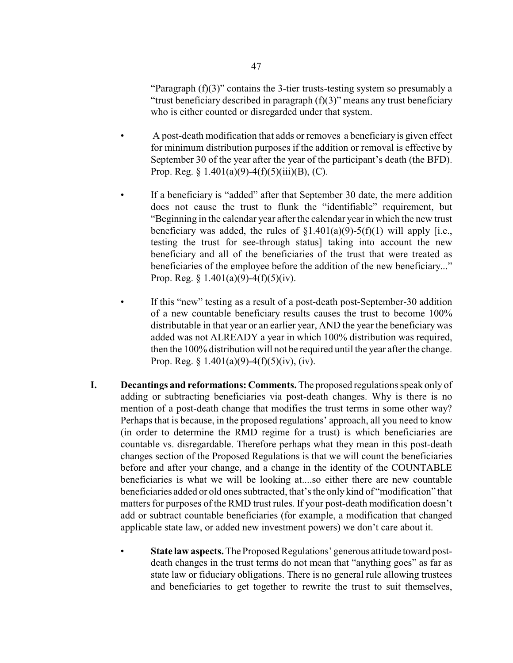"Paragraph  $(f)(3)$ " contains the 3-tier trusts-testing system so presumably a "trust beneficiary described in paragraph  $(f)(3)$ " means any trust beneficiary who is either counted or disregarded under that system.

- A post-death modification that adds or removes a beneficiary is given effect for minimum distribution purposes if the addition or removal is effective by September 30 of the year after the year of the participant's death (the BFD). Prop. Reg.  $\S 1.401(a)(9) - 4(f)(5)(iii)(B)$ , (C).
	- If a beneficiary is "added" after that September 30 date, the mere addition does not cause the trust to flunk the "identifiable" requirement, but "Beginning in the calendar year after the calendar year in which the new trust beneficiary was added, the rules of  $\S1.401(a)(9)$ -5(f)(1) will apply [i.e., testing the trust for see-through status] taking into account the new beneficiary and all of the beneficiaries of the trust that were treated as beneficiaries of the employee before the addition of the new beneficiary..." Prop. Reg.  $\S$  1.401(a)(9)-4(f)(5)(iv).
- If this "new" testing as a result of a post-death post-September-30 addition of a new countable beneficiary results causes the trust to become 100% distributable in that year or an earlier year, AND the year the beneficiary was added was not ALREADY a year in which 100% distribution was required, then the 100% distribution will not be required until the year after the change. Prop. Reg. §  $1.401(a)(9) - 4(f)(5)(iv)$ , (iv).
- **I. Decantings and reformations: Comments.** The proposed regulations speak only of adding or subtracting beneficiaries via post-death changes. Why is there is no mention of a post-death change that modifies the trust terms in some other way? Perhaps that is because, in the proposed regulations' approach, all you need to know (in order to determine the RMD regime for a trust) is which beneficiaries are countable vs. disregardable. Therefore perhaps what they mean in this post-death changes section of the Proposed Regulations is that we will count the beneficiaries before and after your change, and a change in the identity of the COUNTABLE beneficiaries is what we will be looking at....so either there are new countable beneficiaries added or old ones subtracted, that's the only kind of "modification" that matters for purposes of the RMD trust rules. If your post-death modification doesn't add or subtract countable beneficiaries (for example, a modification that changed applicable state law, or added new investment powers) we don't care about it.
	- **State law aspects.** The Proposed Regulations' generous attitude toward postdeath changes in the trust terms do not mean that "anything goes" as far as state law or fiduciary obligations. There is no general rule allowing trustees and beneficiaries to get together to rewrite the trust to suit themselves,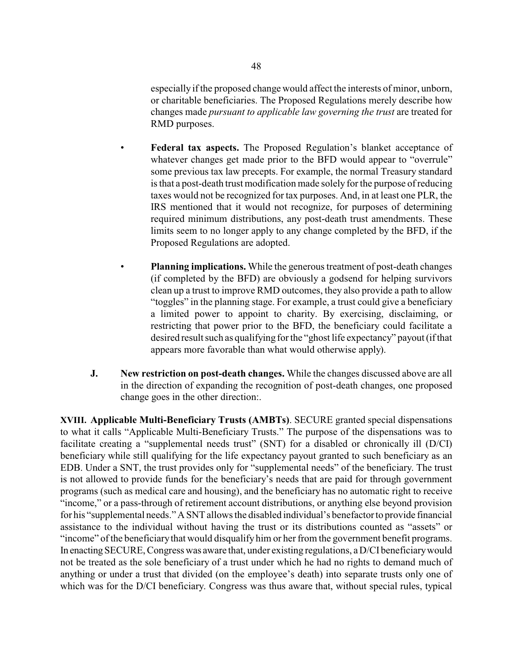especially if the proposed change would affect the interests of minor, unborn, or charitable beneficiaries. The Proposed Regulations merely describe how changes made *pursuant to applicable law governing the trust* are treated for RMD purposes.

- **Federal tax aspects.** The Proposed Regulation's blanket acceptance of whatever changes get made prior to the BFD would appear to "overrule" some previous tax law precepts. For example, the normal Treasury standard is that a post-death trust modification made solely for the purpose of reducing taxes would not be recognized for tax purposes. And, in at least one PLR, the IRS mentioned that it would not recognize, for purposes of determining required minimum distributions, any post-death trust amendments. These limits seem to no longer apply to any change completed by the BFD, if the Proposed Regulations are adopted.
- **Planning implications.** While the generous treatment of post-death changes (if completed by the BFD) are obviously a godsend for helping survivors clean up a trust to improve RMD outcomes, they also provide a path to allow "toggles" in the planning stage. For example, a trust could give a beneficiary a limited power to appoint to charity. By exercising, disclaiming, or restricting that power prior to the BFD, the beneficiary could facilitate a desired result such as qualifying for the "ghost life expectancy" payout (if that appears more favorable than what would otherwise apply).
- **J. New restriction on post-death changes.** While the changes discussed above are all in the direction of expanding the recognition of post-death changes, one proposed change goes in the other direction:.

**XVIII. Applicable Multi-Beneficiary Trusts (AMBTs)**. SECURE granted special dispensations to what it calls "Applicable Multi-Beneficiary Trusts." The purpose of the dispensations was to facilitate creating a "supplemental needs trust" (SNT) for a disabled or chronically ill (D/CI) beneficiary while still qualifying for the life expectancy payout granted to such beneficiary as an EDB. Under a SNT, the trust provides only for "supplemental needs" of the beneficiary. The trust is not allowed to provide funds for the beneficiary's needs that are paid for through government programs (such as medical care and housing), and the beneficiary has no automatic right to receive "income," or a pass-through of retirement account distributions, or anything else beyond provision for his "supplemental needs." A SNT allows the disabled individual's benefactor to provide financial assistance to the individual without having the trust or its distributions counted as "assets" or "income" of the beneficiarythat would disqualify him or her from the government benefit programs. In enacting SECURE, Congress was aware that, under existing regulations, a D/CI beneficiary would not be treated as the sole beneficiary of a trust under which he had no rights to demand much of anything or under a trust that divided (on the employee's death) into separate trusts only one of which was for the D/CI beneficiary. Congress was thus aware that, without special rules, typical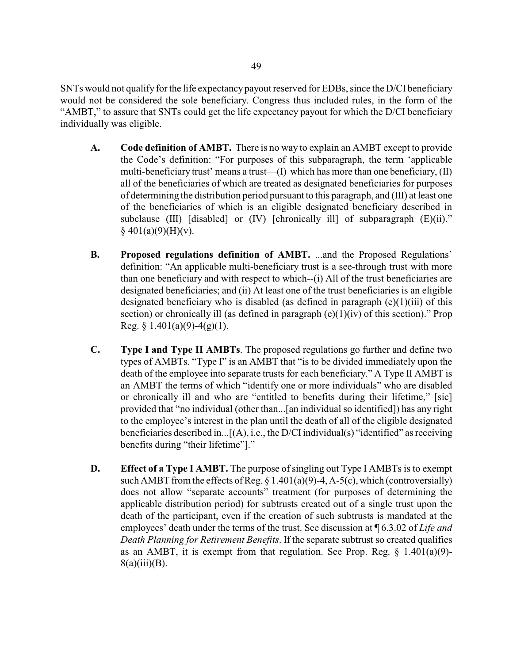SNTs would not qualify for the life expectancypayout reserved for EDBs, since the D/CI beneficiary would not be considered the sole beneficiary. Congress thus included rules, in the form of the "AMBT," to assure that SNTs could get the life expectancy payout for which the D/CI beneficiary individually was eligible.

- **A. Code definition of AMBT.** There is no way to explain an AMBT except to provide the Code's definition: "For purposes of this subparagraph, the term 'applicable multi-beneficiary trust' means a trust—(I) which has more than one beneficiary, (II) all of the beneficiaries of which are treated as designated beneficiaries for purposes of determining the distribution period pursuant to this paragraph, and (III) at least one of the beneficiaries of which is an eligible designated beneficiary described in subclause (III) [disabled] or  $(IV)$  [chronically ill] of subparagraph  $(E)(ii)$ ."  $§$  401(a)(9)(H)(v).
- **B. Proposed regulations definition of AMBT.** ...and the Proposed Regulations' definition: "An applicable multi-beneficiary trust is a see-through trust with more than one beneficiary and with respect to which--(i) All of the trust beneficiaries are designated beneficiaries; and (ii) At least one of the trust beneficiaries is an eligible designated beneficiary who is disabled (as defined in paragraph  $(e)(1)(iii)$  of this section) or chronically ill (as defined in paragraph  $(e)(1)(iv)$  of this section)." Prop Reg.  $§$  1.401(a)(9)-4(g)(1).
- **C. Type I and Type II AMBTs**. The proposed regulations go further and define two types of AMBTs. "Type I" is an AMBT that "is to be divided immediately upon the death of the employee into separate trusts for each beneficiary." A Type II AMBT is an AMBT the terms of which "identify one or more individuals" who are disabled or chronically ill and who are "entitled to benefits during their lifetime," [sic] provided that "no individual (other than...[an individual so identified]) has any right to the employee's interest in the plan until the death of all of the eligible designated beneficiaries described in... $[(A), i.e., the D/CI individual(s) "identified" as receiving$ benefits during "their lifetime"]."
- **D. Effect of a Type I AMBT.** The purpose of singling out Type I AMBTs is to exempt such AMBT from the effects of Reg.  $\S$  1.401(a)(9)-4, A-5(c), which (controversially) does not allow "separate accounts" treatment (for purposes of determining the applicable distribution period) for subtrusts created out of a single trust upon the death of the participant, even if the creation of such subtrusts is mandated at the employees' death under the terms of the trust. See discussion at ¶ 6.3.02 of *Life and Death Planning for Retirement Benefits*. If the separate subtrust so created qualifies as an AMBT, it is exempt from that regulation. See Prop. Reg.  $\S$  1.401(a)(9)- $8(a)(iii)(B)$ .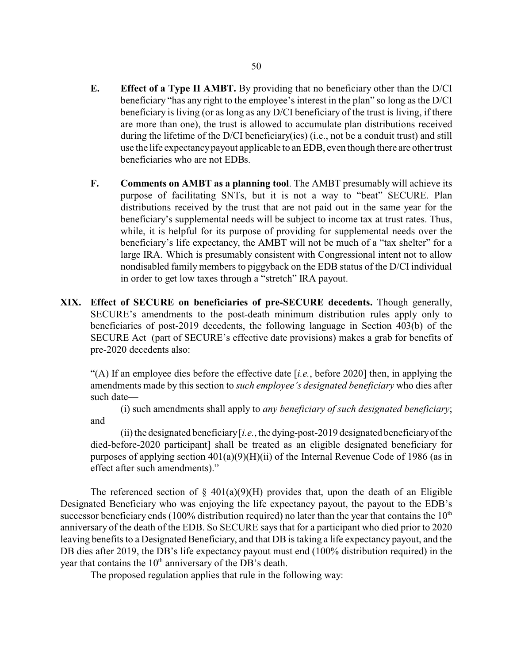- **E. Effect of a Type II AMBT.** By providing that no beneficiary other than the D/CI beneficiary "has any right to the employee's interest in the plan" so long as the D/CI beneficiary is living (or as long as any D/CI beneficiary of the trust is living, if there are more than one), the trust is allowed to accumulate plan distributions received during the lifetime of the D/CI beneficiary(ies) (i.e., not be a conduit trust) and still use the life expectancypayout applicable to an EDB, even though there are other trust beneficiaries who are not EDBs.
- **F. Comments on AMBT as a planning tool**. The AMBT presumably will achieve its purpose of facilitating SNTs, but it is not a way to "beat" SECURE. Plan distributions received by the trust that are not paid out in the same year for the beneficiary's supplemental needs will be subject to income tax at trust rates. Thus, while, it is helpful for its purpose of providing for supplemental needs over the beneficiary's life expectancy, the AMBT will not be much of a "tax shelter" for a large IRA. Which is presumably consistent with Congressional intent not to allow nondisabled family members to piggyback on the EDB status of the D/CI individual in order to get low taxes through a "stretch" IRA payout.
- **XIX. Effect of SECURE on beneficiaries of pre-SECURE decedents.** Though generally, SECURE's amendments to the post-death minimum distribution rules apply only to beneficiaries of post-2019 decedents, the following language in Section 403(b) of the SECURE Act (part of SECURE's effective date provisions) makes a grab for benefits of pre-2020 decedents also:

"(A) If an employee dies before the effective date [*i.e.*, before 2020] then, in applying the amendments made by this section to *such employee's designated beneficiary* who dies after such date—

(i) such amendments shall apply to *any beneficiary of such designated beneficiary*; and

(ii) the designated beneficiary  $[i.e.,$  the dying-post-2019 designated beneficiary of the died-before-2020 participant] shall be treated as an eligible designated beneficiary for purposes of applying section  $401(a)(9)(H)(ii)$  of the Internal Revenue Code of 1986 (as in effect after such amendments)."

The referenced section of  $\S$  401(a)(9)(H) provides that, upon the death of an Eligible Designated Beneficiary who was enjoying the life expectancy payout, the payout to the EDB's successor beneficiary ends (100% distribution required) no later than the year that contains the  $10<sup>th</sup>$ anniversary of the death of the EDB. So SECURE says that for a participant who died prior to 2020 leaving benefits to a Designated Beneficiary, and that DB is taking a life expectancy payout, and the DB dies after 2019, the DB's life expectancy payout must end (100% distribution required) in the year that contains the  $10<sup>th</sup>$  anniversary of the DB's death.

The proposed regulation applies that rule in the following way: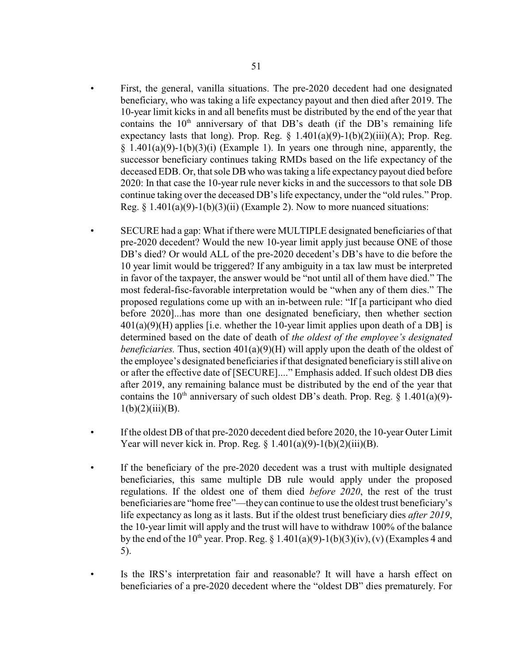- First, the general, vanilla situations. The pre-2020 decedent had one designated beneficiary, who was taking a life expectancy payout and then died after 2019. The 10-year limit kicks in and all benefits must be distributed by the end of the year that contains the  $10<sup>th</sup>$  anniversary of that DB's death (if the DB's remaining life expectancy lasts that long). Prop. Reg.  $\S$  1.401(a)(9)-1(b)(2)(iii)(A); Prop. Reg.  $§$  1.401(a)(9)-1(b)(3)(i) (Example 1). In years one through nine, apparently, the successor beneficiary continues taking RMDs based on the life expectancy of the deceased EDB. Or, that sole DB who was taking a life expectancy payout died before 2020: In that case the 10-year rule never kicks in and the successors to that sole DB continue taking over the deceased DB's life expectancy, under the "old rules." Prop. Reg.  $\S 1.401(a)(9)-1(b)(3)(ii)$  (Example 2). Now to more nuanced situations:
- SECURE had a gap: What if there were MULTIPLE designated beneficiaries of that pre-2020 decedent? Would the new 10-year limit apply just because ONE of those DB's died? Or would ALL of the pre-2020 decedent's DB's have to die before the 10 year limit would be triggered? If any ambiguity in a tax law must be interpreted in favor of the taxpayer, the answer would be "not until all of them have died." The most federal-fisc-favorable interpretation would be "when any of them dies." The proposed regulations come up with an in-between rule: "If [a participant who died before 2020]...has more than one designated beneficiary, then whether section  $401(a)(9)(H)$  applies [i.e. whether the 10-year limit applies upon death of a DB] is determined based on the date of death of *the oldest of the employee's designated beneficiaries.* Thus, section 401(a)(9)(H) will apply upon the death of the oldest of the employee's designated beneficiaries if that designated beneficiary is still alive on or after the effective date of [SECURE]...." Emphasis added. If such oldest DB dies after 2019, any remaining balance must be distributed by the end of the year that contains the 10<sup>th</sup> anniversary of such oldest DB's death. Prop. Reg.  $\S$  1.401(a)(9)- $1(b)(2)(iii)(B).$
- If the oldest DB of that pre-2020 decedent died before 2020, the 10-year Outer Limit Year will never kick in. Prop. Reg.  $\frac{1.401(a)(9)-1(b)(2)(iii)(B)}{2.61(b)(2)(iii)(B)}$ .
- If the beneficiary of the pre-2020 decedent was a trust with multiple designated beneficiaries, this same multiple DB rule would apply under the proposed regulations. If the oldest one of them died *before 2020*, the rest of the trust beneficiaries are "home free"—theycan continue to use the oldest trust beneficiary's life expectancy as long as it lasts. But if the oldest trust beneficiary dies *after 2019*, the 10-year limit will apply and the trust will have to withdraw 100% of the balance by the end of the  $10^{th}$  year. Prop. Reg. § 1.401(a)(9)-1(b)(3)(iv), (v) (Examples 4 and 5).
- Is the IRS's interpretation fair and reasonable? It will have a harsh effect on beneficiaries of a pre-2020 decedent where the "oldest DB" dies prematurely. For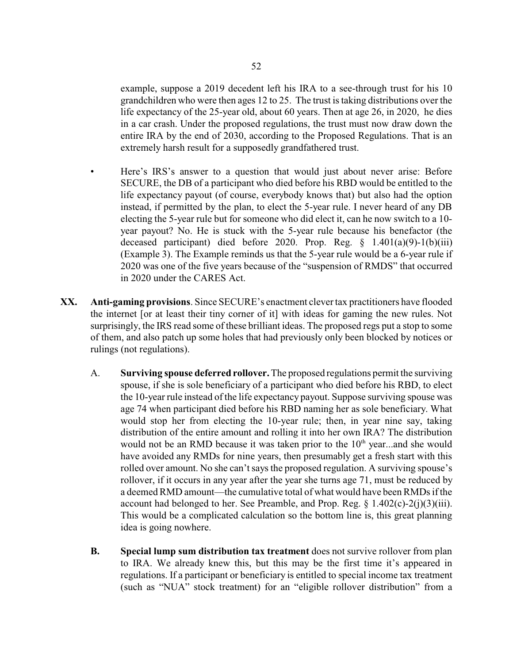example, suppose a 2019 decedent left his IRA to a see-through trust for his 10 grandchildren who were then ages 12 to 25. The trust is taking distributions over the life expectancy of the 25-year old, about 60 years. Then at age 26, in 2020, he dies in a car crash. Under the proposed regulations, the trust must now draw down the entire IRA by the end of 2030, according to the Proposed Regulations. That is an extremely harsh result for a supposedly grandfathered trust.

- Here's IRS's answer to a question that would just about never arise: Before SECURE, the DB of a participant who died before his RBD would be entitled to the life expectancy payout (of course, everybody knows that) but also had the option instead, if permitted by the plan, to elect the 5-year rule. I never heard of any DB electing the 5-year rule but for someone who did elect it, can he now switch to a 10 year payout? No. He is stuck with the 5-year rule because his benefactor (the deceased participant) died before 2020. Prop. Reg. § 1.401(a)(9)-1(b)(iii) (Example 3). The Example reminds us that the 5-year rule would be a 6-year rule if 2020 was one of the five years because of the "suspension of RMDS" that occurred in 2020 under the CARES Act.
- **XX. Anti-gaming provisions**. Since SECURE's enactment clever tax practitioners have flooded the internet [or at least their tiny corner of it] with ideas for gaming the new rules. Not surprisingly, the IRS read some of these brilliant ideas. The proposed regs put a stop to some of them, and also patch up some holes that had previously only been blocked by notices or rulings (not regulations).
	- A. **Surviving spouse deferred rollover.**The proposed regulations permit the surviving spouse, if she is sole beneficiary of a participant who died before his RBD, to elect the 10-year rule instead of the life expectancy payout. Suppose surviving spouse was age 74 when participant died before his RBD naming her as sole beneficiary. What would stop her from electing the 10-year rule; then, in year nine say, taking distribution of the entire amount and rolling it into her own IRA? The distribution would not be an RMD because it was taken prior to the 10<sup>th</sup> year...and she would have avoided any RMDs for nine years, then presumably get a fresh start with this rolled over amount. No she can't says the proposed regulation. A surviving spouse's rollover, if it occurs in any year after the year she turns age 71, must be reduced by a deemed RMD amount—the cumulative total of what would have been RMDs if the account had belonged to her. See Preamble, and Prop. Reg.  $\S$  1.402(c)-2(j)(3)(iii). This would be a complicated calculation so the bottom line is, this great planning idea is going nowhere.
	- **B. Special lump sum distribution tax treatment** does not survive rollover from plan to IRA. We already knew this, but this may be the first time it's appeared in regulations. If a participant or beneficiary is entitled to special income tax treatment (such as "NUA" stock treatment) for an "eligible rollover distribution" from a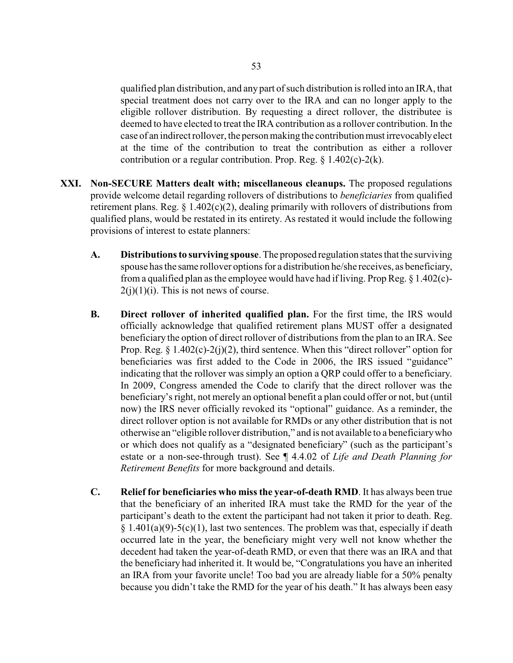qualified plan distribution, and any part of such distribution is rolled into an IRA, that special treatment does not carry over to the IRA and can no longer apply to the eligible rollover distribution. By requesting a direct rollover, the distributee is deemed to have elected to treat the IRA contribution as a rollover contribution. In the case of an indirect rollover, the person making the contributionmust irrevocablyelect at the time of the contribution to treat the contribution as either a rollover contribution or a regular contribution. Prop. Reg. § 1.402(c)-2(k).

- **XXI. Non-SECURE Matters dealt with; miscellaneous cleanups.** The proposed regulations provide welcome detail regarding rollovers of distributions to *beneficiaries* from qualified retirement plans. Reg.  $\S 1.402(c)(2)$ , dealing primarily with rollovers of distributions from qualified plans, would be restated in its entirety. As restated it would include the following provisions of interest to estate planners:
	- **A. Distributions to surviving spouse**. The proposed regulation states that the surviving spouse has the same rollover options for a distribution he/she receives, as beneficiary, from a qualified plan as the employee would have had if living. Prop Reg. § 1.402(c)-  $2(j)(1)(i)$ . This is not news of course.
	- **B. Direct rollover of inherited qualified plan.** For the first time, the IRS would officially acknowledge that qualified retirement plans MUST offer a designated beneficiary the option of direct rollover of distributions from the plan to an IRA. See Prop. Reg. § 1.402(c)-2(j)(2), third sentence. When this "direct rollover" option for beneficiaries was first added to the Code in 2006, the IRS issued "guidance" indicating that the rollover was simply an option a QRP could offer to a beneficiary. In 2009, Congress amended the Code to clarify that the direct rollover was the beneficiary's right, not merely an optional benefit a plan could offer or not, but (until now) the IRS never officially revoked its "optional" guidance. As a reminder, the direct rollover option is not available for RMDs or any other distribution that is not otherwise an "eligible rollover distribution," and is not available to a beneficiarywho or which does not qualify as a "designated beneficiary" (such as the participant's estate or a non-see-through trust). See ¶ 4.4.02 of *Life and Death Planning for Retirement Benefits* for more background and details.
	- **C. Relief for beneficiaries who miss the year-of-death RMD**. It has always been true that the beneficiary of an inherited IRA must take the RMD for the year of the participant's death to the extent the participant had not taken it prior to death. Reg.  $§ 1.401(a)(9)-5(c)(1)$ , last two sentences. The problem was that, especially if death occurred late in the year, the beneficiary might very well not know whether the decedent had taken the year-of-death RMD, or even that there was an IRA and that the beneficiary had inherited it. It would be, "Congratulations you have an inherited an IRA from your favorite uncle! Too bad you are already liable for a 50% penalty because you didn't take the RMD for the year of his death." It has always been easy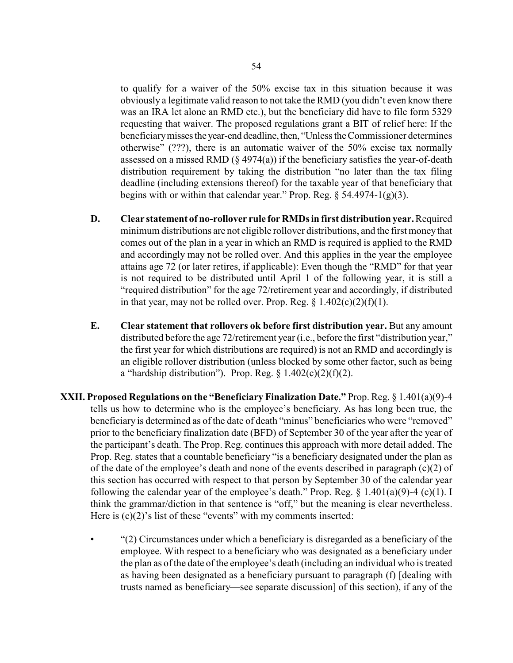to qualify for a waiver of the 50% excise tax in this situation because it was obviously a legitimate valid reason to not take the RMD (you didn't even know there was an IRA let alone an RMD etc.), but the beneficiary did have to file form 5329 requesting that waiver. The proposed regulations grant a BIT of relief here: If the beneficiarymissesthe year-end deadline, then, "Unless the Commissioner determines otherwise" (???), there is an automatic waiver of the 50% excise tax normally assessed on a missed RMD  $(\S 4974(a))$  if the beneficiary satisfies the year-of-death distribution requirement by taking the distribution "no later than the tax filing deadline (including extensions thereof) for the taxable year of that beneficiary that begins with or within that calendar year." Prop. Reg.  $\S$  54.4974-1(g)(3).

- **D. Clear statement of no-rollover rule for RMDs in first distribution year.** Required minimum distributions are not eligible rollover distributions, and the first moneythat comes out of the plan in a year in which an RMD is required is applied to the RMD and accordingly may not be rolled over. And this applies in the year the employee attains age 72 (or later retires, if applicable): Even though the "RMD" for that year is not required to be distributed until April 1 of the following year, it is still a "required distribution" for the age 72/retirement year and accordingly, if distributed in that year, may not be rolled over. Prop. Reg.  $\S 1.402(c)(2)(f)(1)$ .
- **E. Clear statement that rollovers ok before first distribution year.** But any amount distributed before the age 72/retirement year (i.e., before the first "distribution year," the first year for which distributions are required) is not an RMD and accordingly is an eligible rollover distribution (unless blocked by some other factor, such as being a "hardship distribution"). Prop. Reg.  $\S 1.402(c)(2)(f)(2)$ .
- **XXII. Proposed Regulations on the "Beneficiary Finalization Date."** Prop. Reg. § 1.401(a)(9)-4 tells us how to determine who is the employee's beneficiary. As has long been true, the beneficiary is determined as of the date of death "minus" beneficiaries who were "removed" prior to the beneficiary finalization date (BFD) of September 30 of the year after the year of the participant's death. The Prop. Reg. continues this approach with more detail added. The Prop. Reg. states that a countable beneficiary "is a beneficiary designated under the plan as of the date of the employee's death and none of the events described in paragraph  $(c)(2)$  of this section has occurred with respect to that person by September 30 of the calendar year following the calendar year of the employee's death." Prop. Reg.  $\S$  1.401(a)(9)-4 (c)(1). I think the grammar/diction in that sentence is "off," but the meaning is clear nevertheless. Here is  $(c)(2)$ 's list of these "events" with my comments inserted:
	- "(2) Circumstances under which a beneficiary is disregarded as a beneficiary of the employee. With respect to a beneficiary who was designated as a beneficiary under the plan as of the date of the employee's death (including an individual who is treated as having been designated as a beneficiary pursuant to paragraph (f) [dealing with trusts named as beneficiary—see separate discussion] of this section), if any of the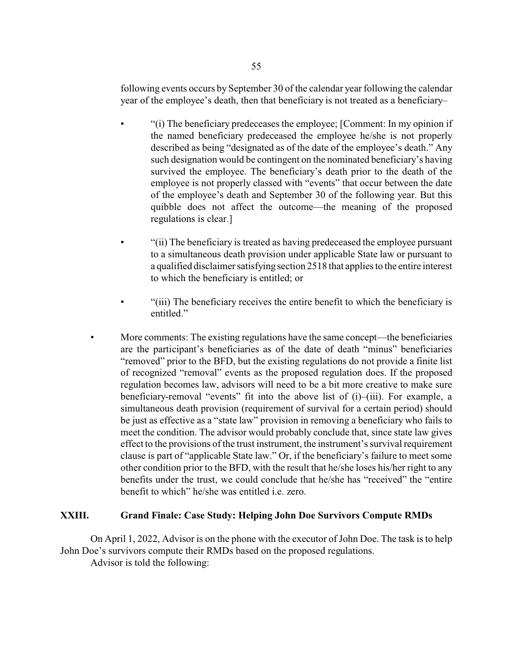following events occurs by September 30 of the calendar year following the calendar year of the employee's death, then that beneficiary is not treated as a beneficiary–

- "(i) The beneficiary predeceases the employee; [Comment: In my opinion if the named beneficiary predeceased the employee he/she is not properly described as being "designated as of the date of the employee's death." Any such designation would be contingent on the nominated beneficiary's having survived the employee. The beneficiary's death prior to the death of the employee is not properly classed with "events" that occur between the date of the employee's death and September 30 of the following year. But this quibble does not affect the outcome—the meaning of the proposed regulations is clear.]
- "(ii) The beneficiary is treated as having predeceased the employee pursuant to a simultaneous death provision under applicable State law or pursuant to a qualified disclaimer satisfying section 2518 that applies to the entire interest to which the beneficiary is entitled; or
- "(iii) The beneficiary receives the entire benefit to which the beneficiary is entitled."
- More comments: The existing regulations have the same concept—the beneficiaries are the participant's beneficiaries as of the date of death "minus" beneficiaries "removed" prior to the BFD, but the existing regulations do not provide a finite list of recognized "removal" events as the proposed regulation does. If the proposed regulation becomes law, advisors will need to be a bit more creative to make sure beneficiary-removal "events" fit into the above list of (i)–(iii). For example, a simultaneous death provision (requirement of survival for a certain period) should be just as effective as a "state law" provision in removing a beneficiary who fails to meet the condition. The advisor would probably conclude that, since state law gives effect to the provisions of the trust instrument, the instrument's survival requirement clause is part of "applicable State law." Or, if the beneficiary's failure to meet some other condition prior to the BFD, with the result that he/she loses his/her right to any benefits under the trust, we could conclude that he/she has "received" the "entire benefit to which" he/she was entitled i.e. zero.

## **XXIII. Grand Finale: Case Study: Helping John Doe Survivors Compute RMDs**

On April 1, 2022, Advisor is on the phone with the executor of John Doe. The task is to help John Doe's survivors compute their RMDs based on the proposed regulations.

Advisor is told the following: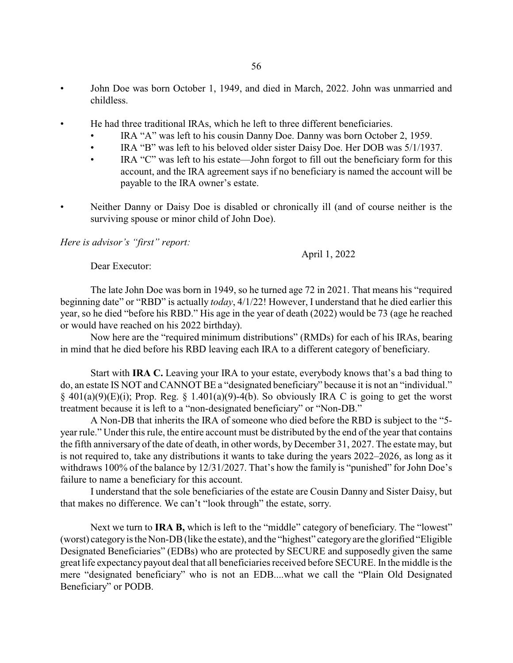- John Doe was born October 1, 1949, and died in March, 2022. John was unmarried and childless.
- He had three traditional IRAs, which he left to three different beneficiaries.
	- IRA "A" was left to his cousin Danny Doe. Danny was born October 2, 1959.
	- IRA "B" was left to his beloved older sister Daisy Doe. Her DOB was 5/1/1937.
	- IRA "C" was left to his estate—John forgot to fill out the beneficiary form for this account, and the IRA agreement says if no beneficiary is named the account will be payable to the IRA owner's estate.
- Neither Danny or Daisy Doe is disabled or chronically ill (and of course neither is the surviving spouse or minor child of John Doe).

*Here is advisor's "first" report:*

April 1, 2022

Dear Executor:

The late John Doe was born in 1949, so he turned age 72 in 2021. That means his "required beginning date" or "RBD" is actually *today*, 4/1/22! However, I understand that he died earlier this year, so he died "before his RBD." His age in the year of death (2022) would be 73 (age he reached or would have reached on his 2022 birthday).

Now here are the "required minimum distributions" (RMDs) for each of his IRAs, bearing in mind that he died before his RBD leaving each IRA to a different category of beneficiary.

Start with **IRA C.** Leaving your IRA to your estate, everybody knows that's a bad thing to do, an estate IS NOT and CANNOT BE a "designated beneficiary" because it is not an "individual."  $\S$  401(a)(9)(E)(i); Prop. Reg.  $\S$  1.401(a)(9)-4(b). So obviously IRA C is going to get the worst treatment because it is left to a "non-designated beneficiary" or "Non-DB."

A Non-DB that inherits the IRA of someone who died before the RBD is subject to the "5 year rule." Under this rule, the entire account must be distributed by the end of the year that contains the fifth anniversary of the date of death, in other words, by December 31, 2027. The estate may, but is not required to, take any distributions it wants to take during the years 2022–2026, as long as it withdraws 100% of the balance by 12/31/2027. That's how the family is "punished" for John Doe's failure to name a beneficiary for this account.

I understand that the sole beneficiaries of the estate are Cousin Danny and Sister Daisy, but that makes no difference. We can't "look through" the estate, sorry.

Next we turn to **IRA B**, which is left to the "middle" category of beneficiary. The "lowest" (worst) categoryis the Non-DB(like the estate), and the "highest" categoryare the glorified "Eligible Designated Beneficiaries" (EDBs) who are protected by SECURE and supposedly given the same great life expectancy payout deal that all beneficiaries received before SECURE. In the middle is the mere "designated beneficiary" who is not an EDB....what we call the "Plain Old Designated Beneficiary" or PODB.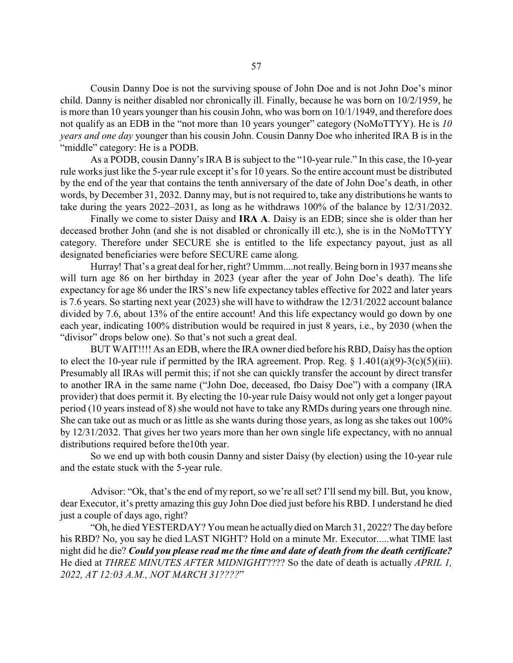Cousin Danny Doe is not the surviving spouse of John Doe and is not John Doe's minor child. Danny is neither disabled nor chronically ill. Finally, because he was born on 10/2/1959, he is more than 10 years younger than his cousin John, who was born on 10/1/1949, and therefore does not qualify as an EDB in the "not more than 10 years younger" category (NoMoTTYY). He is *10 years and one day* younger than his cousin John. Cousin Danny Doe who inherited IRA B is in the "middle" category: He is a PODB.

As a PODB, cousin Danny's IRA B is subject to the "10-year rule." In this case, the 10-year rule works just like the 5-year rule except it's for 10 years. So the entire account must be distributed by the end of the year that contains the tenth anniversary of the date of John Doe's death, in other words, by December 31, 2032. Danny may, but is not required to, take any distributions he wants to take during the years 2022–2031, as long as he withdraws 100% of the balance by 12/31/2032.

Finally we come to sister Daisy and **IRA A**. Daisy is an EDB; since she is older than her deceased brother John (and she is not disabled or chronically ill etc.), she is in the NoMoTTYY category. Therefore under SECURE she is entitled to the life expectancy payout, just as all designated beneficiaries were before SECURE came along.

Hurray! That's a great deal for her, right? Ummm....not really.Being born in 1937 means she will turn age 86 on her birthday in 2023 (year after the year of John Doe's death). The life expectancy for age 86 under the IRS's new life expectancy tables effective for 2022 and later years is 7.6 years. So starting next year (2023) she will have to withdraw the 12/31/2022 account balance divided by 7.6, about 13% of the entire account! And this life expectancy would go down by one each year, indicating 100% distribution would be required in just 8 years, i.e., by 2030 (when the "divisor" drops below one). So that's not such a great deal.

BUT WAIT!!!! As an EDB, where the IRA owner died before his RBD, Daisy has the option to elect the 10-year rule if permitted by the IRA agreement. Prop. Reg.  $\S$  1.401(a)(9)-3(c)(5)(iii). Presumably all IRAs will permit this; if not she can quickly transfer the account by direct transfer to another IRA in the same name ("John Doe, deceased, fbo Daisy Doe") with a company (IRA provider) that does permit it. By electing the 10-year rule Daisy would not only get a longer payout period (10 years instead of 8) she would not have to take any RMDs during years one through nine. She can take out as much or as little as she wants during those years, as long as she takes out 100% by 12/31/2032. That gives her two years more than her own single life expectancy, with no annual distributions required before the10th year.

So we end up with both cousin Danny and sister Daisy (by election) using the 10-year rule and the estate stuck with the 5-year rule.

Advisor: "Ok, that's the end of my report, so we're all set? I'll send my bill. But, you know, dear Executor, it's pretty amazing this guy John Doe died just before his RBD. I understand he died just a couple of days ago, right?

"Oh, he died YESTERDAY? You mean he actually died on March 31, 2022? The day before his RBD? No, you say he died LAST NIGHT? Hold on a minute Mr. Executor.....what TIME last night did he die? *Could you please read me the time and date of death from the death certificate?* He died at *THREE MINUTES AFTER MIDNIGHT*???? So the date of death is actually *APRIL 1, 2022, AT 12:03 A.M., NOT MARCH 31????*"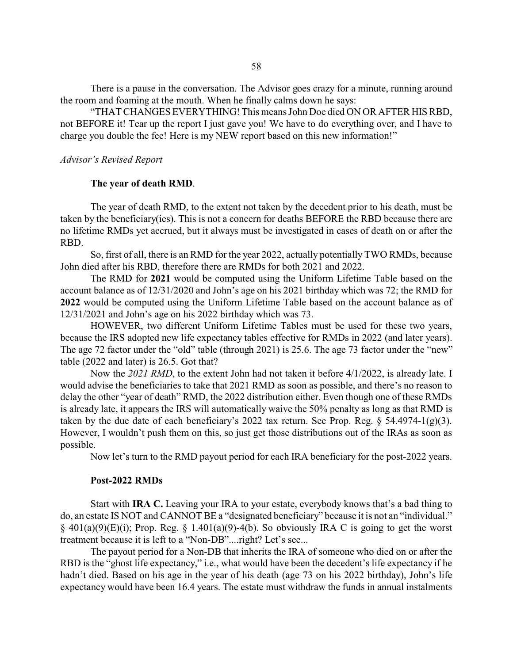There is a pause in the conversation. The Advisor goes crazy for a minute, running around the room and foaming at the mouth. When he finally calms down he says:

"THAT CHANGES EVERYTHING! This means John Doe died ON OR AFTER HIS RBD, not BEFORE it! Tear up the report I just gave you! We have to do everything over, and I have to charge you double the fee! Here is my NEW report based on this new information!"

#### *Advisor's Revised Report*

#### **The year of death RMD**.

The year of death RMD, to the extent not taken by the decedent prior to his death, must be taken by the beneficiary(ies). This is not a concern for deaths BEFORE the RBD because there are no lifetime RMDs yet accrued, but it always must be investigated in cases of death on or after the RBD.

So, first of all, there is an RMD for the year 2022, actually potentially TWO RMDs, because John died after his RBD, therefore there are RMDs for both 2021 and 2022.

The RMD for **2021** would be computed using the Uniform Lifetime Table based on the account balance as of 12/31/2020 and John's age on his 2021 birthday which was 72; the RMD for **2022** would be computed using the Uniform Lifetime Table based on the account balance as of 12/31/2021 and John's age on his 2022 birthday which was 73.

HOWEVER, two different Uniform Lifetime Tables must be used for these two years, because the IRS adopted new life expectancy tables effective for RMDs in 2022 (and later years). The age 72 factor under the "old" table (through 2021) is 25.6. The age 73 factor under the "new" table (2022 and later) is 26.5. Got that?

Now the 2021 RMD, to the extent John had not taken it before 4/1/2022, is already late. I would advise the beneficiaries to take that 2021 RMD as soon as possible, and there's no reason to delay the other "year of death" RMD, the 2022 distribution either. Even though one of these RMDs is already late, it appears the IRS will automatically waive the 50% penalty as long as that RMD is taken by the due date of each beneficiary's 2022 tax return. See Prop. Reg.  $\S$  54.4974-1(g)(3). However, I wouldn't push them on this, so just get those distributions out of the IRAs as soon as possible.

Now let's turn to the RMD payout period for each IRA beneficiary for the post-2022 years.

#### **Post-2022 RMDs**

Start with **IRA C.** Leaving your IRA to your estate, everybody knows that's a bad thing to do, an estate IS NOT and CANNOT BE a "designated beneficiary" because it is not an "individual."  $\S$  401(a)(9)(E)(i); Prop. Reg.  $\S$  1.401(a)(9)-4(b). So obviously IRA C is going to get the worst treatment because it is left to a "Non-DB"....right? Let's see...

The payout period for a Non-DB that inherits the IRA of someone who died on or after the RBD is the "ghost life expectancy," i.e., what would have been the decedent's life expectancy if he hadn't died. Based on his age in the year of his death (age 73 on his 2022 birthday), John's life expectancy would have been 16.4 years. The estate must withdraw the funds in annual instalments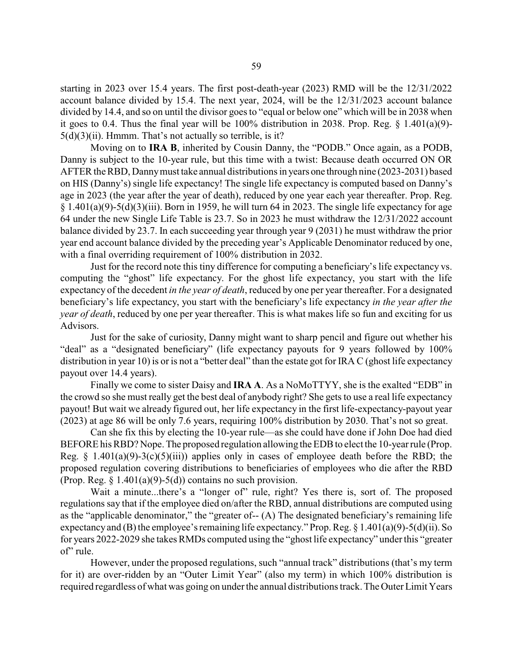starting in 2023 over 15.4 years. The first post-death-year (2023) RMD will be the 12/31/2022 account balance divided by 15.4. The next year, 2024, will be the 12/31/2023 account balance divided by 14.4, and so on until the divisor goes to "equal or below one" which will be in 2038 when it goes to 0.4. Thus the final year will be 100% distribution in 2038. Prop. Reg. § 1.401(a)(9)-  $5(d)(3)(ii)$ . Hmmm. That's not actually so terrible, is it?

Moving on to **IRA B**, inherited by Cousin Danny, the "PODB." Once again, as a PODB, Danny is subject to the 10-year rule, but this time with a twist: Because death occurred ON OR AFTER the RBD, Dannymust take annual distributions in years one through nine (2023-2031) based on HIS (Danny's) single life expectancy! The single life expectancy is computed based on Danny's age in 2023 (the year after the year of death), reduced by one year each year thereafter. Prop. Reg.  $§ 1.401(a)(9)-5(d)(3)(iii)$ . Born in 1959, he will turn 64 in 2023. The single life expectancy for age 64 under the new Single Life Table is 23.7. So in 2023 he must withdraw the 12/31/2022 account balance divided by 23.7. In each succeeding year through year 9 (2031) he must withdraw the prior year end account balance divided by the preceding year's Applicable Denominator reduced by one, with a final overriding requirement of 100% distribution in 2032.

Just for the record note this tiny difference for computing a beneficiary's life expectancy vs. computing the "ghost" life expectancy. For the ghost life expectancy, you start with the life expectancy of the decedent *in the year of death*, reduced by one per year thereafter. For a designated beneficiary's life expectancy, you start with the beneficiary's life expectancy *in the year after the year of death*, reduced by one per year thereafter. This is what makes life so fun and exciting for us Advisors.

Just for the sake of curiosity, Danny might want to sharp pencil and figure out whether his "deal" as a "designated beneficiary" (life expectancy payouts for 9 years followed by 100%) distribution in year 10) is or is not a "better deal" than the estate got for IRA C (ghost life expectancy payout over 14.4 years).

Finally we come to sister Daisy and **IRA A**. As a NoMoTTYY, she is the exalted "EDB" in the crowd so she must really get the best deal of anybody right? She gets to use a real life expectancy payout! But wait we already figured out, her life expectancy in the first life-expectancy-payout year (2023) at age 86 will be only 7.6 years, requiring 100% distribution by 2030. That's not so great.

Can she fix this by electing the 10-year rule—as she could have done if John Doe had died BEFORE his RBD? Nope. The proposed regulation allowing the EDB to elect the 10-year rule (Prop. Reg.  $\S$  1.401(a)(9)-3(c)(5)(iii)) applies only in cases of employee death before the RBD; the proposed regulation covering distributions to beneficiaries of employees who die after the RBD (Prop. Reg.  $\S 1.401(a)(9) - 5(d)$ ) contains no such provision.

Wait a minute...there's a "longer of" rule, right? Yes there is, sort of. The proposed regulations say that if the employee died on/after the RBD, annual distributions are computed using as the "applicable denominator," the "greater of-- (A) The designated beneficiary's remaining life expectancy and (B) the employee's remaining life expectancy." Prop. Reg. § 1.401(a)(9)-5(d)(ii). So for years 2022-2029 she takes RMDs computed using the "ghost life expectancy" under this "greater of' rule.

However, under the proposed regulations, such "annual track" distributions (that's my term for it) are over-ridden by an "Outer Limit Year" (also my term) in which 100% distribution is required regardless of what was going on under the annual distributions track. The Outer Limit Years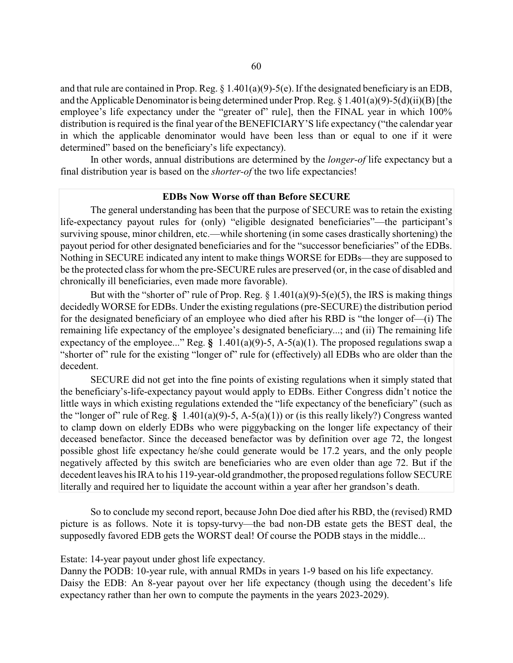and that rule are contained in Prop. Reg. § 1.401(a)(9)-5(e). If the designated beneficiary is an EDB, and the Applicable Denominator is being determined under Prop. Reg. § 1.401(a)(9)-5(d)(ii)(B) [the employee's life expectancy under the "greater of" rule], then the FINAL year in which 100% distribution is required is the final year of the BENEFICIARY'S life expectancy ("the calendar year in which the applicable denominator would have been less than or equal to one if it were determined" based on the beneficiary's life expectancy).

In other words, annual distributions are determined by the *longer-of* life expectancy but a final distribution year is based on the *shorter-of* the two life expectancies!

#### **EDBs Now Worse off than Before SECURE**

The general understanding has been that the purpose of SECURE was to retain the existing life-expectancy payout rules for (only) "eligible designated beneficiaries"—the participant's surviving spouse, minor children, etc.—while shortening (in some cases drastically shortening) the payout period for other designated beneficiaries and for the "successor beneficiaries" of the EDBs. Nothing in SECURE indicated any intent to make things WORSE for EDBs—they are supposed to be the protected class for whom the pre-SECURE rules are preserved (or, in the case of disabled and chronically ill beneficiaries, even made more favorable).

But with the "shorter of" rule of Prop. Reg.  $\S$  1.401(a)(9)-5(e)(5), the IRS is making things decidedly WORSE for EDBs. Under the existing regulations (pre-SECURE) the distribution period for the designated beneficiary of an employee who died after his RBD is "the longer of—(i) The remaining life expectancy of the employee's designated beneficiary...; and (ii) The remaining life expectancy of the employee..." Reg. **§** 1.401(a)(9)-5, A-5(a)(1). The proposed regulations swap a "shorter of" rule for the existing "longer of" rule for (effectively) all EDBs who are older than the decedent.

SECURE did not get into the fine points of existing regulations when it simply stated that the beneficiary's-life-expectancy payout would apply to EDBs. Either Congress didn't notice the little ways in which existing regulations extended the "life expectancy of the beneficiary" (such as the "longer of" rule of Reg. **§** 1.401(a)(9)-5, A-5(a)(1)) or (is this really likely?) Congress wanted to clamp down on elderly EDBs who were piggybacking on the longer life expectancy of their deceased benefactor. Since the deceased benefactor was by definition over age 72, the longest possible ghost life expectancy he/she could generate would be 17.2 years, and the only people negatively affected by this switch are beneficiaries who are even older than age 72. But if the decedent leaves his IRA to his 119-year-old grandmother, the proposed regulations follow SECURE literally and required her to liquidate the account within a year after her grandson's death.

So to conclude my second report, because John Doe died after his RBD, the (revised) RMD picture is as follows. Note it is topsy-turvy—the bad non-DB estate gets the BEST deal, the supposedly favored EDB gets the WORST deal! Of course the PODB stays in the middle...

Estate: 14-year payout under ghost life expectancy.

Danny the PODB: 10-year rule, with annual RMDs in years 1-9 based on his life expectancy. Daisy the EDB: An 8-year payout over her life expectancy (though using the decedent's life expectancy rather than her own to compute the payments in the years 2023-2029).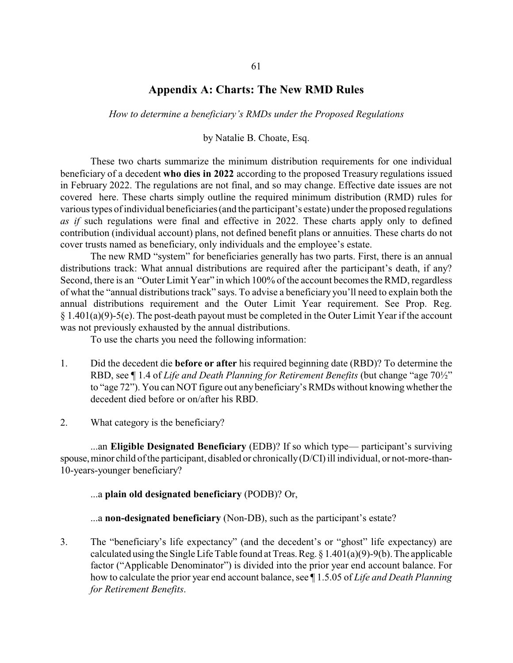### **Appendix A: Charts: The New RMD Rules**

*How to determine a beneficiary's RMDs under the Proposed Regulations*

by Natalie B. Choate, Esq.

These two charts summarize the minimum distribution requirements for one individual beneficiary of a decedent **who dies in 2022** according to the proposed Treasury regulations issued in February 2022. The regulations are not final, and so may change. Effective date issues are not covered here. These charts simply outline the required minimum distribution (RMD) rules for various types of individual beneficiaries (and the participant's estate) under the proposed regulations *as if* such regulations were final and effective in 2022. These charts apply only to defined contribution (individual account) plans, not defined benefit plans or annuities. These charts do not cover trusts named as beneficiary, only individuals and the employee's estate.

The new RMD "system" for beneficiaries generally has two parts. First, there is an annual distributions track: What annual distributions are required after the participant's death, if any? Second, there is an "Outer Limit Year" in which 100% of the account becomes the RMD, regardless of what the "annual distributions track" says. To advise a beneficiary you'll need to explain both the annual distributions requirement and the Outer Limit Year requirement. See Prop. Reg. § 1.401(a)(9)-5(e). The post-death payout must be completed in the Outer Limit Year if the account was not previously exhausted by the annual distributions.

To use the charts you need the following information:

- 1. Did the decedent die **before or after** his required beginning date (RBD)? To determine the RBD, see ¶ 1.4 of *Life and Death Planning for Retirement Benefits* (but change "age 70½" to "age 72"). You can NOT figure out any beneficiary's RMDs without knowing whether the decedent died before or on/after his RBD.
- 2. What category is the beneficiary?

...an **Eligible Designated Beneficiary** (EDB)? If so which type— participant's surviving spouse, minor child of the participant, disabled or chronically (D/CI) ill individual, or not-more-than-10-years-younger beneficiary?

### ...a **plain old designated beneficiary** (PODB)? Or,

...a **non-designated beneficiary** (Non-DB), such as the participant's estate?

3. The "beneficiary's life expectancy" (and the decedent's or "ghost" life expectancy) are calculated using the Single Life Table found at Treas. Reg.  $\S$  1.401(a)(9)-9(b). The applicable factor ("Applicable Denominator") is divided into the prior year end account balance. For how to calculate the prior year end account balance, see ¶ 1.5.05 of *Life and Death Planning for Retirement Benefits*.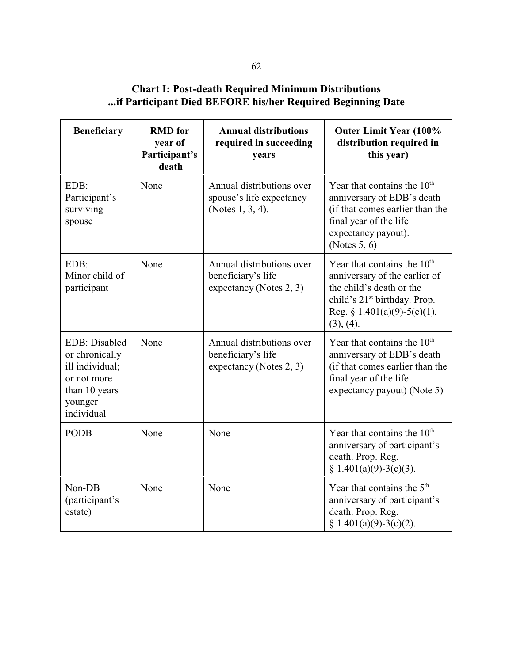# **Chart I: Post-death Required Minimum Distributions ...if Participant Died BEFORE his/her Required Beginning Date**

| <b>Beneficiary</b>                                                                                          | <b>RMD</b> for<br>year of<br>Participant's<br>death | <b>Annual distributions</b><br>required in succeeding<br>years             | <b>Outer Limit Year (100%</b><br>distribution required in<br>this year)                                                                                                            |
|-------------------------------------------------------------------------------------------------------------|-----------------------------------------------------|----------------------------------------------------------------------------|------------------------------------------------------------------------------------------------------------------------------------------------------------------------------------|
| EDB:<br>Participant's<br>surviving<br>spouse                                                                | None                                                | Annual distributions over<br>spouse's life expectancy<br>(Notes 1, 3, 4).  | Year that contains the $10th$<br>anniversary of EDB's death<br>(if that comes earlier than the<br>final year of the life<br>expectancy payout).<br>(Notes $5, 6$ )                 |
| EDB:<br>Minor child of<br>participant                                                                       | None                                                | Annual distributions over<br>beneficiary's life<br>expectancy (Notes 2, 3) | Year that contains the $10th$<br>anniversary of the earlier of<br>the child's death or the<br>child's 21 <sup>st</sup> birthday. Prop.<br>Reg. § 1.401(a)(9)-5(e)(1),<br>(3), (4). |
| EDB: Disabled<br>or chronically<br>ill individual;<br>or not more<br>than 10 years<br>younger<br>individual | None                                                | Annual distributions over<br>beneficiary's life<br>expectancy (Notes 2, 3) | Year that contains the $10th$<br>anniversary of EDB's death<br>(if that comes earlier than the<br>final year of the life<br>expectancy payout) (Note 5)                            |
| <b>PODB</b>                                                                                                 | None                                                | None                                                                       | Year that contains the $10th$<br>anniversary of participant's<br>death. Prop. Reg.<br>$§ 1.401(a)(9)-3(c)(3).$                                                                     |
| Non-DB<br>(participant's<br>estate)                                                                         | None                                                | None                                                                       | Year that contains the $5th$<br>anniversary of participant's<br>death. Prop. Reg.<br>$§ 1.401(a)(9)-3(c)(2).$                                                                      |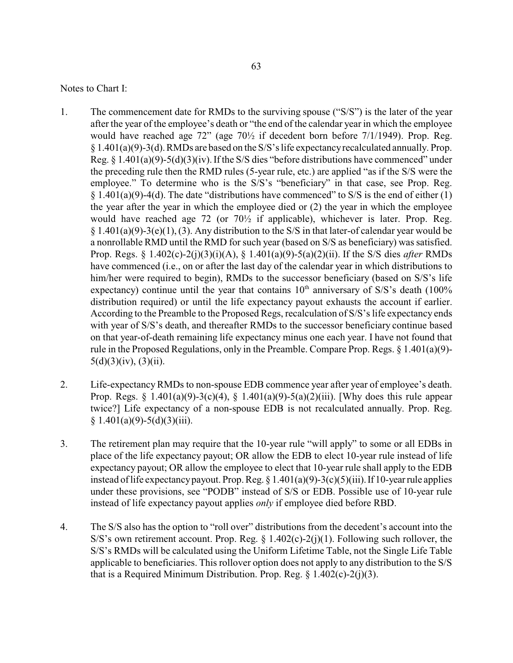Notes to Chart I:

- 1. The commencement date for RMDs to the surviving spouse ("S/S") is the later of the year after the year of the employee's death or "the end of the calendar year in which the employee would have reached age 72" (age 70½ if decedent born before 7/1/1949). Prop. Reg. § 1.401(a)(9)-3(d). RMDs are based on the S/S's life expectancyrecalculated annually. Prop. Reg.  $\S 1.401(a)(9) - 5(d)(3)(iv)$ . If the S/S dies "before distributions have commenced" under the preceding rule then the RMD rules (5-year rule, etc.) are applied "as if the S/S were the employee." To determine who is the S/S's "beneficiary" in that case, see Prop. Reg.  $§ 1.401(a)(9)-4(d)$ . The date "distributions have commenced" to S/S is the end of either (1) the year after the year in which the employee died or (2) the year in which the employee would have reached age 72 (or 70½ if applicable), whichever is later. Prop. Reg.  $§ 1.401(a)(9)-3(e)(1), (3)$ . Any distribution to the S/S in that later-of calendar year would be a nonrollable RMD until the RMD for such year (based on S/S as beneficiary) was satisfied. Prop. Regs. § 1.402(c)-2(j)(3)(i)(A), § 1.401(a)(9)-5(a)(2)(ii). If the S/S dies *after* RMDs have commenced (i.e., on or after the last day of the calendar year in which distributions to him/her were required to begin), RMDs to the successor beneficiary (based on S/S's life expectancy) continue until the year that contains  $10<sup>th</sup>$  anniversary of S/S's death (100%) distribution required) or until the life expectancy payout exhausts the account if earlier. According to the Preamble to the Proposed Regs, recalculation of S/S's life expectancy ends with year of S/S's death, and thereafter RMDs to the successor beneficiary continue based on that year-of-death remaining life expectancy minus one each year. I have not found that rule in the Proposed Regulations, only in the Preamble. Compare Prop. Regs. § 1.401(a)(9)-  $5(d)(3)(iv)$ ,  $(3)(ii)$ .
- 2. Life-expectancyRMDs to non-spouse EDB commence year after year of employee's death. Prop. Regs. § 1.401(a)(9)-3(c)(4), § 1.401(a)(9)-5(a)(2)(iii). [Why does this rule appear twice?] Life expectancy of a non-spouse EDB is not recalculated annually. Prop. Reg.  $§ 1.401(a)(9)-5(d)(3)(iii).$
- 3. The retirement plan may require that the 10-year rule "will apply" to some or all EDBs in place of the life expectancy payout; OR allow the EDB to elect 10-year rule instead of life expectancy payout; OR allow the employee to elect that 10-year rule shall apply to the EDB instead of life expectancy payout. Prop. Reg.  $\S 1.401(a)(9) - 3(c)(5)(iii)$ . If 10-year rule applies under these provisions, see "PODB" instead of S/S or EDB. Possible use of 10-year rule instead of life expectancy payout applies *only* if employee died before RBD.
- 4. The S/S also has the option to "roll over" distributions from the decedent's account into the S/S's own retirement account. Prop. Reg.  $\S$  1.402(c)-2(j)(1). Following such rollover, the S/S's RMDs will be calculated using the Uniform Lifetime Table, not the Single Life Table applicable to beneficiaries. This rollover option does not apply to any distribution to the S/S that is a Required Minimum Distribution. Prop. Reg.  $\S$  1.402(c)-2(j)(3).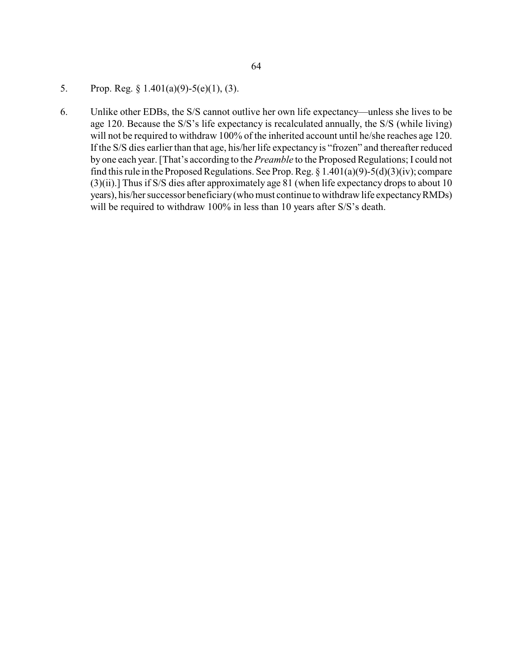- 5. Prop. Reg. § 1.401(a)(9)-5(e)(1), (3).
- 6. Unlike other EDBs, the S/S cannot outlive her own life expectancy—unless she lives to be age 120. Because the S/S's life expectancy is recalculated annually, the S/S (while living) will not be required to withdraw 100% of the inherited account until he/she reaches age 120. If the S/S dies earlier than that age, his/her life expectancy is "frozen" and thereafter reduced by one each year. [That's according to the *Preamble* to the Proposed Regulations; I could not find this rule in the Proposed Regulations. See Prop. Reg.  $\S 1.401(a)(9) - 5(d)(3)(iv)$ ; compare (3)(ii).] Thus if S/S dies after approximately age 81 (when life expectancy drops to about 10 years), his/her successor beneficiary(who must continue to withdraw life expectancyRMDs) will be required to withdraw 100% in less than 10 years after S/S's death.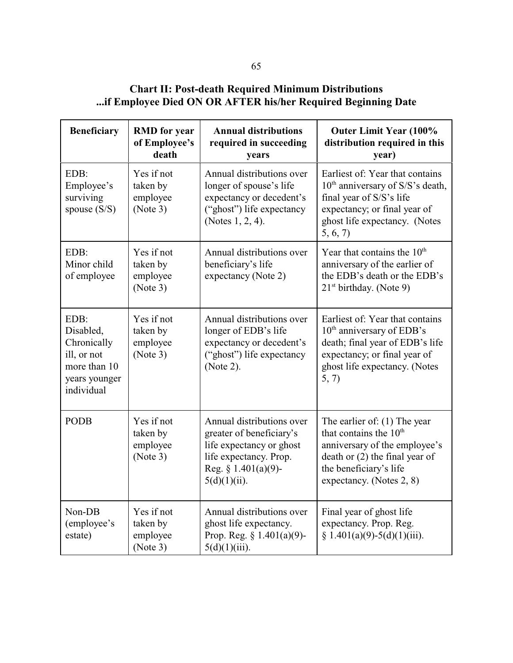**Chart II: Post-death Required Minimum Distributions ...if Employee Died ON OR AFTER his/her Required Beginning Date**

| <b>Beneficiary</b>                                                                             | <b>RMD</b> for year<br>of Employee's<br>death  | <b>Annual distributions</b><br>required in succeeding<br>years                                                                                           | <b>Outer Limit Year (100%</b><br>distribution required in this<br>year)                                                                                                                         |
|------------------------------------------------------------------------------------------------|------------------------------------------------|----------------------------------------------------------------------------------------------------------------------------------------------------------|-------------------------------------------------------------------------------------------------------------------------------------------------------------------------------------------------|
| EDB:<br>Employee's<br>surviving<br>spouse $(S/S)$                                              | Yes if not<br>taken by<br>employee<br>(Note 3) | Annual distributions over<br>longer of spouse's life<br>expectancy or decedent's<br>("ghost") life expectancy<br>(Notes 1, 2, 4).                        | Earliest of: Year that contains<br>$10th$ anniversary of S/S's death,<br>final year of S/S's life<br>expectancy; or final year of<br>ghost life expectancy. (Notes<br>5, 6, 7                   |
| EDB:<br>Minor child<br>of employee                                                             | Yes if not<br>taken by<br>employee<br>(Note 3) | Annual distributions over<br>beneficiary's life<br>expectancy (Note 2)                                                                                   | Year that contains the $10th$<br>anniversary of the earlier of<br>the EDB's death or the EDB's<br>$21st$ birthday. (Note 9)                                                                     |
| EDB:<br>Disabled,<br>Chronically<br>ill, or not<br>more than 10<br>years younger<br>individual | Yes if not<br>taken by<br>employee<br>(Note 3) | Annual distributions over<br>longer of EDB's life<br>expectancy or decedent's<br>("ghost") life expectancy<br>(Note 2).                                  | Earliest of: Year that contains<br>10 <sup>th</sup> anniversary of EDB's<br>death; final year of EDB's life<br>expectancy; or final year of<br>ghost life expectancy. (Notes<br>5, 7)           |
| <b>PODB</b>                                                                                    | Yes if not<br>taken by<br>employee<br>(Note 3) | Annual distributions over<br>greater of beneficiary's<br>life expectancy or ghost<br>life expectancy. Prop.<br>Reg. $§ 1.401(a)(9)$ -<br>$5(d)(1)(ii)$ . | The earlier of: $(1)$ The year<br>that contains the 10 <sup>th</sup><br>anniversary of the employee's<br>death or $(2)$ the final year of<br>the beneficiary's life<br>expectancy. (Notes 2, 8) |
| Non-DB<br>(employee's<br>estate)                                                               | Yes if not<br>taken by<br>employee<br>(Note 3) | Annual distributions over<br>ghost life expectancy.<br>Prop. Reg. $§ 1.401(a)(9)$ -<br>$5(d)(1)(iii)$ .                                                  | Final year of ghost life<br>expectancy. Prop. Reg.<br>$§ 1.401(a)(9)-5(d)(1)(iii).$                                                                                                             |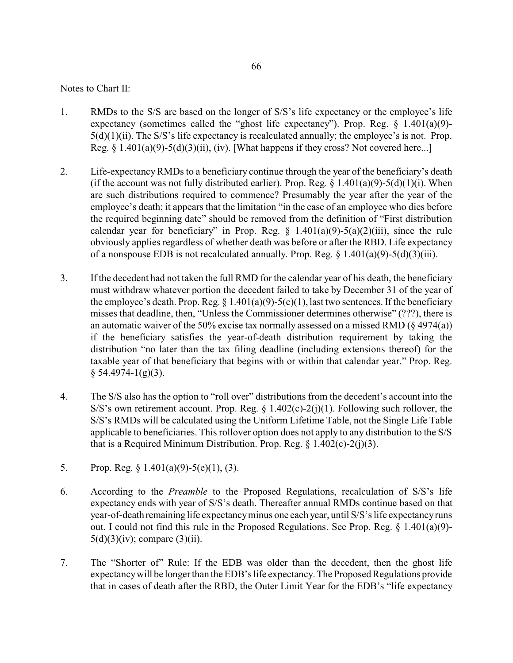### Notes to Chart II:

- 1. RMDs to the S/S are based on the longer of S/S's life expectancy or the employee's life expectancy (sometimes called the "ghost life expectancy"). Prop. Reg. § 1.401(a)(9)- 5(d)(1)(ii). The S/S's life expectancy is recalculated annually; the employee's is not. Prop. Reg.  $\S 1.401(a)(9) - 5(d)(3)(ii)$ , (iv). [What happens if they cross? Not covered here...]
- 2. Life-expectancyRMDs to a beneficiary continue through the year of the beneficiary's death (if the account was not fully distributed earlier). Prop. Reg.  $\S 1.401(a)(9)-5(d)(1)(i)$ . When are such distributions required to commence? Presumably the year after the year of the employee's death; it appears that the limitation "in the case of an employee who dies before the required beginning date" should be removed from the definition of "First distribution calendar year for beneficiary" in Prop. Reg.  $\S$  1.401(a)(9)-5(a)(2)(iii), since the rule obviously applies regardless of whether death was before or after the RBD. Life expectancy of a nonspouse EDB is not recalculated annually. Prop. Reg.  $\S 1.401(a)(9) - 5(d)(3)(iii)$ .
- 3. If the decedent had not taken the full RMD for the calendar year of his death, the beneficiary must withdraw whatever portion the decedent failed to take by December 31 of the year of the employee's death. Prop. Reg.  $\S 1.401(a)(9) - 5(c)(1)$ , last two sentences. If the beneficiary misses that deadline, then, "Unless the Commissioner determines otherwise" (???), there is an automatic waiver of the 50% excise tax normally assessed on a missed RMD  $(\S 4974(a))$ if the beneficiary satisfies the year-of-death distribution requirement by taking the distribution "no later than the tax filing deadline (including extensions thereof) for the taxable year of that beneficiary that begins with or within that calendar year." Prop. Reg.  $§ 54.4974-1(g)(3).$
- 4. The S/S also has the option to "roll over" distributions from the decedent's account into the S/S's own retirement account. Prop. Reg.  $\S$  1.402(c)-2(j)(1). Following such rollover, the S/S's RMDs will be calculated using the Uniform Lifetime Table, not the Single Life Table applicable to beneficiaries. This rollover option does not apply to any distribution to the S/S that is a Required Minimum Distribution. Prop. Reg.  $\S$  1.402(c)-2(j)(3).
- 5. Prop. Reg. § 1.401(a)(9)-5(e)(1), (3).
- 6. According to the *Preamble* to the Proposed Regulations, recalculation of S/S's life expectancy ends with year of S/S's death. Thereafter annual RMDs continue based on that year-of-death remaining life expectancyminus one each year, until S/S's life expectancyruns out. I could not find this rule in the Proposed Regulations. See Prop. Reg. § 1.401(a)(9)-  $5(d)(3)(iv)$ ; compare  $(3)(ii)$ .
- 7. The "Shorter of" Rule: If the EDB was older than the decedent, then the ghost life expectancywill be longer than the EDB's life expectancy.The Proposed Regulations provide that in cases of death after the RBD, the Outer Limit Year for the EDB's "life expectancy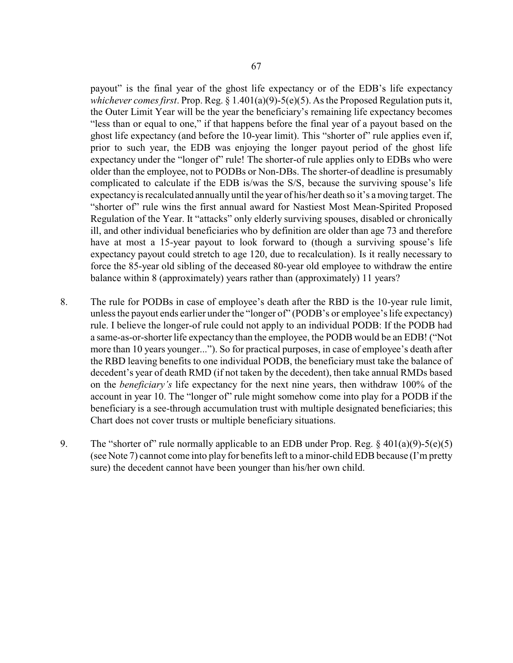payout" is the final year of the ghost life expectancy or of the EDB's life expectancy *whichever comes first*. Prop. Reg. § 1.401(a)(9)-5(e)(5). As the Proposed Regulation puts it, the Outer Limit Year will be the year the beneficiary's remaining life expectancy becomes "less than or equal to one," if that happens before the final year of a payout based on the ghost life expectancy (and before the 10-year limit). This "shorter of" rule applies even if, prior to such year, the EDB was enjoying the longer payout period of the ghost life expectancy under the "longer of" rule! The shorter-of rule applies only to EDBs who were older than the employee, not to PODBs or Non-DBs. The shorter-of deadline is presumably complicated to calculate if the EDB is/was the S/S, because the surviving spouse's life expectancyis recalculated annually until the year of his/her death so it's a moving target. The "shorter of" rule wins the first annual award for Nastiest Most Mean-Spirited Proposed Regulation of the Year. It "attacks" only elderly surviving spouses, disabled or chronically ill, and other individual beneficiaries who by definition are older than age 73 and therefore have at most a 15-year payout to look forward to (though a surviving spouse's life expectancy payout could stretch to age 120, due to recalculation). Is it really necessary to force the 85-year old sibling of the deceased 80-year old employee to withdraw the entire balance within 8 (approximately) years rather than (approximately) 11 years?

- 8. The rule for PODBs in case of employee's death after the RBD is the 10-year rule limit, unless the payout ends earlier under the "longer of" (PODB's or employee's life expectancy) rule. I believe the longer-of rule could not apply to an individual PODB: If the PODB had a same-as-or-shorter life expectancy than the employee, the PODB would be an EDB! ("Not more than 10 years younger..."). So for practical purposes, in case of employee's death after the RBD leaving benefits to one individual PODB, the beneficiary must take the balance of decedent's year of death RMD (if not taken by the decedent), then take annual RMDs based on the *beneficiary's* life expectancy for the next nine years, then withdraw 100% of the account in year 10. The "longer of" rule might somehow come into play for a PODB if the beneficiary is a see-through accumulation trust with multiple designated beneficiaries; this Chart does not cover trusts or multiple beneficiary situations.
- 9. The "shorter of" rule normally applicable to an EDB under Prop. Reg.  $\frac{2}{3}$  401(a)(9)-5(e)(5) (see Note 7) cannot come into play for benefits left to a minor-child EDB because (I'm pretty sure) the decedent cannot have been younger than his/her own child.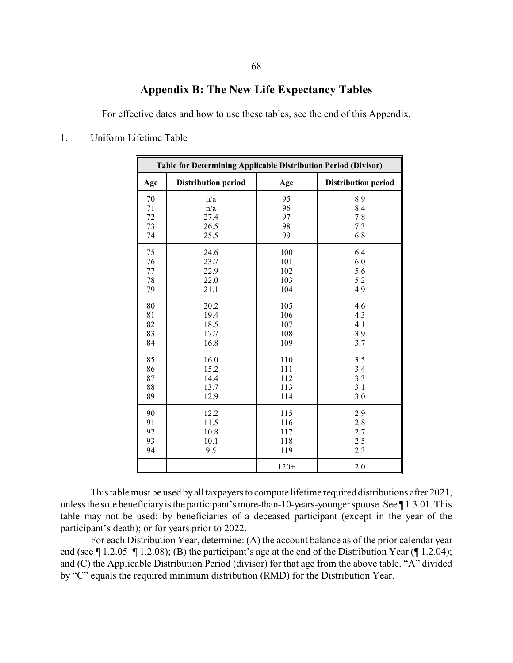## **Appendix B: The New Life Expectancy Tables**

For effective dates and how to use these tables, see the end of this Appendix.

## 1. Uniform Lifetime Table

| Table for Determining Applicable Distribution Period (Divisor) |                            |        |                            |
|----------------------------------------------------------------|----------------------------|--------|----------------------------|
| Age                                                            | <b>Distribution period</b> | Age    | <b>Distribution period</b> |
| 70                                                             | n/a                        | 95     | 8.9                        |
| 71                                                             | n/a                        | 96     | 8.4                        |
| 72                                                             | 27.4                       | 97     | 7.8                        |
| 73                                                             | 26.5                       | 98     | 7.3                        |
| 74                                                             | 25.5                       | 99     | 6.8                        |
| 75                                                             | 24.6                       | 100    | 6.4                        |
| 76                                                             | 23.7                       | 101    | 6.0                        |
| 77                                                             | 22.9                       | 102    | 5.6                        |
| 78                                                             | 22.0                       | 103    | 5.2                        |
| 79                                                             | 21.1                       | 104    | 4.9                        |
| 80                                                             | 20.2                       | 105    | 4.6                        |
| 81                                                             | 19.4                       | 106    | 4.3                        |
| 82                                                             | 18.5                       | 107    | 4.1                        |
| 83                                                             | 17.7                       | 108    | 3.9                        |
| 84                                                             | 16.8                       | 109    | 3.7                        |
| 85                                                             | 16.0                       | 110    | 3.5                        |
| 86                                                             | 15.2                       | 111    | 3.4                        |
| 87                                                             | 14.4                       | 112    | 3.3                        |
| 88                                                             | 13.7                       | 113    | 3.1                        |
| 89                                                             | 12.9                       | 114    | 3.0                        |
| 90                                                             | 12.2                       | 115    | 2.9                        |
| 91                                                             | 11.5                       | 116    | 2.8                        |
| 92                                                             | 10.8                       | 117    | 2.7                        |
| 93                                                             | 10.1                       | 118    | 2.5                        |
| 94                                                             | 9.5                        | 119    | 2.3                        |
|                                                                |                            | $120+$ | 2.0                        |

This table must be used by all taxpayers to compute lifetime required distributions after 2021, unless the sole beneficiary is the participant's more-than-10-years-younger spouse. See  $\P$ 1.3.01. This table may not be used: by beneficiaries of a deceased participant (except in the year of the participant's death); or for years prior to 2022.

For each Distribution Year, determine: (A) the account balance as of the prior calendar year end (see ¶ 1.2.05–¶ 1.2.08); (B) the participant's age at the end of the Distribution Year (¶ 1.2.04); and (C) the Applicable Distribution Period (divisor) for that age from the above table. "A" divided by "C" equals the required minimum distribution (RMD) for the Distribution Year.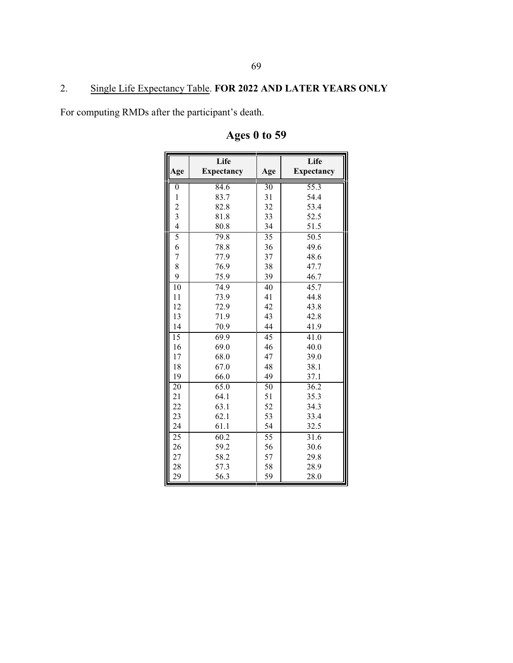# 2. Single Life Expectancy Table. **FOR 2022 AND LATER YEARS ONLY**

For computing RMDs after the participant's death.

| Age                     | Life<br><b>Expectancy</b> | Age             | Life<br><b>Expectancy</b> |
|-------------------------|---------------------------|-----------------|---------------------------|
|                         |                           |                 |                           |
| $\boldsymbol{0}$        | 84.6                      | $\overline{30}$ | $55.\overline{3}$         |
| $\mathbf{1}$            | 83.7                      | 31              | 54.4                      |
| $\frac{2}{3}$           | 82.8                      | 32              | 53.4                      |
|                         | 81.8                      | 33              | 52.5                      |
| $\overline{\mathbf{4}}$ | 80.8                      | 34              | 51.5                      |
| $\overline{5}$          | 79.8                      | $\overline{35}$ | $\overline{50.5}$         |
| 6                       | 78.8                      | 36              | 49.6                      |
| $\overline{7}$          | 77.9                      | 37              | 48.6                      |
| 8                       | 76.9                      | 38              | 47.7                      |
| 9                       | 75.9                      | 39              | 46.7                      |
| 10                      | 74.9                      | 40              | 45.7                      |
| 11                      | 73.9                      | 41              | 44.8                      |
| 12                      | 72.9                      | 42              | 43.8                      |
| 13                      | 71.9                      | 43              | 42.8                      |
| 14                      | 70.9                      | 44              | 41.9                      |
| $\overline{15}$         | 69.9                      | $\overline{45}$ | 41.0                      |
| 16                      | 69.0                      | 46              | 40.0                      |
| 17                      | 68.0                      | 47              | 39.0                      |
| 18                      | 67.0                      | 48              | 38.1                      |
| 19                      | 66.0                      | 49              | 37.1                      |
| 20                      | 65.0                      | 50              | 36.2                      |
| 21                      | 64.1                      | 51              | 35.3                      |
| 22                      | 63.1                      | 52              | 34.3                      |
| 23                      | 62.1                      | 53              | 33.4                      |
| 24                      | 61.1                      | 54              | 32.5                      |
| 25                      | 60.2                      | 55              | 31.6                      |
| 26                      | 59.2                      | 56              | 30.6                      |
| 27                      | 58.2                      | 57              | 29.8                      |
| 28                      | 57.3                      | 58              | 28.9                      |
| 29                      | 56.3                      | 59              | 28.0                      |

# **Ages 0 to 59**